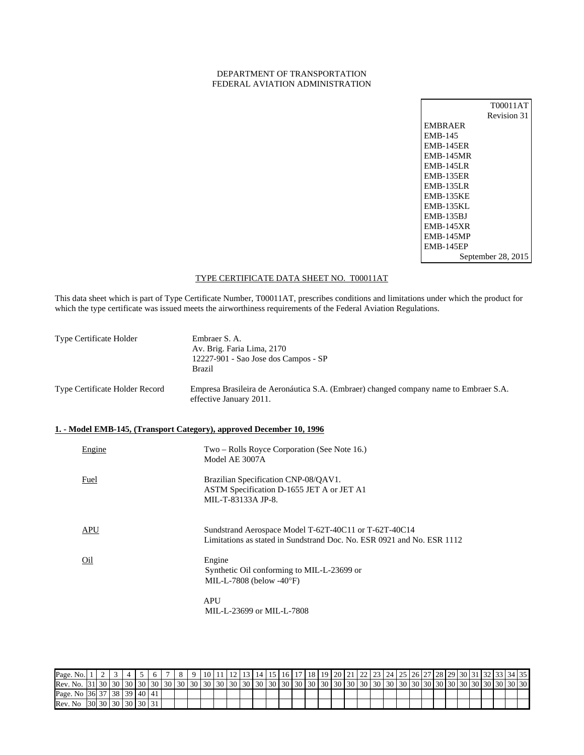### DEPARTMENT OF TRANSPORTATION FEDERAL AVIATION ADMINISTRATION

|                  | T00011AT           |
|------------------|--------------------|
|                  | Revision 31        |
| <b>EMBRAER</b>   |                    |
| <b>EMB-145</b>   |                    |
| <b>EMB-145ER</b> |                    |
| <b>EMB-145MR</b> |                    |
| <b>EMB-145LR</b> |                    |
| <b>EMB-135ER</b> |                    |
| <b>EMB-135LR</b> |                    |
| <b>EMB-135KE</b> |                    |
| <b>EMB-135KL</b> |                    |
| <b>EMB-135BJ</b> |                    |
| <b>EMB-145XR</b> |                    |
| <b>EMB-145MP</b> |                    |
| <b>EMB-145EP</b> |                    |
|                  | September 28, 2015 |

## TYPE CERTIFICATE DATA SHEET NO. T00011AT

This data sheet which is part of Type Certificate Number, T00011AT, prescribes conditions and limitations under which the product for which the type certificate was issued meets the airworthiness requirements of the Federal Aviation Regulations.

| Type Certificate Holder        | Embraer S. A.<br>Av. Brig. Faria Lima, 2170<br>12227-901 - Sao Jose dos Campos - SP<br><b>Brazil</b>             |
|--------------------------------|------------------------------------------------------------------------------------------------------------------|
| Type Certificate Holder Record | Empresa Brasileira de Aeronáutica S.A. (Embraer) changed company name to Embraer S.A.<br>effective January 2011. |

## **1. - Model EMB-145, (Transport Category), approved December 10, 1996**

| Engine | Two – Rolls Royce Corporation (See Note 16.)<br>Model AE 3007A                                                                  |
|--------|---------------------------------------------------------------------------------------------------------------------------------|
| Fuel   | Brazilian Specification CNP-08/QAV1.<br>ASTM Specification D-1655 JET A or JET A1<br>MIL-T-83133A JP-8.                         |
| APU    | Sundstrand Aerospace Model T-62T-40C11 or T-62T-40C14<br>Limitations as stated in Sundstrand Doc. No. ESR 0921 and No. ESR 1112 |
| Oil    | Engine<br>Synthetic Oil conforming to MIL-L-23699 or<br>MIL-L-7808 (below -40 $\degree$ F)                                      |
|        | <b>APU</b><br>MIL-L-23699 or MIL-L-7808                                                                                         |

Page. No. 1 1 2 3 4 5 6 7 8 9 10 11 2 3 4 5 6 7 8 9 10 11 2 3 4 5 6 7 8 9 10 11 2 4 5 6 7 7 8 9 20 21 22 23 24 25 26 27 28 29 30 31 32 33 4 55 Rev. No. 31 30 30 30 30 30 30 30 30 30 30 30 30 30 30 30 30 30 30 30 30 30 30 30 30 30 30 30 30 30 30 30 30 30 30 Page. No 36 37 38 39 40 41 Rev. No 30 30 30 30 30 31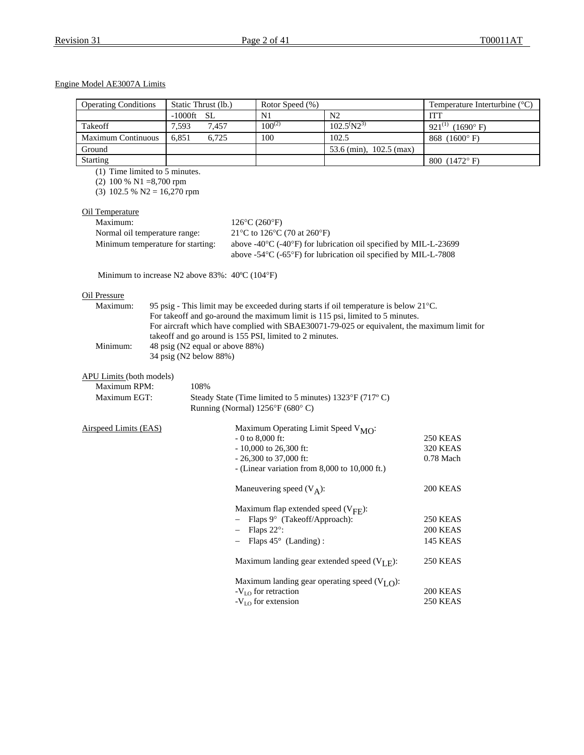## Engine Model AE3007A Limits

| <b>Operating Conditions</b>                                                                  |                        | Static Thrust (lb.)             | Rotor Speed (%)                                         |                                                                                                                                                                    | Temperature Interturbine $(^{\circ}C)$ |
|----------------------------------------------------------------------------------------------|------------------------|---------------------------------|---------------------------------------------------------|--------------------------------------------------------------------------------------------------------------------------------------------------------------------|----------------------------------------|
|                                                                                              | $-1000$ ft             | SL                              | N1                                                      | N2                                                                                                                                                                 | <b>ITT</b>                             |
| Takeoff                                                                                      | 7,593                  | 7,457                           | $100^{(2)}$                                             | $102.5^{(}N2^{3)}$                                                                                                                                                 | 921(1) (1690°F)                        |
| Maximum Continuous                                                                           | 6,851                  | 6,725                           | 100                                                     | 102.5                                                                                                                                                              | 868 (1600°F)                           |
| Ground                                                                                       |                        |                                 |                                                         | 53.6 (min), 102.5 (max)                                                                                                                                            |                                        |
| <b>Starting</b>                                                                              |                        |                                 |                                                         |                                                                                                                                                                    | 800 (1472°F)                           |
| (1) Time limited to 5 minutes.<br>$(2)$ 100 % N1 =8,700 rpm<br>$(3)$ 102.5 % N2 = 16,270 rpm |                        |                                 |                                                         |                                                                                                                                                                    |                                        |
| Oil Temperature                                                                              |                        |                                 |                                                         |                                                                                                                                                                    |                                        |
| Maximum:                                                                                     |                        |                                 | $126^{\circ}C(260^{\circ}F)$                            |                                                                                                                                                                    |                                        |
| Normal oil temperature range:                                                                |                        |                                 | 21°C to 126°C (70 at 260°F)                             |                                                                                                                                                                    |                                        |
| Minimum temperature for starting:                                                            |                        |                                 |                                                         | above -40°C (-40°F) for lubrication oil specified by MIL-L-23699<br>above -54 $\rm{^{\circ}C}$ (-65 $\rm{^{\circ}F}$ ) for lubrication oil specified by MIL-L-7808 |                                        |
| Minimum to increase N2 above 83%: $40^{\circ}C (104^{\circ}F)$                               |                        |                                 |                                                         |                                                                                                                                                                    |                                        |
| <b>Oil Pressure</b>                                                                          |                        |                                 |                                                         |                                                                                                                                                                    |                                        |
| Maximum:                                                                                     |                        |                                 |                                                         | 95 psig - This limit may be exceeded during starts if oil temperature is below 21°C.                                                                               |                                        |
|                                                                                              |                        |                                 |                                                         | For takeoff and go-around the maximum limit is 115 psi, limited to 5 minutes.                                                                                      |                                        |
|                                                                                              |                        |                                 |                                                         | For aircraft which have complied with SBAE30071-79-025 or equivalent, the maximum limit for                                                                        |                                        |
|                                                                                              |                        |                                 | takeoff and go around is 155 PSI, limited to 2 minutes. |                                                                                                                                                                    |                                        |
| Minimum:                                                                                     |                        | 48 psig (N2 equal or above 88%) |                                                         |                                                                                                                                                                    |                                        |
|                                                                                              | 34 psig (N2 below 88%) |                                 |                                                         |                                                                                                                                                                    |                                        |
| <b>APU Limits (both models)</b>                                                              |                        |                                 |                                                         |                                                                                                                                                                    |                                        |
| Maximum RPM:                                                                                 | 108%                   |                                 |                                                         |                                                                                                                                                                    |                                        |
| Maximum EGT:                                                                                 |                        |                                 |                                                         | Steady State (Time limited to 5 minutes) 1323°F (717°C)                                                                                                            |                                        |
|                                                                                              |                        |                                 | Running (Normal) 1256°F (680°C)                         |                                                                                                                                                                    |                                        |
| <b>Airspeed Limits (EAS)</b>                                                                 |                        |                                 |                                                         | Maximum Operating Limit Speed $V_{MO}$ :                                                                                                                           |                                        |
|                                                                                              |                        |                                 | $-0$ to 8,000 ft:                                       |                                                                                                                                                                    | 250 KEAS                               |
|                                                                                              |                        |                                 | $-10,000$ to 26,300 ft:                                 |                                                                                                                                                                    | <b>320 KEAS</b>                        |
|                                                                                              |                        |                                 | $-26,300$ to 37,000 ft:                                 | - (Linear variation from $8,000$ to $10,000$ ft.)                                                                                                                  | 0.78 Mach                              |
|                                                                                              |                        |                                 |                                                         |                                                                                                                                                                    |                                        |
|                                                                                              |                        |                                 | Maneuvering speed $(V_A)$ :                             |                                                                                                                                                                    | 200 KEAS                               |
|                                                                                              |                        |                                 |                                                         | Maximum flap extended speed $(V_{\text{FF}})$ :                                                                                                                    |                                        |
|                                                                                              |                        |                                 | - Flaps $9^{\circ}$ (Takeoff/Approach):                 |                                                                                                                                                                    | 250 KEAS                               |
|                                                                                              |                        |                                 | Flaps 22°:                                              |                                                                                                                                                                    | 200 KEAS                               |
|                                                                                              |                        |                                 | Flaps $45^{\circ}$ (Landing):                           |                                                                                                                                                                    | <b>145 KEAS</b>                        |
|                                                                                              |                        |                                 |                                                         | Maximum landing gear extended speed $(V_{I,F})$ :                                                                                                                  | <b>250 KEAS</b>                        |
|                                                                                              |                        |                                 |                                                         | Maximum landing gear operating speed $(VLO)$ :                                                                                                                     |                                        |
|                                                                                              |                        |                                 | $-VLO$ for retraction                                   |                                                                                                                                                                    | 200 KEAS                               |
|                                                                                              |                        |                                 | $-VLO$ for extension                                    |                                                                                                                                                                    | 250 KEAS                               |
|                                                                                              |                        |                                 |                                                         |                                                                                                                                                                    |                                        |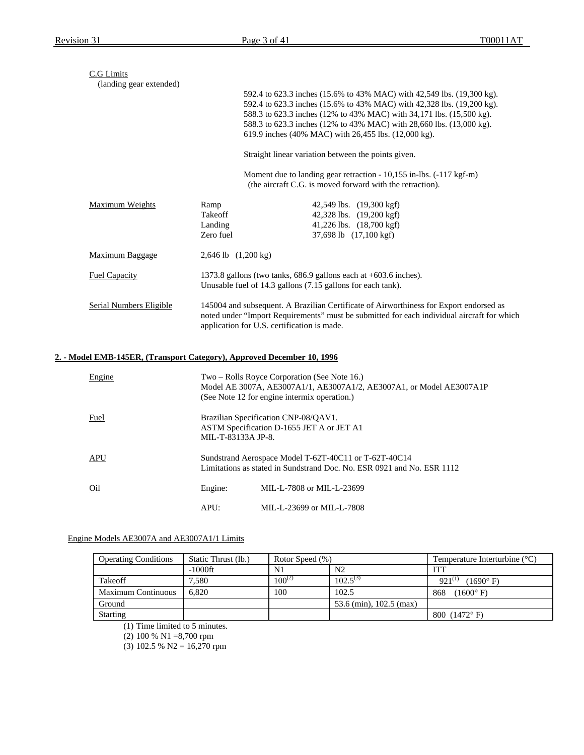| C.G Limits                                                             |                                         |                                                                                                                                                                                                                                                                                                                                                          |
|------------------------------------------------------------------------|-----------------------------------------|----------------------------------------------------------------------------------------------------------------------------------------------------------------------------------------------------------------------------------------------------------------------------------------------------------------------------------------------------------|
| (landing gear extended)                                                |                                         | 592.4 to 623.3 inches (15.6% to 43% MAC) with 42,549 lbs. (19,300 kg).<br>592.4 to 623.3 inches (15.6% to 43% MAC) with 42,328 lbs. (19,200 kg).<br>588.3 to 623.3 inches (12% to 43% MAC) with 34,171 lbs. (15,500 kg).<br>588.3 to 623.3 inches (12% to 43% MAC) with 28,660 lbs. (13,000 kg).<br>619.9 inches (40% MAC) with 26,455 lbs. (12,000 kg). |
|                                                                        |                                         | Straight linear variation between the points given.                                                                                                                                                                                                                                                                                                      |
|                                                                        |                                         | Moment due to landing gear retraction - 10,155 in-lbs. (-117 kgf-m)<br>(the aircraft C.G. is moved forward with the retraction).                                                                                                                                                                                                                         |
| Maximum Weights                                                        | Ramp<br>Takeoff<br>Landing<br>Zero fuel | 42,549 lbs. (19,300 kgf)<br>42,328 lbs. (19,200 kgf)<br>41,226 lbs. (18,700 kgf)<br>37,698 lb (17,100 kgf)                                                                                                                                                                                                                                               |
| <b>Maximum Baggage</b>                                                 | $2,646$ lb $(1,200 \text{ kg})$         |                                                                                                                                                                                                                                                                                                                                                          |
| <b>Fuel Capacity</b>                                                   |                                         | 1373.8 gallons (two tanks, 686.9 gallons each at +603.6 inches).<br>Unusable fuel of 14.3 gallons (7.15 gallons for each tank).                                                                                                                                                                                                                          |
| Serial Numbers Eligible                                                |                                         | 145004 and subsequent. A Brazilian Certificate of Airworthiness for Export endorsed as<br>noted under "Import Requirements" must be submitted for each individual aircraft for which<br>application for U.S. certification is made.                                                                                                                      |
| 2. - Model EMB-145ER, (Transport Category), Approved December 10, 1996 |                                         |                                                                                                                                                                                                                                                                                                                                                          |
| Engine                                                                 |                                         | Two – Rolls Royce Corporation (See Note 16.)<br>Model AE 3007A, AE3007A1/1, AE3007A1/2, AE3007A1, or Model AE3007A1P<br>(See Note 12 for engine intermix operation.)                                                                                                                                                                                     |
| Fuel                                                                   | MIL-T-83133A JP-8.                      | Brazilian Specification CNP-08/QAV1.<br>ASTM Specification D-1655 JET A or JET A1                                                                                                                                                                                                                                                                        |
| <b>APU</b>                                                             |                                         | Sundstrand Aerospace Model T-62T-40C11 or T-62T-40C14<br>Limitations as stated in Sundstrand Doc. No. ESR 0921 and No. ESR 1112                                                                                                                                                                                                                          |
| Oil                                                                    | Engine:                                 | MIL-L-7808 or MIL-L-23699                                                                                                                                                                                                                                                                                                                                |

#### Engine Models AE3007A and AE3007A1/1 Limits

| <b>Operating Conditions</b> | Static Thrust (lb.) | Rotor Speed (%) |                         | Temperature Interturbine $(^{\circ}C)$ |
|-----------------------------|---------------------|-----------------|-------------------------|----------------------------------------|
|                             | $-1000$ ft          | N <sub>1</sub>  | N <sub>2</sub>          | IТΊ                                    |
| Takeoff                     | .580                | $100^{(2)}$     | $102.5^{(3)}$           | $921^{(1)}$<br>$(1690^{\circ} F)$      |
| <b>Maximum Continuous</b>   | 6.820               | 100             | 102.5                   | $(1600^{\circ} F)$<br>868              |
| Ground                      |                     |                 | 53.6 (min), 102.5 (max) |                                        |
| <b>Starting</b>             |                     |                 |                         | 800 $(1472^{\circ} F)$                 |

APU: MIL-L-23699 or MIL-L-7808

(1) Time limited to 5 minutes.

(2) 100 % N1 =8,700 rpm

(3) 102.5 % N2 =  $16,270$  rpm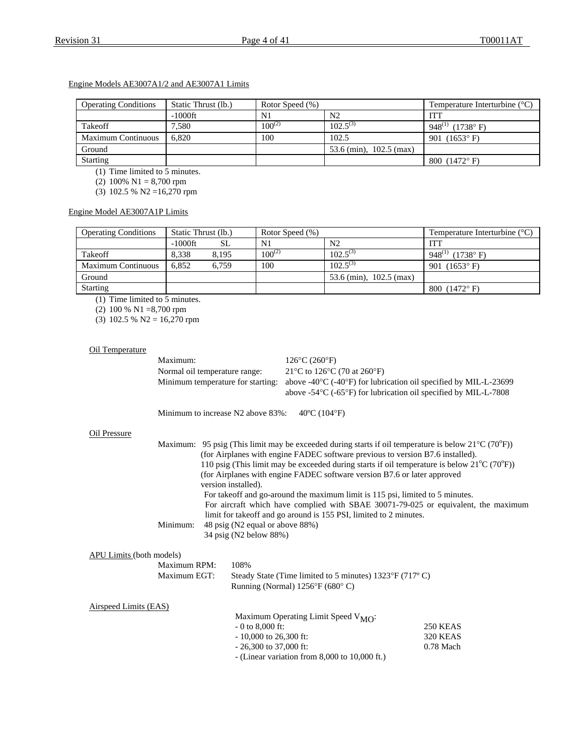## Engine Models AE3007A1/2 and AE3007A1 Limits

| <b>Operating Conditions</b> | Static Thrust (lb.) | Rotor Speed (%) |                           | Temperature Interturbine $(^{\circ}C)$ |
|-----------------------------|---------------------|-----------------|---------------------------|----------------------------------------|
|                             | $-1000$ ft          | N1              | N <sub>2</sub>            | <b>ITT</b>                             |
| Takeoff                     | 7,580               | $100^{(2)}$     | $102.5^{(3)}$             | 948 <sup>(1)</sup> (1738°F)            |
| <b>Maximum Continuous</b>   | 6.820               | 100             | 102.5                     | 901 $(1653^{\circ} \text{ F})$         |
| Ground                      |                     |                 | 53.6 (min), $102.5$ (max) |                                        |
| Starting                    |                     |                 |                           | 800 $(1472^{\circ} F)$                 |

(1) Time limited to 5 minutes.

(2) 100% N1 = 8,700 rpm

(3) 102.5 % N2 =16,270 rpm

## Engine Model AE3007A1P Limits

| <b>Operating Conditions</b> | Static Thrust (lb.) |       | Rotor Speed (%) |                           | Temperature Interturbine $(^{\circ}C)$ |
|-----------------------------|---------------------|-------|-----------------|---------------------------|----------------------------------------|
|                             | -1000ft             | SL    | N1              | N <sub>2</sub>            | ITT                                    |
| Takeoff                     | 8.338               | 8.195 | $100^{(2)}$     | $102.5^{(3)}$             | 948 <sup>(1)</sup> (1738°F)            |
| <b>Maximum Continuous</b>   | 6.852               | 6.759 | 100             | $102.5^{(3)}$             | 901 $(1653^{\circ} \text{ F})$         |
| Ground                      |                     |       |                 | 53.6 (min), $102.5$ (max) |                                        |
| <b>Starting</b>             |                     |       |                 |                           | 800 $(1472^{\circ} F)$                 |

(1) Time limited to 5 minutes.

(2) 100 % N1 =8,700 rpm

(3) 102.5 % N2 = 16,270 rpm

#### Oil Temperature

| Maximum:                      | $126^{\circ}$ C (260 $^{\circ}$ F)                                                                                     |
|-------------------------------|------------------------------------------------------------------------------------------------------------------------|
| Normal oil temperature range: | 21 °C to 126 °C (70 at 260 °F)                                                                                         |
|                               | Minimum temperature for starting: above -40 $\degree$ C (-40 $\degree$ F) for lubrication oil specified by MIL-L-23699 |
|                               | above -54 $\rm{^{\circ}C}$ (-65 $\rm{^{\circ}F}$ ) for lubrication oil specified by MIL-L-7808                         |

Minimum to increase N2 above 83%: 40°C (104°F)

#### Oil Pressure

|                   | Maximum: 95 psig (This limit may be exceeded during starts if oil temperature is below $21^{\circ}C(70^{\circ}F)$ ) |
|-------------------|---------------------------------------------------------------------------------------------------------------------|
|                   | (for Airplanes with engine FADEC software previous to version B7.6 installed).                                      |
|                   | 110 psig (This limit may be exceeded during starts if oil temperature is below $21^{\circ}C(70^{\circ}F)$ )         |
|                   | (for Airplanes with engine FADEC software version B7.6 or later approved                                            |
|                   | version installed).                                                                                                 |
|                   | For takeoff and go-around the maximum limit is 115 psi, limited to 5 minutes.                                       |
|                   | For aircraft which have complied with SBAE 30071-79-025 or equivalent, the maximum                                  |
|                   | limit for take off and go around is 155 PSI, limited to 2 minutes.                                                  |
| Minimum:          | 48 psig (N2 equal or above 88%)                                                                                     |
|                   | 34 psig (N2 below 88%)                                                                                              |
| its (both models) |                                                                                                                     |
|                   |                                                                                                                     |
| Maximum RPM:      | 108%                                                                                                                |

## APU Limi

| Maximum RPM:          | 108%                                                    |
|-----------------------|---------------------------------------------------------|
| Maximum EGT:          | Steady State (Time limited to 5 minutes) 1323°F (717°C) |
|                       | Running (Normal) $1256^{\circ}F(680^{\circ}C)$          |
| Airspeed Limits (EAS) | Maximum Operating Limit Speed $V_{\text{2.60}}$ .       |

| Maximum Operating Limit Speed $V_{\text{MO}}$ :   |                 |
|---------------------------------------------------|-----------------|
| $-0$ to 8,000 ft:                                 | 250 KEAS        |
| $-10,000$ to 26,300 ft:                           | <b>320 KEAS</b> |
| $-26,300$ to 37,000 ft:                           | $0.78$ Mach     |
| - (Linear variation from $8,000$ to $10,000$ ft.) |                 |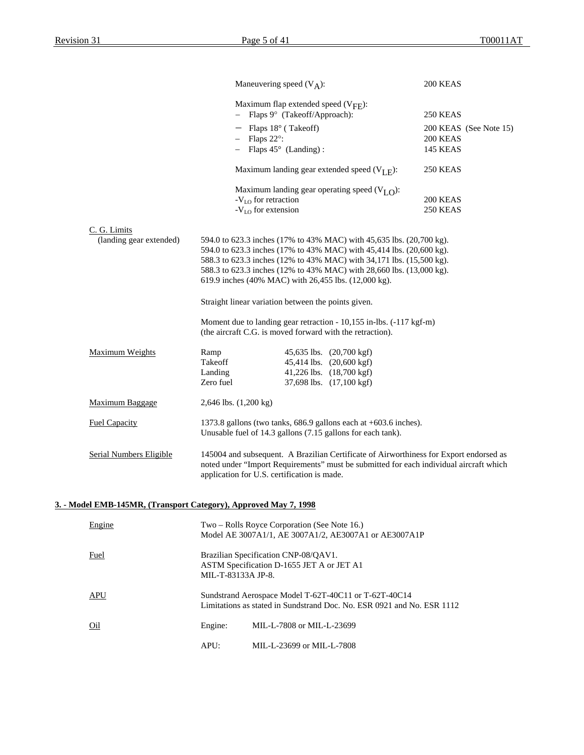|                                                                  |                                   | Maneuvering speed $(V_A)$ :                                                                                                                                                                                                     | 200 KEAS                           |
|------------------------------------------------------------------|-----------------------------------|---------------------------------------------------------------------------------------------------------------------------------------------------------------------------------------------------------------------------------|------------------------------------|
|                                                                  |                                   | Maximum flap extended speed $(V_{\text{FF}})$ :<br>Flaps 9° (Takeoff/Approach):                                                                                                                                                 | 250 KEAS                           |
|                                                                  |                                   | $-$ Flaps 18 $\degree$ (Takeoff)                                                                                                                                                                                                |                                    |
|                                                                  |                                   | Flaps 22°:                                                                                                                                                                                                                      | 200 KEAS (See Note 15)<br>200 KEAS |
|                                                                  |                                   | $-$ Flaps 45 $\circ$ (Landing):                                                                                                                                                                                                 | <b>145 KEAS</b>                    |
|                                                                  |                                   |                                                                                                                                                                                                                                 |                                    |
|                                                                  |                                   | Maximum landing gear extended speed $(V_{I,F})$ :                                                                                                                                                                               | 250 KEAS                           |
|                                                                  |                                   | Maximum landing gear operating speed $(VI,O)$ :                                                                                                                                                                                 |                                    |
|                                                                  |                                   | -V <sub>LO</sub> for retraction                                                                                                                                                                                                 | 200 KEAS                           |
|                                                                  |                                   | $-VLO$ for extension                                                                                                                                                                                                            | 250 KEAS                           |
| C. G. Limits                                                     |                                   |                                                                                                                                                                                                                                 |                                    |
| (landing gear extended)                                          |                                   | 594.0 to 623.3 inches (17% to 43% MAC) with 45,635 lbs. (20,700 kg).                                                                                                                                                            |                                    |
|                                                                  |                                   | 594.0 to 623.3 inches (17% to 43% MAC) with 45,414 lbs. (20,600 kg).                                                                                                                                                            |                                    |
|                                                                  |                                   | 588.3 to 623.3 inches (12% to 43% MAC) with 34,171 lbs. (15,500 kg).                                                                                                                                                            |                                    |
|                                                                  |                                   | 588.3 to 623.3 inches (12% to 43% MAC) with 28,660 lbs. (13,000 kg).                                                                                                                                                            |                                    |
|                                                                  |                                   | 619.9 inches (40% MAC) with 26,455 lbs. (12,000 kg).                                                                                                                                                                            |                                    |
|                                                                  |                                   | Straight linear variation between the points given.                                                                                                                                                                             |                                    |
|                                                                  |                                   | Moment due to landing gear retraction - 10,155 in-lbs. (-117 kgf-m)<br>(the aircraft C.G. is moved forward with the retraction).                                                                                                |                                    |
| <b>Maximum Weights</b>                                           | Ramp                              | 45,635 lbs. (20,700 kgf)                                                                                                                                                                                                        |                                    |
|                                                                  | Takeoff                           | 45,414 lbs. (20,600 kgf)                                                                                                                                                                                                        |                                    |
|                                                                  | Landing                           | 41,226 lbs. (18,700 kgf)                                                                                                                                                                                                        |                                    |
|                                                                  | Zero fuel                         | 37,698 lbs. (17,100 kgf)                                                                                                                                                                                                        |                                    |
| Maximum Baggage                                                  | $2,646$ lbs. $(1,200 \text{ kg})$ |                                                                                                                                                                                                                                 |                                    |
| <b>Fuel Capacity</b>                                             |                                   | 1373.8 gallons (two tanks, 686.9 gallons each at +603.6 inches).<br>Unusable fuel of 14.3 gallons (7.15 gallons for each tank).                                                                                                 |                                    |
| <b>Serial Numbers Eligible</b>                                   |                                   | 145004 and subsequent. A Brazilian Certificate of Airworthiness for Export endorsed as<br>noted under "Import Requirements" must be submitted for each individual aircraft which<br>application for U.S. certification is made. |                                    |
| 3. - Model EMB-145MR. (Transport Category). Approved May 7. 1998 |                                   |                                                                                                                                                                                                                                 |                                    |
| Engine                                                           |                                   | Two – Rolls Royce Corporation (See Note 16.)                                                                                                                                                                                    |                                    |
|                                                                  |                                   | Model AE 3007A1/1, AE 3007A1/2, AE3007A1 or AE3007A1P                                                                                                                                                                           |                                    |
| <b>Fuel</b>                                                      | MIL-T-83133A JP-8.                | Brazilian Specification CNP-08/QAV1.<br>ASTM Specification D-1655 JET A or JET A1                                                                                                                                               |                                    |
| <b>APU</b>                                                       |                                   | Sundstrand Aerospace Model T-62T-40C11 or T-62T-40C14<br>Limitations as stated in Sundstrand Doc. No. ESR 0921 and No. ESR 1112                                                                                                 |                                    |
| $Q_{1}$                                                          | Engine:                           | MIL-L-7808 or MIL-L-23699                                                                                                                                                                                                       |                                    |
|                                                                  | APU:                              | MIL-L-23699 or MIL-L-7808                                                                                                                                                                                                       |                                    |
|                                                                  |                                   |                                                                                                                                                                                                                                 |                                    |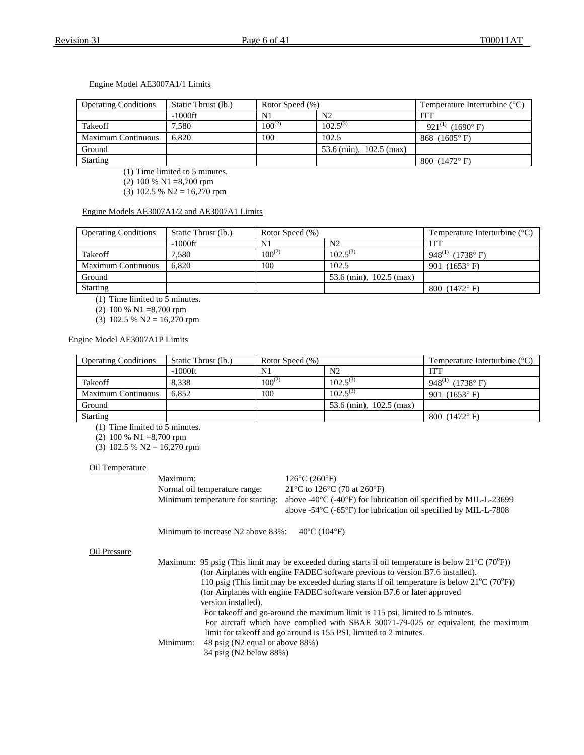## Engine Model AE3007A1/1 Limits

| <b>Operating Conditions</b> | Static Thrust (lb.) | Rotor Speed (%) |                           | Temperature Interturbine $(^{\circ}C)$ |
|-----------------------------|---------------------|-----------------|---------------------------|----------------------------------------|
|                             | $-1000$ ft          | N1              | N2                        | <b>ITT</b>                             |
| Takeoff                     | 7.580               | $100^{(2)}$     | $102.5^{(3)}$             | 921 <sup>(1)</sup> (1690°F)            |
| <b>Maximum Continuous</b>   | 6.820               | 100             | 102.5                     | 868 $(1605^{\circ} \text{ F})$         |
| Ground                      |                     |                 | 53.6 (min), $102.5$ (max) |                                        |
| <b>Starting</b>             |                     |                 |                           | 800 $(1472^{\circ} F)$                 |

(1) Time limited to 5 minutes.

(2) 100 % N1 =8,700 rpm

(3) 102.5 % N2 = 16,270 rpm

### Engine Models AE3007A1/2 and AE3007A1 Limits

| <b>Operating Conditions</b> | Static Thrust (lb.) | Rotor Speed (%) |                           | Temperature Interturbine $(^{\circ}C)$ |
|-----------------------------|---------------------|-----------------|---------------------------|----------------------------------------|
|                             | $-1000$ ft          | N <sub>1</sub>  | N <sub>2</sub>            | <b>ITT</b>                             |
| Takeoff                     | 7.580               | $100^{(2)}$     | $102.5^{(3)}$             | 948 <sup>(1)</sup> (1738°F)            |
| <b>Maximum Continuous</b>   | 6.820               | 100             | 102.5                     | 901 $(1653^{\circ} \text{ F})$         |
| Ground                      |                     |                 | 53.6 (min), $102.5$ (max) |                                        |
| Starting                    |                     |                 |                           | 800 $(1472^{\circ} F)$                 |

(1) Time limited to 5 minutes.

(2) 100 % N1 =8,700 rpm

(3) 102.5 % N2 = 16,270 rpm

#### Engine Model AE3007A1P Limits

| <b>Operating Conditions</b> | Static Thrust (lb.) | Rotor Speed (%) |                           | Temperature Interturbine $(^{\circ}C)$ |
|-----------------------------|---------------------|-----------------|---------------------------|----------------------------------------|
|                             | $-1000$ ft          | N1              | N <sub>2</sub>            | ITT                                    |
| Takeoff                     | 8.338               | $100^{(2)}$     | $102.5^{(3)}$             | 948 <sup>(1)</sup> (1738°F)            |
| <b>Maximum Continuous</b>   | 6.852               | 100             | $102.5^{(3)}$             | 901 $(1653^{\circ} F)$                 |
| Ground                      |                     |                 | 53.6 (min), $102.5$ (max) |                                        |
| <b>Starting</b>             |                     |                 |                           | 800 $(1472^{\circ} \text{ F})$         |

(1) Time limited to 5 minutes.

(2) 100 % N1 =8,700 rpm

(3) 102.5 % N2 = 16,270 rpm

#### Oil Temperature

Maximum: 126°C (260°F) Normal oil temperature range: 21°C to 126°C (70 at 260°F)

Minimum temperature for starting: above -40°C (-40°F) for lubrication oil specified by MIL-L-23699 above -54°C (-65°F) for lubrication oil specified by MIL-L-7808

Minimum to increase N2 above 83%: 40°C (104°F)

#### Oil Pressure

|          | Maximum: 95 psig (This limit may be exceeded during starts if oil temperature is below $21^{\circ}C(70^{\circ}F)$ ) |
|----------|---------------------------------------------------------------------------------------------------------------------|
|          | (for Airplanes with engine FADEC software previous to version B7.6 installed).                                      |
|          | 110 psig (This limit may be exceeded during starts if oil temperature is below $21^{\circ}C(70^{\circ}F)$ )         |
|          | (for Airplanes with engine FADEC software version B7.6 or later approved                                            |
|          | version installed).                                                                                                 |
|          | For takeoff and go-around the maximum limit is 115 psi, limited to 5 minutes.                                       |
|          | For aircraft which have complied with SBAE 30071-79-025 or equivalent, the maximum                                  |
|          | limit for takeoff and go around is 155 PSI, limited to 2 minutes.                                                   |
| Minimum: | 48 psig (N2 equal or above 88%)                                                                                     |
|          | 34 psig (N2 below 88%)                                                                                              |
|          |                                                                                                                     |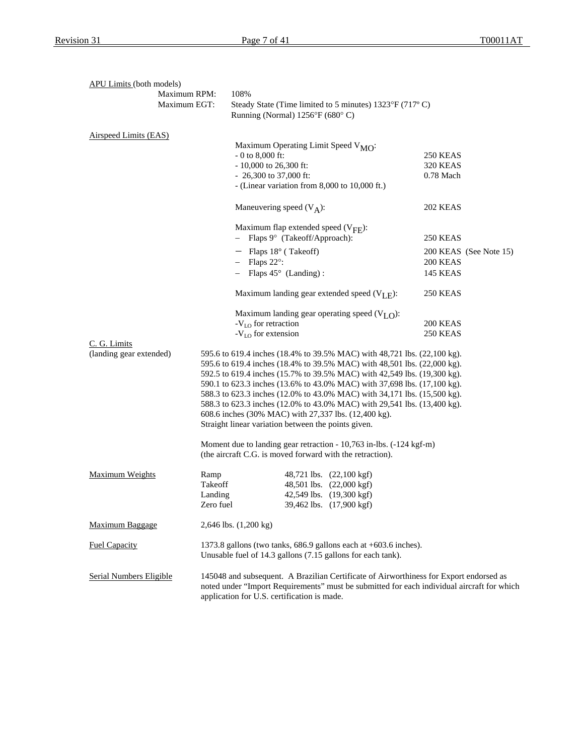| <b>APU Limits (both models)</b> |                                                                                                                                                                                                                                     |                                                                                                                                     |                        |  |  |  |
|---------------------------------|-------------------------------------------------------------------------------------------------------------------------------------------------------------------------------------------------------------------------------------|-------------------------------------------------------------------------------------------------------------------------------------|------------------------|--|--|--|
|                                 | Maximum RPM:                                                                                                                                                                                                                        | 108%<br>Steady State (Time limited to 5 minutes) 1323°F (717°C)<br>Running (Normal) 1256°F (680°C)                                  |                        |  |  |  |
|                                 | Maximum EGT:                                                                                                                                                                                                                        |                                                                                                                                     |                        |  |  |  |
| Airspeed Limits (EAS)           |                                                                                                                                                                                                                                     |                                                                                                                                     |                        |  |  |  |
|                                 |                                                                                                                                                                                                                                     | Maximum Operating Limit Speed V <sub>MO</sub> :                                                                                     |                        |  |  |  |
|                                 |                                                                                                                                                                                                                                     | $-0$ to 8,000 ft:                                                                                                                   | <b>250 KEAS</b>        |  |  |  |
|                                 |                                                                                                                                                                                                                                     | $-10,000$ to 26,300 ft:                                                                                                             | <b>320 KEAS</b>        |  |  |  |
|                                 |                                                                                                                                                                                                                                     | $-26,300$ to 37,000 ft:                                                                                                             | 0.78 Mach              |  |  |  |
|                                 |                                                                                                                                                                                                                                     | - (Linear variation from 8,000 to 10,000 ft.)                                                                                       |                        |  |  |  |
|                                 |                                                                                                                                                                                                                                     | Maneuvering speed $(V_A)$ :                                                                                                         | <b>202 KEAS</b>        |  |  |  |
|                                 |                                                                                                                                                                                                                                     | Maximum flap extended speed $(V_{\text{FF}})$ :                                                                                     |                        |  |  |  |
|                                 |                                                                                                                                                                                                                                     | Flaps 9° (Takeoff/Approach):                                                                                                        | <b>250 KEAS</b>        |  |  |  |
|                                 |                                                                                                                                                                                                                                     | $-$ Flaps 18 $\degree$ (Takeoff)                                                                                                    | 200 KEAS (See Note 15) |  |  |  |
|                                 |                                                                                                                                                                                                                                     | Flaps 22°:                                                                                                                          | 200 KEAS               |  |  |  |
|                                 |                                                                                                                                                                                                                                     | Flaps $45^{\circ}$ (Landing):                                                                                                       | <b>145 KEAS</b>        |  |  |  |
|                                 |                                                                                                                                                                                                                                     | Maximum landing gear extended speed $(V_{I,F})$ :                                                                                   | 250 KEAS               |  |  |  |
|                                 |                                                                                                                                                                                                                                     | Maximum landing gear operating speed $(VI,O)$ :                                                                                     |                        |  |  |  |
|                                 |                                                                                                                                                                                                                                     | $-VLO$ for retraction                                                                                                               | 200 KEAS               |  |  |  |
| C. G. Limits                    |                                                                                                                                                                                                                                     | $-V_{LO}$ for extension                                                                                                             | 250 KEAS               |  |  |  |
| (landing gear extended)         |                                                                                                                                                                                                                                     | 595.6 to 619.4 inches (18.4% to 39.5% MAC) with 48,721 lbs. (22,100 kg).                                                            |                        |  |  |  |
|                                 |                                                                                                                                                                                                                                     | 595.6 to 619.4 inches (18.4% to 39.5% MAC) with 48,501 lbs. (22,000 kg).                                                            |                        |  |  |  |
|                                 |                                                                                                                                                                                                                                     | 592.5 to 619.4 inches (15.7% to 39.5% MAC) with 42,549 lbs. (19,300 kg).                                                            |                        |  |  |  |
|                                 |                                                                                                                                                                                                                                     | 590.1 to 623.3 inches (13.6% to 43.0% MAC) with 37,698 lbs. (17,100 kg).                                                            |                        |  |  |  |
|                                 |                                                                                                                                                                                                                                     | 588.3 to 623.3 inches (12.0% to 43.0% MAC) with 34,171 lbs. (15,500 kg).                                                            |                        |  |  |  |
|                                 |                                                                                                                                                                                                                                     | 588.3 to 623.3 inches (12.0% to 43.0% MAC) with 29,541 lbs. (13,400 kg).                                                            |                        |  |  |  |
|                                 |                                                                                                                                                                                                                                     | 608.6 inches (30% MAC) with 27,337 lbs. (12,400 kg).<br>Straight linear variation between the points given.                         |                        |  |  |  |
|                                 |                                                                                                                                                                                                                                     |                                                                                                                                     |                        |  |  |  |
|                                 |                                                                                                                                                                                                                                     | Moment due to landing gear retraction - 10,763 in-lbs. (-124 kgf-m)                                                                 |                        |  |  |  |
|                                 |                                                                                                                                                                                                                                     | (the aircraft C.G. is moved forward with the retraction).                                                                           |                        |  |  |  |
| <b>Maximum Weights</b>          | Ramp                                                                                                                                                                                                                                | 48,721 lbs. (22,100 kgf)                                                                                                            |                        |  |  |  |
|                                 | Takeoff                                                                                                                                                                                                                             | 48,501 lbs. (22,000 kgf)                                                                                                            |                        |  |  |  |
|                                 | Landing                                                                                                                                                                                                                             | 42,549 lbs. (19,300 kgf)                                                                                                            |                        |  |  |  |
|                                 | Zero fuel                                                                                                                                                                                                                           | 39,462 lbs. (17,900 kgf)                                                                                                            |                        |  |  |  |
| <b>Maximum Baggage</b>          |                                                                                                                                                                                                                                     | 2,646 lbs. (1,200 kg)                                                                                                               |                        |  |  |  |
| <b>Fuel Capacity</b>            |                                                                                                                                                                                                                                     | 1373.8 gallons (two tanks, $686.9$ gallons each at $+603.6$ inches).<br>Unusable fuel of 14.3 gallons (7.15 gallons for each tank). |                        |  |  |  |
| Serial Numbers Eligible         | 145048 and subsequent. A Brazilian Certificate of Airworthiness for Export endorsed as<br>noted under "Import Requirements" must be submitted for each individual aircraft for which<br>application for U.S. certification is made. |                                                                                                                                     |                        |  |  |  |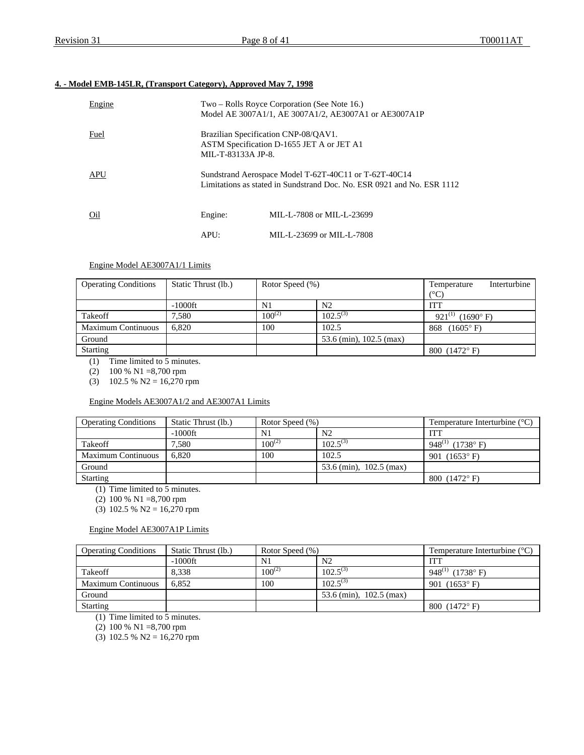## **4. - Model EMB-145LR, (Transport Category), Approved May 7, 1998**

| Engine     |         | Two – Rolls Royce Corporation (See Note 16.)<br>Model AE 3007A1/1, AE 3007A1/2, AE3007A1 or AE3007A1P                           |  |  |  |  |
|------------|---------|---------------------------------------------------------------------------------------------------------------------------------|--|--|--|--|
| Fuel       |         | Brazilian Specification CNP-08/QAV1.<br>ASTM Specification D-1655 JET A or JET A1<br>MIL-T-83133A JP-8.                         |  |  |  |  |
| <b>APU</b> |         | Sundstrand Aerospace Model T-62T-40C11 or T-62T-40C14<br>Limitations as stated in Sundstrand Doc. No. ESR 0921 and No. ESR 1112 |  |  |  |  |
| Oil        | Engine: | MIL-L-7808 or MIL-L-23699                                                                                                       |  |  |  |  |
|            | APU:    | MIL-L-23699 or MIL-L-7808                                                                                                       |  |  |  |  |

## Engine Model AE3007A1/1 Limits

| <b>Operating Conditions</b> | Static Thrust (lb.) | Rotor Speed (%) |                         | Interturbine<br>Temperature       |
|-----------------------------|---------------------|-----------------|-------------------------|-----------------------------------|
|                             |                     |                 |                         | (°C)                              |
|                             | $-1000$ ft          | N1              | N <sub>2</sub>          | ITT                               |
| Takeoff                     | 7,580               | $100^{(2)}$     | $102.5^{(3)}$           | $921^{(1)}$<br>$(1690^{\circ} F)$ |
| <b>Maximum Continuous</b>   | 6.820               | 100<br>102.5    |                         | $(1605^{\circ} \text{ F})$<br>868 |
| Ground                      |                     |                 | 53.6 (min), 102.5 (max) |                                   |
| <b>Starting</b>             |                     |                 |                         | 800 $(1472^{\circ} F)$            |

(1) Time limited to 5 minutes.

(2) 100 % N1 =8,700 rpm

(3)  $102.5 % N2 = 16,270 rpm$ 

#### Engine Models AE3007A1/2 and AE3007A1 Limits

| <b>Operating Conditions</b> | Static Thrust (lb.) | Rotor Speed (%) |                           | Temperature Interturbine $(^{\circ}C)$ |
|-----------------------------|---------------------|-----------------|---------------------------|----------------------------------------|
|                             | -1000ft             | N1              | N <sub>2</sub>            | <b>ITT</b>                             |
| Takeoff                     | 7.580               | $100^{(2)}$     | $102.5^{(3)}$             | 948 <sup>(1)</sup> (1738°F)            |
| <b>Maximum Continuous</b>   | 6.820               | 100             | 102.5                     | 901 $(1653^{\circ} \text{ F})$         |
| Ground                      |                     |                 | 53.6 (min), $102.5$ (max) |                                        |
| Starting                    |                     |                 |                           | 800 $(1472^{\circ} F)$                 |

(1) Time limited to 5 minutes.

(2) 100 % N1 =8,700 rpm

(3) 102.5 % N2 =  $16,270$  rpm

## Engine Model AE3007A1P Limits

| <b>Operating Conditions</b> | Static Thrust (lb.) | Rotor Speed (%) |                           | Temperature Interturbine $(^{\circ}C)$ |
|-----------------------------|---------------------|-----------------|---------------------------|----------------------------------------|
|                             | $-1000$ ft          | N1              | N <sub>2</sub>            | <b>ITT</b>                             |
| Takeoff                     | 8.338               | $100^{(2)}$     | $102.5^{(3)}$             | 948 <sup>(1)</sup> (1738°F)            |
| Maximum Continuous          | 6.852               | 100             | $102.5^{(3)}$             | 901 $(1653^{\circ} \text{ F})$         |
| Ground                      |                     |                 | 53.6 (min), $102.5$ (max) |                                        |
| Starting                    |                     |                 |                           | 800 $(1472^{\circ} F)$                 |
| (1, 1)                      |                     |                 |                           |                                        |

(1) Time limited to 5 minutes.

(2) 100 % N1 =8,700 rpm

(3) 102.5 % N2 = 16,270 rpm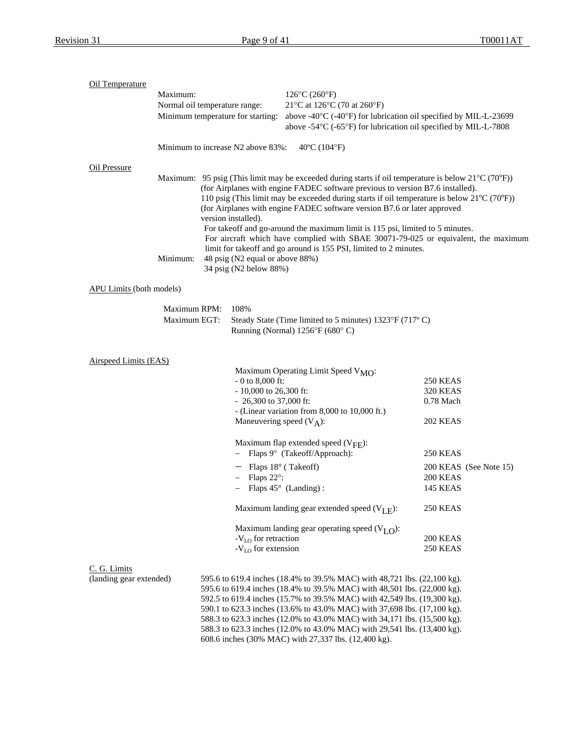| Oil Temperature                 |              |                                                                        |                                                                                                                                                                                              |                 |                        |  |  |
|---------------------------------|--------------|------------------------------------------------------------------------|----------------------------------------------------------------------------------------------------------------------------------------------------------------------------------------------|-----------------|------------------------|--|--|
|                                 | Maximum:     |                                                                        | $126^{\circ}C(260^{\circ}F)$                                                                                                                                                                 |                 |                        |  |  |
|                                 |              | Normal oil temperature range:                                          | 21°C at 126°C (70 at 260°F)                                                                                                                                                                  |                 |                        |  |  |
|                                 |              | Minimum temperature for starting:                                      | above -40°C (-40°F) for lubrication oil specified by MIL-L-23699                                                                                                                             |                 |                        |  |  |
|                                 |              |                                                                        | above -54°C (-65°F) for lubrication oil specified by MIL-L-7808                                                                                                                              |                 |                        |  |  |
|                                 |              | Minimum to increase N2 above 83%:<br>$40^{\circ}$ C (104 $^{\circ}$ F) |                                                                                                                                                                                              |                 |                        |  |  |
| Oil Pressure                    |              |                                                                        |                                                                                                                                                                                              |                 |                        |  |  |
|                                 |              |                                                                        | Maximum: 95 psig (This limit may be exceeded during starts if oil temperature is below $21^{\circ}C(70^{\circ}F)$ )                                                                          |                 |                        |  |  |
|                                 |              |                                                                        | (for Airplanes with engine FADEC software previous to version B7.6 installed).                                                                                                               |                 |                        |  |  |
|                                 |              |                                                                        | 110 psig (This limit may be exceeded during starts if oil temperature is below $21^{\circ}$ C (70 $^{\circ}$ F))<br>(for Airplanes with engine FADEC software version B7.6 or later approved |                 |                        |  |  |
|                                 |              | version installed).                                                    |                                                                                                                                                                                              |                 |                        |  |  |
|                                 |              |                                                                        | For takeoff and go-around the maximum limit is 115 psi, limited to 5 minutes.                                                                                                                |                 |                        |  |  |
|                                 |              |                                                                        | For aircraft which have complied with SBAE 30071-79-025 or equivalent, the maximum                                                                                                           |                 |                        |  |  |
|                                 |              |                                                                        | limit for takeoff and go around is 155 PSI, limited to 2 minutes.                                                                                                                            |                 |                        |  |  |
|                                 | Minimum:     | 48 psig (N2 equal or above 88%)                                        |                                                                                                                                                                                              |                 |                        |  |  |
|                                 |              | 34 psig (N2 below 88%)                                                 |                                                                                                                                                                                              |                 |                        |  |  |
| <b>APU Limits</b> (both models) |              |                                                                        |                                                                                                                                                                                              |                 |                        |  |  |
|                                 | Maximum RPM: | 108%                                                                   |                                                                                                                                                                                              |                 |                        |  |  |
|                                 | Maximum EGT: |                                                                        | Steady State (Time limited to 5 minutes) 1323°F (717°C)                                                                                                                                      |                 |                        |  |  |
|                                 |              |                                                                        | Running (Normal) 1256°F (680°C)                                                                                                                                                              |                 |                        |  |  |
|                                 |              |                                                                        |                                                                                                                                                                                              |                 |                        |  |  |
| Airspeed Limits (EAS)           |              |                                                                        |                                                                                                                                                                                              |                 |                        |  |  |
|                                 |              |                                                                        | Maximum Operating Limit Speed V <sub>MO</sub> :                                                                                                                                              |                 |                        |  |  |
|                                 |              | $-0$ to 8,000 ft:                                                      |                                                                                                                                                                                              | <b>250 KEAS</b> |                        |  |  |
|                                 |              | $-10,000$ to 26,300 ft:                                                |                                                                                                                                                                                              | <b>320 KEAS</b> |                        |  |  |
|                                 |              | $-26,300$ to 37,000 ft:                                                | - (Linear variation from 8,000 to 10,000 ft.)                                                                                                                                                | 0.78 Mach       |                        |  |  |
|                                 |              |                                                                        | Maneuvering speed $(V_A)$ :                                                                                                                                                                  | <b>202 KEAS</b> |                        |  |  |
|                                 |              |                                                                        |                                                                                                                                                                                              |                 |                        |  |  |
|                                 |              |                                                                        | Maximum flap extended speed $(V_{\text{FF}})$ :                                                                                                                                              |                 |                        |  |  |
|                                 |              |                                                                        | Flaps 9° (Takeoff/Approach):                                                                                                                                                                 | <b>250 KEAS</b> |                        |  |  |
|                                 |              | $-$ Flaps 18 $\degree$ (Takeoff)                                       |                                                                                                                                                                                              |                 | 200 KEAS (See Note 15) |  |  |
|                                 |              | Flaps 22°:                                                             |                                                                                                                                                                                              | 200 KEAS        |                        |  |  |
|                                 |              |                                                                        | Flaps $45^{\circ}$ (Landing):                                                                                                                                                                | <b>145 KEAS</b> |                        |  |  |
|                                 |              |                                                                        | Maximum landing gear extended speed $(V_{I,F})$ :                                                                                                                                            | 250 KEAS        |                        |  |  |
|                                 |              |                                                                        | Maximum landing gear operating speed $(VLO)$ :                                                                                                                                               |                 |                        |  |  |
|                                 |              | $-V_{LO}$ for retraction                                               |                                                                                                                                                                                              | 200 KEAS        |                        |  |  |
|                                 |              | $-VLO$ for extension                                                   |                                                                                                                                                                                              | 250 KEAS        |                        |  |  |
| C. G. Limits                    |              |                                                                        |                                                                                                                                                                                              |                 |                        |  |  |
| (landing gear extended)         |              |                                                                        | 595.6 to 619.4 inches (18.4% to 39.5% MAC) with 48,721 lbs. (22,100 kg).                                                                                                                     |                 |                        |  |  |
|                                 |              |                                                                        | 595.6 to 619.4 inches (18.4% to 39.5% MAC) with 48,501 lbs. (22,000 kg).                                                                                                                     |                 |                        |  |  |
|                                 |              |                                                                        | 592.5 to 619.4 inches (15.7% to 39.5% MAC) with 42,549 lbs. (19,300 kg).                                                                                                                     |                 |                        |  |  |
|                                 |              |                                                                        | 590.1 to 623.3 inches (13.6% to 43.0% MAC) with 37,698 lbs. (17,100 kg).                                                                                                                     |                 |                        |  |  |
|                                 |              |                                                                        | 588.3 to 623.3 inches (12.0% to 43.0% MAC) with 34,171 lbs. (15,500 kg).                                                                                                                     |                 |                        |  |  |
|                                 |              |                                                                        | 588.3 to 623.3 inches (12.0% to 43.0% MAC) with 29,541 lbs. (13,400 kg).                                                                                                                     |                 |                        |  |  |
|                                 |              |                                                                        | 608.6 inches (30% MAC) with 27,337 lbs. (12,400 kg).                                                                                                                                         |                 |                        |  |  |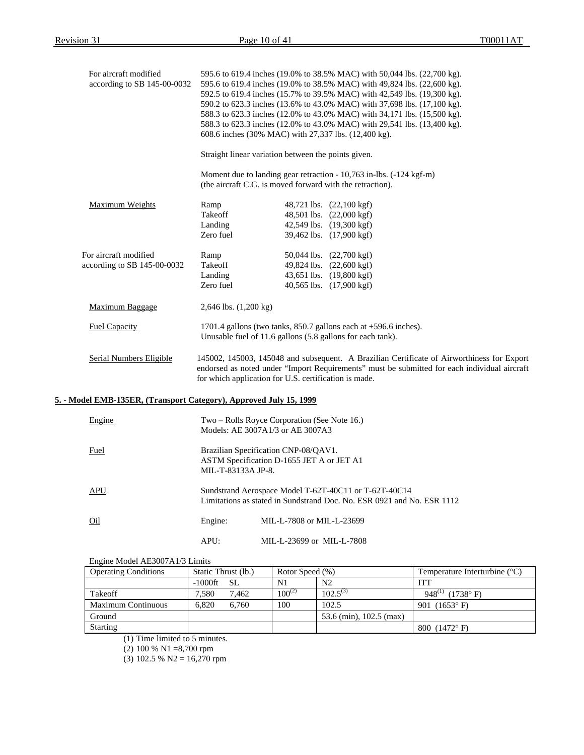| For aircraft modified<br>according to SB 145-00-0032               | 595.6 to 619.4 inches (19.0% to 38.5% MAC) with 50,044 lbs. (22,700 kg).<br>595.6 to 619.4 inches (19.0% to 38.5% MAC) with 49,824 lbs. (22,600 kg).<br>592.5 to 619.4 inches (15.7% to 39.5% MAC) with 42,549 lbs. (19,300 kg).<br>590.2 to 623.3 inches (13.6% to 43.0% MAC) with 37,698 lbs. (17,100 kg).<br>588.3 to 623.3 inches (12.0% to 43.0% MAC) with 34,171 lbs. (15,500 kg).<br>588.3 to 623.3 inches (12.0% to 43.0% MAC) with 29,541 lbs. (13,400 kg).<br>608.6 inches (30% MAC) with 27,337 lbs. (12,400 kg). |                                                                                                                                  |  |  |  |  |
|--------------------------------------------------------------------|------------------------------------------------------------------------------------------------------------------------------------------------------------------------------------------------------------------------------------------------------------------------------------------------------------------------------------------------------------------------------------------------------------------------------------------------------------------------------------------------------------------------------|----------------------------------------------------------------------------------------------------------------------------------|--|--|--|--|
|                                                                    |                                                                                                                                                                                                                                                                                                                                                                                                                                                                                                                              | Straight linear variation between the points given.                                                                              |  |  |  |  |
|                                                                    |                                                                                                                                                                                                                                                                                                                                                                                                                                                                                                                              | Moment due to landing gear retraction - 10,763 in-lbs. (-124 kgf-m)<br>(the aircraft C.G. is moved forward with the retraction). |  |  |  |  |
| Maximum Weights                                                    | Ramp<br>Takeoff<br>Landing<br>Zero fuel                                                                                                                                                                                                                                                                                                                                                                                                                                                                                      | 48,721 lbs. (22,100 kgf)<br>48,501 lbs. (22,000 kgf)<br>42,549 lbs. (19,300 kgf)<br>39,462 lbs. (17,900 kgf)                     |  |  |  |  |
| For aircraft modified<br>according to SB 145-00-0032               | Ramp<br>Takeoff<br>Landing<br>Zero fuel                                                                                                                                                                                                                                                                                                                                                                                                                                                                                      | 50,044 lbs. (22,700 kgf)<br>49,824 lbs. (22,600 kgf)<br>43,651 lbs. (19,800 kgf)<br>40,565 lbs. (17,900 kgf)                     |  |  |  |  |
| <b>Maximum Baggage</b>                                             | $2,646$ lbs. $(1,200 \text{ kg})$                                                                                                                                                                                                                                                                                                                                                                                                                                                                                            |                                                                                                                                  |  |  |  |  |
| <b>Fuel Capacity</b>                                               | 1701.4 gallons (two tanks, 850.7 gallons each at +596.6 inches).<br>Unusable fuel of 11.6 gallons (5.8 gallons for each tank).                                                                                                                                                                                                                                                                                                                                                                                               |                                                                                                                                  |  |  |  |  |
| Serial Numbers Eligible                                            | 145002, 145003, 145048 and subsequent. A Brazilian Certificate of Airworthiness for Export<br>endorsed as noted under "Import Requirements" must be submitted for each individual aircraft<br>for which application for U.S. certification is made.                                                                                                                                                                                                                                                                          |                                                                                                                                  |  |  |  |  |
| 5. - Model EMB-135ER, (Transport Category), Approved July 15, 1999 |                                                                                                                                                                                                                                                                                                                                                                                                                                                                                                                              |                                                                                                                                  |  |  |  |  |
| Engine                                                             |                                                                                                                                                                                                                                                                                                                                                                                                                                                                                                                              | Two - Rolls Royce Corporation (See Note 16.)<br>Models: AE 3007A1/3 or AE 3007A3                                                 |  |  |  |  |
| <b>Fuel</b>                                                        | Brazilian Specification CNP-08/QAV1.<br>ASTM Specification D-1655 JET A or JET A1<br>MIL-T-83133A JP-8.                                                                                                                                                                                                                                                                                                                                                                                                                      |                                                                                                                                  |  |  |  |  |
| APU                                                                |                                                                                                                                                                                                                                                                                                                                                                                                                                                                                                                              | Sundstrand Aerospace Model T-62T-40C11 or T-62T-40C14<br>Limitations as stated in Sundstrand Doc. No. ESR 0921 and No. ESR 1112  |  |  |  |  |
| O <sub>1</sub>                                                     | Engine:                                                                                                                                                                                                                                                                                                                                                                                                                                                                                                                      | MIL-L-7808 or MIL-L-23699                                                                                                        |  |  |  |  |
|                                                                    | APU:                                                                                                                                                                                                                                                                                                                                                                                                                                                                                                                         | MIL-L-23699 or MIL-L-7808                                                                                                        |  |  |  |  |

## Engine Model AE3007A1/3 Limits

| <b>Operating Conditions</b> | Static Thrust (lb.) | Rotor Speed (%) |                         | Temperature Interturbine $(^{\circ}C)$ |
|-----------------------------|---------------------|-----------------|-------------------------|----------------------------------------|
|                             | $-1000$ ft SL       | N <sub>1</sub>  | N <sub>2</sub>          | ITT                                    |
| Takeoff                     | 7.580<br>7.462      | $100^{(2)}$     | $102.5^{(3)}$           | 948 <sup>(1)</sup> (1738° F)           |
| <b>Maximum Continuous</b>   | 6.820<br>6.760      | 100             | 102.5                   | $(1653^{\circ} \text{ F})$<br>901      |
| Ground                      |                     |                 | 53.6 (min), 102.5 (max) |                                        |
| <b>Starting</b>             |                     |                 |                         | 800 $(1472^{\circ} F)$                 |

(1) Time limited to 5 minutes.

(2) 100 % N1 =8,700 rpm

(3) 102.5 % N2 = 16,270 rpm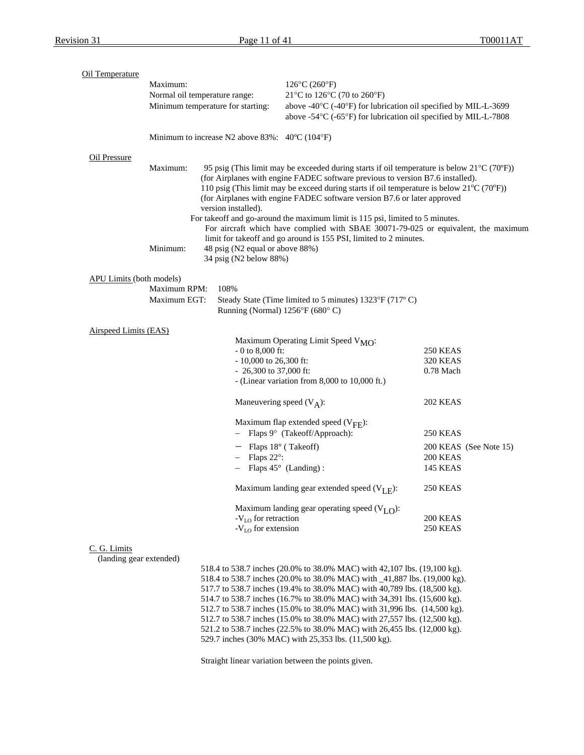| Oil Temperature                 |                                   |                                                                         |                                                                                                                |                        |  |
|---------------------------------|-----------------------------------|-------------------------------------------------------------------------|----------------------------------------------------------------------------------------------------------------|------------------------|--|
|                                 | Maximum:                          |                                                                         | $126^{\circ}C(260^{\circ}F)$                                                                                   |                        |  |
|                                 | Normal oil temperature range:     |                                                                         | 21°C to 126°C (70 to 260°F)                                                                                    |                        |  |
|                                 | Minimum temperature for starting: |                                                                         | above -40°C (-40°F) for lubrication oil specified by MIL-L-3699                                                |                        |  |
|                                 |                                   |                                                                         | above -54°C (-65°F) for lubrication oil specified by MIL-L-7808                                                |                        |  |
|                                 |                                   | Minimum to increase N2 above $83\%$ : $40^{\circ}$ C (104 $^{\circ}$ F) |                                                                                                                |                        |  |
| Oil Pressure                    |                                   |                                                                         |                                                                                                                |                        |  |
|                                 | Maximum:                          |                                                                         | 95 psig (This limit may be exceeded during starts if oil temperature is below $21^{\circ}C(70^{\circ}F)$ )     |                        |  |
|                                 |                                   |                                                                         | (for Airplanes with engine FADEC software previous to version B7.6 installed).                                 |                        |  |
|                                 |                                   |                                                                         | 110 psig (This limit may be exceed during starts if oil temperature is below $21^{\circ}$ C (70 $^{\circ}$ F)) |                        |  |
|                                 |                                   |                                                                         | (for Airplanes with engine FADEC software version B7.6 or later approved                                       |                        |  |
|                                 |                                   | version installed).                                                     |                                                                                                                |                        |  |
|                                 |                                   |                                                                         | For takeoff and go-around the maximum limit is 115 psi, limited to 5 minutes.                                  |                        |  |
|                                 |                                   |                                                                         | For aircraft which have complied with SBAE 30071-79-025 or equivalent, the maximum                             |                        |  |
|                                 | Minimum:                          | 48 psig (N2 equal or above 88%)                                         | limit for takeoff and go around is 155 PSI, limited to 2 minutes.                                              |                        |  |
|                                 |                                   | 34 psig (N2 below 88%)                                                  |                                                                                                                |                        |  |
|                                 |                                   |                                                                         |                                                                                                                |                        |  |
| <b>APU Limits (both models)</b> | Maximum RPM:                      |                                                                         |                                                                                                                |                        |  |
|                                 | Maximum EGT:                      | 108%                                                                    |                                                                                                                |                        |  |
|                                 |                                   | Running (Normal) 1256°F (680°C)                                         | Steady State (Time limited to 5 minutes) 1323°F (717°C)                                                        |                        |  |
|                                 |                                   |                                                                         |                                                                                                                |                        |  |
| Airspeed Limits (EAS)           |                                   |                                                                         |                                                                                                                |                        |  |
|                                 |                                   |                                                                         | Maximum Operating Limit Speed V <sub>MO</sub> :                                                                |                        |  |
|                                 |                                   | $-0$ to 8,000 ft:                                                       |                                                                                                                | 250 KEAS               |  |
|                                 |                                   | $-10,000$ to 26,300 ft:                                                 |                                                                                                                | 320 KEAS               |  |
|                                 |                                   | $-26,300$ to 37,000 ft:                                                 |                                                                                                                | 0.78 Mach              |  |
|                                 |                                   |                                                                         | - (Linear variation from 8,000 to 10,000 ft.)                                                                  |                        |  |
|                                 |                                   | Maneuvering speed $(V_A)$ :                                             |                                                                                                                | 202 KEAS               |  |
|                                 |                                   |                                                                         | Maximum flap extended speed $(V_{\text{FF}})$ :                                                                |                        |  |
|                                 |                                   |                                                                         | Flaps 9° (Takeoff/Approach):                                                                                   | 250 KEAS               |  |
|                                 |                                   |                                                                         |                                                                                                                |                        |  |
|                                 |                                   | $-$ Flaps 18 $\degree$ (Takeoff)                                        |                                                                                                                | 200 KEAS (See Note 15) |  |
|                                 |                                   | Flaps 22°:                                                              |                                                                                                                | 200 KEAS               |  |
|                                 |                                   |                                                                         | Flaps $45^{\circ}$ (Landing):                                                                                  | 145 KEAS               |  |
|                                 |                                   |                                                                         | Maximum landing gear extended speed $(V_{L,F})$ :                                                              | 250 KEAS               |  |
|                                 |                                   |                                                                         | Maximum landing gear operating speed $(VLO)$ :                                                                 |                        |  |
|                                 |                                   | $-VLO$ for retraction                                                   |                                                                                                                | 200 KEAS               |  |
|                                 |                                   | $-VLO$ for extension                                                    |                                                                                                                | 250 KEAS               |  |
| C. G. Limits                    |                                   |                                                                         |                                                                                                                |                        |  |
| (landing gear extended)         |                                   |                                                                         |                                                                                                                |                        |  |
|                                 |                                   |                                                                         | 518.4 to 538.7 inches (20.0% to 38.0% MAC) with 42.107 lbs (19.100 kg)                                         |                        |  |

518.4 to 538.7 inches (20.0% to 38.0% MAC) with 42,107 lbs. (19,100 kg). 518.4 to 538.7 inches (20.0% to 38.0% MAC) with \_41,887 lbs. (19,000 kg). 517.7 to 538.7 inches (19.4% to 38.0% MAC) with 40,789 lbs. (18,500 kg). 514.7 to 538.7 inches (16.7% to 38.0% MAC) with 34,391 lbs. (15,600 kg). 512.7 to 538.7 inches (15.0% to 38.0% MAC) with 31,996 lbs. (14,500 kg). 512.7 to 538.7 inches (15.0% to 38.0% MAC) with 27,557 lbs. (12,500 kg). 521.2 to 538.7 inches (22.5% to 38.0% MAC) with 26,455 lbs. (12,000 kg). 529.7 inches (30% MAC) with 25,353 lbs. (11,500 kg).

Straight linear variation between the points given.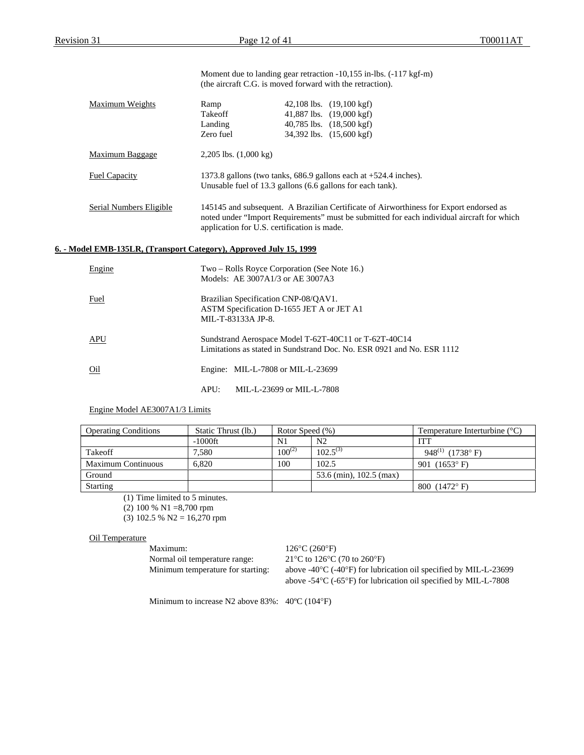|                                                                    | (the aircraft C.G. is moved forward with the retraction).                                                                                                                                                                           |  | Moment due to landing gear retraction -10,155 in-lbs. (-117 kgf-m)                                                              |  |  |  |
|--------------------------------------------------------------------|-------------------------------------------------------------------------------------------------------------------------------------------------------------------------------------------------------------------------------------|--|---------------------------------------------------------------------------------------------------------------------------------|--|--|--|
| Maximum Weights                                                    | Ramp<br>Takeoff<br>Landing<br>Zero fuel                                                                                                                                                                                             |  | 42,108 lbs. $(19,100 \text{ kgf})$<br>41,887 lbs. (19,000 kgf)<br>40,785 lbs. (18,500 kgf)<br>34,392 lbs. (15,600 kgf)          |  |  |  |
| <b>Maximum Baggage</b>                                             | $2,205$ lbs. $(1,000 \text{ kg})$                                                                                                                                                                                                   |  |                                                                                                                                 |  |  |  |
| <b>Fuel Capacity</b>                                               | Unusable fuel of 13.3 gallons (6.6 gallons for each tank).                                                                                                                                                                          |  | 1373.8 gallons (two tanks, 686.9 gallons each at +524.4 inches).                                                                |  |  |  |
| Serial Numbers Eligible                                            | 145145 and subsequent. A Brazilian Certificate of Airworthiness for Export endorsed as<br>noted under "Import Requirements" must be submitted for each individual aircraft for which<br>application for U.S. certification is made. |  |                                                                                                                                 |  |  |  |
| 6. - Model EMB-135LR, (Transport Category), Approved July 15, 1999 |                                                                                                                                                                                                                                     |  |                                                                                                                                 |  |  |  |
| Engine                                                             | Two – Rolls Royce Corporation (See Note 16.)<br>Models: AE 3007A1/3 or AE 3007A3                                                                                                                                                    |  |                                                                                                                                 |  |  |  |
| Fuel                                                               | Brazilian Specification CNP-08/QAV1.<br>ASTM Specification D-1655 JET A or JET A1<br>MIL-T-83133A JP-8.                                                                                                                             |  |                                                                                                                                 |  |  |  |
| <b>APU</b>                                                         |                                                                                                                                                                                                                                     |  | Sundstrand Aerospace Model T-62T-40C11 or T-62T-40C14<br>Limitations as stated in Sundstrand Doc. No. ESR 0921 and No. ESR 1112 |  |  |  |
| Oil                                                                | Engine: MIL-L-7808 or MIL-L-23699                                                                                                                                                                                                   |  |                                                                                                                                 |  |  |  |

APU: MIL-L-23699 or MIL-L-7808

#### Engine Model AE3007A1/3 Limits

| <b>Operating Conditions</b> | Static Thrust (lb.) | Rotor Speed (%) |                         | Temperature Interturbine $(^{\circ}C)$ |
|-----------------------------|---------------------|-----------------|-------------------------|----------------------------------------|
|                             | $-1000$ ft          | N1              | N <sub>2</sub>          | <b>ITT</b>                             |
| Takeoff                     | 7.580               | $100^{(2)}$     | $102.5^{(3)}$           | 948 <sup>(1)</sup> (1738° F)           |
| <b>Maximum Continuous</b>   | 6.820               | 100             | 102.5                   | 901 $(1653^{\circ} \text{ F})$         |
| Ground                      |                     |                 | 53.6 (min), 102.5 (max) |                                        |
| <b>Starting</b>             |                     |                 |                         | 800 $(1472^{\circ} F)$                 |

(1) Time limited to 5 minutes.

(2) 100 % N1 =8,700 rpm

(3) 102.5 % N2 = 16,270 rpm

#### Oil Temperature

Maximum: 126°C (260°F) Normal oil temperature range: 21°C to 126°C (70 to 260°F)

Minimum temperature for starting: above -40°C (-40°F) for lubrication oil specified by MIL-L-23699 above -54°C (-65°F) for lubrication oil specified by MIL-L-7808

Minimum to increase N2 above 83%: 40ºC (104°F)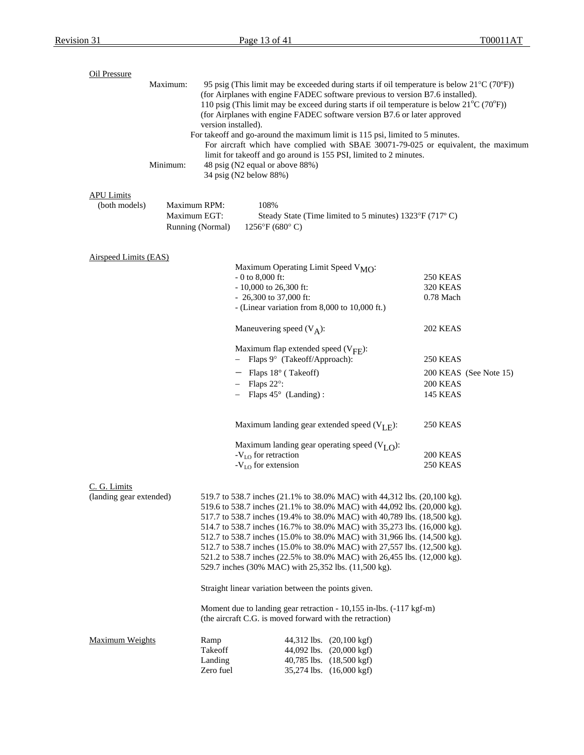| Oil Pressure<br>Maximum:<br>95 psig (This limit may be exceeded during starts if oil temperature is below $21^{\circ}C(70^{\circ}F)$ )<br>(for Airplanes with engine FADEC software previous to version B7.6 installed).<br>110 psig (This limit may be exceed during starts if oil temperature is below $21^{\circ}C(70^{\circ}F)$ )<br>(for Airplanes with engine FADEC software version B7.6 or later approved<br>version installed).<br>For takeoff and go-around the maximum limit is 115 psi, limited to 5 minutes.<br>For aircraft which have complied with SBAE 30071-79-025 or equivalent, the maximum<br>limit for takeoff and go around is 155 PSI, limited to 2 minutes.<br>Minimum:<br>48 psig (N2 equal or above 88%)<br>34 psig (N2 below 88%) |                                                  |                                                                                                                                                                                                                                                                                                                                                                                                                                                                                                                                                                                                          |                                                         |                        |  |  |  |
|---------------------------------------------------------------------------------------------------------------------------------------------------------------------------------------------------------------------------------------------------------------------------------------------------------------------------------------------------------------------------------------------------------------------------------------------------------------------------------------------------------------------------------------------------------------------------------------------------------------------------------------------------------------------------------------------------------------------------------------------------------------|--------------------------------------------------|----------------------------------------------------------------------------------------------------------------------------------------------------------------------------------------------------------------------------------------------------------------------------------------------------------------------------------------------------------------------------------------------------------------------------------------------------------------------------------------------------------------------------------------------------------------------------------------------------------|---------------------------------------------------------|------------------------|--|--|--|
| <b>APU Limits</b><br>(both models)                                                                                                                                                                                                                                                                                                                                                                                                                                                                                                                                                                                                                                                                                                                            | Maximum RPM:<br>Maximum EGT:<br>Running (Normal) | 108%<br>$1256^{\circ}F(680^{\circ}C)$                                                                                                                                                                                                                                                                                                                                                                                                                                                                                                                                                                    | Steady State (Time limited to 5 minutes) 1323°F (717°C) |                        |  |  |  |
| <b>Airspeed Limits (EAS)</b>                                                                                                                                                                                                                                                                                                                                                                                                                                                                                                                                                                                                                                                                                                                                  |                                                  | Maximum Operating Limit Speed V <sub>MO</sub> :<br>$-0$ to 8,000 ft:<br>$-10,000$ to 26,300 ft:<br>$-26,300$ to 37,000 ft:<br>- (Linear variation from 8,000 to 10,000 ft.)                                                                                                                                                                                                                                                                                                                                                                                                                              | 250 KEAS<br><b>320 KEAS</b><br>0.78 Mach                |                        |  |  |  |
|                                                                                                                                                                                                                                                                                                                                                                                                                                                                                                                                                                                                                                                                                                                                                               |                                                  | Maneuvering speed $(V_A)$ :                                                                                                                                                                                                                                                                                                                                                                                                                                                                                                                                                                              | <b>202 KEAS</b>                                         |                        |  |  |  |
|                                                                                                                                                                                                                                                                                                                                                                                                                                                                                                                                                                                                                                                                                                                                                               |                                                  | Maximum flap extended speed $(V_{\text{FF}})$ :<br>- Flaps 9° (Takeoff/Approach):                                                                                                                                                                                                                                                                                                                                                                                                                                                                                                                        | 250 KEAS                                                |                        |  |  |  |
|                                                                                                                                                                                                                                                                                                                                                                                                                                                                                                                                                                                                                                                                                                                                                               |                                                  | $-$ Flaps 18 $\degree$ (Takeoff)<br>$-$ Flaps 22°:<br>$-$ Flaps 45 $\circ$ (Landing):                                                                                                                                                                                                                                                                                                                                                                                                                                                                                                                    | <b>200 KEAS</b><br><b>145 KEAS</b>                      | 200 KEAS (See Note 15) |  |  |  |
|                                                                                                                                                                                                                                                                                                                                                                                                                                                                                                                                                                                                                                                                                                                                                               |                                                  | Maximum landing gear extended speed $(V_{I,F})$ :                                                                                                                                                                                                                                                                                                                                                                                                                                                                                                                                                        | <b>250 KEAS</b>                                         |                        |  |  |  |
|                                                                                                                                                                                                                                                                                                                                                                                                                                                                                                                                                                                                                                                                                                                                                               |                                                  | Maximum landing gear operating speed $(VLO)$ :<br>-V <sub>LO</sub> for retraction<br>$-VLO$ for extension                                                                                                                                                                                                                                                                                                                                                                                                                                                                                                | 200 KEAS<br><b>250 KEAS</b>                             |                        |  |  |  |
| C. G. Limits<br>(landing gear extended)                                                                                                                                                                                                                                                                                                                                                                                                                                                                                                                                                                                                                                                                                                                       |                                                  | 519.7 to 538.7 inches (21.1% to 38.0% MAC) with 44,312 lbs. (20,100 kg).<br>519.6 to 538.7 inches (21.1% to 38.0% MAC) with 44,092 lbs. (20,000 kg).<br>517.7 to 538.7 inches (19.4% to 38.0% MAC) with 40,789 lbs. (18,500 kg).<br>514.7 to 538.7 inches (16.7% to 38.0% MAC) with 35,273 lbs. (16,000 kg).<br>512.7 to 538.7 inches (15.0% to 38.0% MAC) with 31,966 lbs. (14,500 kg).<br>512.7 to 538.7 inches (15.0% to 38.0% MAC) with 27,557 lbs. (12,500 kg).<br>521.2 to 538.7 inches (22.5% to 38.0% MAC) with 26,455 lbs. (12,000 kg).<br>529.7 inches (30% MAC) with 25,352 lbs. (11,500 kg). |                                                         |                        |  |  |  |
|                                                                                                                                                                                                                                                                                                                                                                                                                                                                                                                                                                                                                                                                                                                                                               |                                                  | Straight linear variation between the points given.                                                                                                                                                                                                                                                                                                                                                                                                                                                                                                                                                      |                                                         |                        |  |  |  |
|                                                                                                                                                                                                                                                                                                                                                                                                                                                                                                                                                                                                                                                                                                                                                               |                                                  | Moment due to landing gear retraction - 10,155 in-lbs. (-117 kgf-m)<br>(the aircraft C.G. is moved forward with the retraction)                                                                                                                                                                                                                                                                                                                                                                                                                                                                          |                                                         |                        |  |  |  |
| Maximum Weights                                                                                                                                                                                                                                                                                                                                                                                                                                                                                                                                                                                                                                                                                                                                               | Ramp<br>Takeoff<br>Landing<br>Zero fuel          | 44,312 lbs. (20,100 kgf)<br>44,092 lbs. (20,000 kgf)<br>40,785 lbs. (18,500 kgf)<br>35,274 lbs. (16,000 kgf)                                                                                                                                                                                                                                                                                                                                                                                                                                                                                             |                                                         |                        |  |  |  |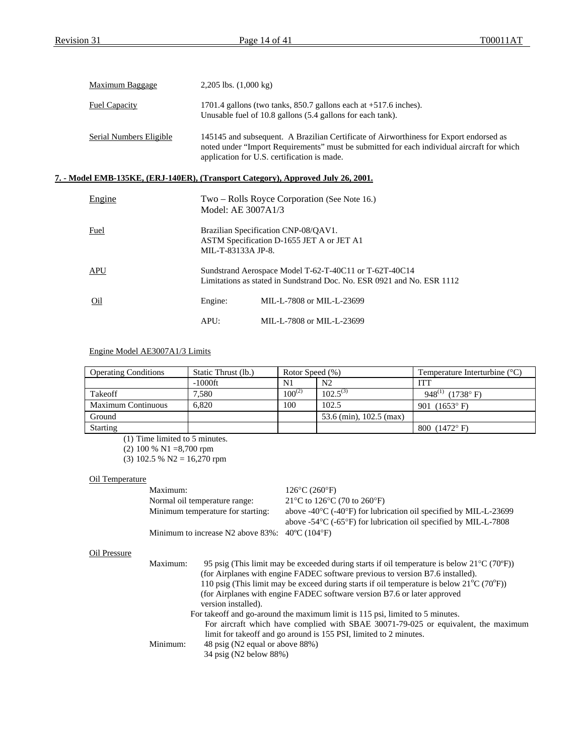| Maximum Baggage         | 2,205 lbs. $(1,000 \text{ kg})$                                                                                                                                                                                                     |
|-------------------------|-------------------------------------------------------------------------------------------------------------------------------------------------------------------------------------------------------------------------------------|
| <b>Fuel Capacity</b>    | 1701.4 gallons (two tanks, $850.7$ gallons each at $+517.6$ inches).<br>Unusable fuel of 10.8 gallons (5.4 gallons for each tank).                                                                                                  |
| Serial Numbers Eligible | 145145 and subsequent. A Brazilian Certificate of Airworthiness for Export endorsed as<br>noted under "Import Requirements" must be submitted for each individual aircraft for which<br>application for U.S. certification is made. |

## **7. - Model EMB-135KE, (ERJ-140ER), (Transport Category), Approved July 26, 2001.**

| Engine |                    | Two – Rolls Royce Corporation (See Note 16.)<br>Model: AE 3007A1/3                                                               |
|--------|--------------------|----------------------------------------------------------------------------------------------------------------------------------|
| Fuel   | MIL-T-83133A JP-8. | Brazilian Specification CNP-08/QAV1.<br>ASTM Specification D-1655 JET A or JET A1                                                |
| APU    |                    | Sundstrand Aerospace Model T-62-T-40C11 or T-62T-40C14<br>Limitations as stated in Sundstrand Doc. No. ESR 0921 and No. ESR 1112 |
| Oil    | Engine:            | MIL-L-7808 or MIL-L-23699                                                                                                        |
|        | APU:               | MIL-L-7808 or MIL-L-23699                                                                                                        |

## Engine Model AE3007A1/3 Limits

| <b>Operating Conditions</b> | Static Thrust (lb.) | Rotor Speed (%) |                         | Temperature Interturbine $(^{\circ}C)$ |
|-----------------------------|---------------------|-----------------|-------------------------|----------------------------------------|
|                             | $-1000$ ft          | N1              | N <sub>2</sub>          | ITT                                    |
| Takeoff                     | 7.580               | $100^{(2)}$     | $102.5^{(3)}$           | 948 <sup>(1)</sup> (1738° F)           |
| <b>Maximum Continuous</b>   | 6.820               | 100             | 102.5                   | 901 $(1653^{\circ} \text{ F})$         |
| Ground                      |                     |                 | 53.6 (min), 102.5 (max) |                                        |
| <b>Starting</b>             |                     |                 |                         | 800 $(1472^{\circ} F)$                 |

(1) Time limited to 5 minutes.

(2) 100 % N1 =8,700 rpm

(3) 102.5 % N2 =  $16,270$  rpm

## Oil Temperature

|              | Maximum:                      |                                                                         | $126^{\circ}$ C (260 $^{\circ}$ F)                                                                                                                                                                                                                                                                                                                                                                                                                                                                                                                           |
|--------------|-------------------------------|-------------------------------------------------------------------------|--------------------------------------------------------------------------------------------------------------------------------------------------------------------------------------------------------------------------------------------------------------------------------------------------------------------------------------------------------------------------------------------------------------------------------------------------------------------------------------------------------------------------------------------------------------|
|              | Normal oil temperature range: |                                                                         | 21°C to 126°C (70 to 260°F)                                                                                                                                                                                                                                                                                                                                                                                                                                                                                                                                  |
|              |                               | Minimum temperature for starting:                                       | above $-40^{\circ}$ C ( $-40^{\circ}$ F) for lubrication oil specified by MIL-L-23699<br>above -54 $\rm{^{\circ}C}$ (-65 $\rm{^{\circ}F}$ ) for lubrication oil specified by MIL-L-7808                                                                                                                                                                                                                                                                                                                                                                      |
|              |                               | Minimum to increase N2 above $83\%$ : $40^{\circ}$ C (104 $^{\circ}$ F) |                                                                                                                                                                                                                                                                                                                                                                                                                                                                                                                                                              |
| Oil Pressure |                               |                                                                         |                                                                                                                                                                                                                                                                                                                                                                                                                                                                                                                                                              |
|              | Maximum:                      | version installed).                                                     | 95 psig (This limit may be exceeded during starts if oil temperature is below $21^{\circ}C(70^{\circ}F)$ )<br>(for Airplanes with engine FADEC software previous to version B7.6 installed).<br>110 psig (This limit may be exceed during starts if oil temperature is below $21^{\circ}C(70^{\circ}F)$ )<br>(for Airplanes with engine FADEC software version B7.6 or later approved<br>For takeoff and go-around the maximum limit is 115 psi, limited to 5 minutes.<br>For aircraft which have complied with SBAE 30071-79-025 or equivalent, the maximum |
|              | Minimum:                      | 48 psig (N2 equal or above 88%)<br>34 psig (N2 below 88%)               | limit for takeoff and go around is 155 PSI, limited to 2 minutes.                                                                                                                                                                                                                                                                                                                                                                                                                                                                                            |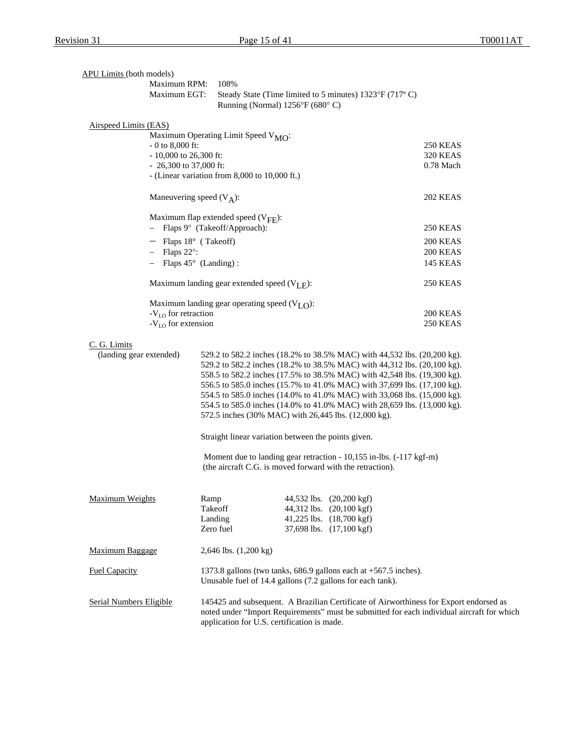| <b>APU Limits (both models)</b>         |                                 |                                                                                                                                                                          |  |                                                                                                              |                                                                                                                                                                                                                                                                                                                                                                                                                                                                                                                                             |  |
|-----------------------------------------|---------------------------------|--------------------------------------------------------------------------------------------------------------------------------------------------------------------------|--|--------------------------------------------------------------------------------------------------------------|---------------------------------------------------------------------------------------------------------------------------------------------------------------------------------------------------------------------------------------------------------------------------------------------------------------------------------------------------------------------------------------------------------------------------------------------------------------------------------------------------------------------------------------------|--|
|                                         | Maximum RPM:                    | 108%                                                                                                                                                                     |  |                                                                                                              |                                                                                                                                                                                                                                                                                                                                                                                                                                                                                                                                             |  |
|                                         | Maximum EGT:                    | Steady State (Time limited to 5 minutes) 1323°F (717°C)                                                                                                                  |  |                                                                                                              |                                                                                                                                                                                                                                                                                                                                                                                                                                                                                                                                             |  |
|                                         |                                 | Running (Normal) 1256°F (680°C)                                                                                                                                          |  |                                                                                                              |                                                                                                                                                                                                                                                                                                                                                                                                                                                                                                                                             |  |
| Airspeed Limits (EAS)                   |                                 |                                                                                                                                                                          |  |                                                                                                              |                                                                                                                                                                                                                                                                                                                                                                                                                                                                                                                                             |  |
|                                         |                                 | Maximum Operating Limit Speed V <sub>MO</sub> :                                                                                                                          |  |                                                                                                              |                                                                                                                                                                                                                                                                                                                                                                                                                                                                                                                                             |  |
|                                         | $-0$ to 8,000 ft:               |                                                                                                                                                                          |  |                                                                                                              | 250 KEAS                                                                                                                                                                                                                                                                                                                                                                                                                                                                                                                                    |  |
|                                         | $-10,000$ to 26,300 ft:         |                                                                                                                                                                          |  |                                                                                                              | <b>320 KEAS</b>                                                                                                                                                                                                                                                                                                                                                                                                                                                                                                                             |  |
|                                         | $-26,300$ to 37,000 ft:         |                                                                                                                                                                          |  |                                                                                                              | 0.78 Mach                                                                                                                                                                                                                                                                                                                                                                                                                                                                                                                                   |  |
|                                         |                                 | - (Linear variation from 8,000 to 10,000 ft.)                                                                                                                            |  |                                                                                                              |                                                                                                                                                                                                                                                                                                                                                                                                                                                                                                                                             |  |
|                                         | Maneuvering speed $(V_A)$ :     |                                                                                                                                                                          |  |                                                                                                              | <b>202 KEAS</b>                                                                                                                                                                                                                                                                                                                                                                                                                                                                                                                             |  |
|                                         |                                 | Maximum flap extended speed $(V_{\text{FF}})$ :                                                                                                                          |  |                                                                                                              |                                                                                                                                                                                                                                                                                                                                                                                                                                                                                                                                             |  |
|                                         |                                 | Flaps 9° (Takeoff/Approach):                                                                                                                                             |  |                                                                                                              | <b>250 KEAS</b>                                                                                                                                                                                                                                                                                                                                                                                                                                                                                                                             |  |
|                                         | Flaps 18° (Takeoff)             |                                                                                                                                                                          |  |                                                                                                              | 200 KEAS                                                                                                                                                                                                                                                                                                                                                                                                                                                                                                                                    |  |
|                                         | Flaps 22°:                      |                                                                                                                                                                          |  |                                                                                                              | 200 KEAS                                                                                                                                                                                                                                                                                                                                                                                                                                                                                                                                    |  |
|                                         | Flaps $45^{\circ}$ (Landing):   |                                                                                                                                                                          |  |                                                                                                              | <b>145 KEAS</b>                                                                                                                                                                                                                                                                                                                                                                                                                                                                                                                             |  |
|                                         |                                 |                                                                                                                                                                          |  |                                                                                                              |                                                                                                                                                                                                                                                                                                                                                                                                                                                                                                                                             |  |
|                                         |                                 | Maximum landing gear extended speed $(V_{LE})$ :                                                                                                                         |  |                                                                                                              | 250 KEAS                                                                                                                                                                                                                                                                                                                                                                                                                                                                                                                                    |  |
|                                         |                                 | Maximum landing gear operating speed $(VLO)$ :                                                                                                                           |  |                                                                                                              |                                                                                                                                                                                                                                                                                                                                                                                                                                                                                                                                             |  |
|                                         | -V <sub>LO</sub> for retraction |                                                                                                                                                                          |  |                                                                                                              | 200 KEAS                                                                                                                                                                                                                                                                                                                                                                                                                                                                                                                                    |  |
|                                         | $-VLO$ for extension            |                                                                                                                                                                          |  |                                                                                                              | 250 KEAS                                                                                                                                                                                                                                                                                                                                                                                                                                                                                                                                    |  |
| C. G. Limits<br>(landing gear extended) |                                 | 572.5 inches (30% MAC) with 26,445 lbs. (12,000 kg).<br>Straight linear variation between the points given.<br>(the aircraft C.G. is moved forward with the retraction). |  |                                                                                                              | 529.2 to 582.2 inches (18.2% to 38.5% MAC) with 44,532 lbs. (20,200 kg).<br>529.2 to 582.2 inches (18.2% to 38.5% MAC) with 44,312 lbs. (20,100 kg).<br>558.5 to 582.2 inches (17.5% to 38.5% MAC) with 42,548 lbs. (19,300 kg).<br>556.5 to 585.0 inches (15.7% to 41.0% MAC) with 37,699 lbs. (17,100 kg).<br>554.5 to 585.0 inches (14.0% to 41.0% MAC) with 33,068 lbs. (15,000 kg).<br>554.5 to 585.0 inches (14.0% to 41.0% MAC) with 28,659 lbs. (13,000 kg).<br>Moment due to landing gear retraction - 10,155 in-lbs. (-117 kgf-m) |  |
| <b>Maximum Weights</b>                  |                                 | Ramp<br>Takeoff<br>Landing<br>Zero fuel                                                                                                                                  |  | 44,532 lbs. (20,200 kgf)<br>44,312 lbs. (20,100 kgf)<br>41,225 lbs. (18,700 kgf)<br>37,698 lbs. (17,100 kgf) |                                                                                                                                                                                                                                                                                                                                                                                                                                                                                                                                             |  |
| <b>Maximum Baggage</b>                  |                                 | 2,646 lbs. (1,200 kg)                                                                                                                                                    |  |                                                                                                              |                                                                                                                                                                                                                                                                                                                                                                                                                                                                                                                                             |  |
| <b>Fuel Capacity</b>                    |                                 | 1373.8 gallons (two tanks, 686.9 gallons each at +567.5 inches).<br>Unusable fuel of 14.4 gallons (7.2 gallons for each tank).                                           |  |                                                                                                              |                                                                                                                                                                                                                                                                                                                                                                                                                                                                                                                                             |  |
| <b>Serial Numbers Eligible</b>          |                                 | application for U.S. certification is made.                                                                                                                              |  |                                                                                                              | 145425 and subsequent. A Brazilian Certificate of Airworthiness for Export endorsed as<br>noted under "Import Requirements" must be submitted for each individual aircraft for which                                                                                                                                                                                                                                                                                                                                                        |  |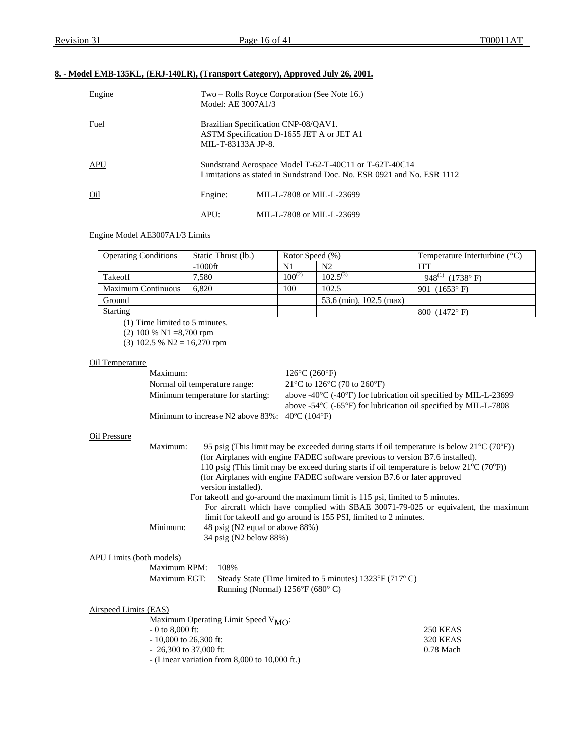## **8. - Model EMB-135KL, (ERJ-140LR), (Transport Category), Approved July 26, 2001.**

| Engine     | Model: AE 3007A1/3 | Two – Rolls Royce Corporation (See Note 16.)                                                                                     |  |  |  |  |
|------------|--------------------|----------------------------------------------------------------------------------------------------------------------------------|--|--|--|--|
| Fuel       |                    | Brazilian Specification CNP-08/QAV1.<br>ASTM Specification D-1655 JET A or JET A1<br>MIL-T-83133A JP-8.                          |  |  |  |  |
| <b>APU</b> |                    | Sundstrand Aerospace Model T-62-T-40C11 or T-62T-40C14<br>Limitations as stated in Sundstrand Doc. No. ESR 0921 and No. ESR 1112 |  |  |  |  |
| Oil        | Engine:            | MIL-L-7808 or MIL-L-23699                                                                                                        |  |  |  |  |
|            | APU:               | MIL-L-7808 or MIL-L-23699                                                                                                        |  |  |  |  |

## Engine Model AE3007A1/3 Limits

| <b>Operating Conditions</b> | Static Thrust (lb.) | Rotor Speed (%) |                         | Temperature Interturbine $(^{\circ}C)$ |
|-----------------------------|---------------------|-----------------|-------------------------|----------------------------------------|
|                             | $-1000$ ft          | N1              | N2                      | ITT                                    |
| Takeoff                     | 7,580               | $100^{(2)}$     | $102.5^{(3)}$           | 948 <sup>(1)</sup> (1738°F)            |
| <b>Maximum Continuous</b>   | 6.820               | 100             | 102.5                   | 901 $(1653^{\circ} \text{ F})$         |
| Ground                      |                     |                 | 53.6 (min), 102.5 (max) |                                        |
| <b>Starting</b>             |                     |                 |                         | 800 $(1472^{\circ} F)$                 |

(1) Time limited to 5 minutes.

(2) 100 % N1 =8,700 rpm

(3) 102.5 % N2 =  $16,270$  rpm

## Oil Temperature

| Maximum:                                                                | $126^{\circ}$ C (260 $^{\circ}$ F)                                                             |
|-------------------------------------------------------------------------|------------------------------------------------------------------------------------------------|
| Normal oil temperature range:                                           | 21 °C to 126 °C (70 to 260 °F)                                                                 |
| Minimum temperature for starting:                                       | above $-40^{\circ}$ C ( $-40^{\circ}$ F) for lubrication oil specified by MIL-L-23699          |
|                                                                         | above -54 $\rm{^{\circ}C}$ (-65 $\rm{^{\circ}F}$ ) for lubrication oil specified by MIL-L-7808 |
| Minimum to increase N2 above $83\%$ : $40^{\circ}$ C (104 $^{\circ}$ F) |                                                                                                |

#### Oil Pressure

|                          | Maximum:                | 95 psig (This limit may be exceeded during starts if oil temperature is below $21^{\circ}C(70^{\circ}F)$ )<br>(for Airplanes with engine FADEC software previous to version B7.6 installed).<br>110 psig (This limit may be exceed during starts if oil temperature is below $21^{\circ}C(70^{\circ}F)$ )<br>(for Airplanes with engine FADEC software version B7.6 or later approved<br>version installed).<br>For takeoff and go-around the maximum limit is 115 psi, limited to 5 minutes.<br>For aircraft which have complied with SBAE 30071-79-025 or equivalent, the maximum |                 |
|--------------------------|-------------------------|-------------------------------------------------------------------------------------------------------------------------------------------------------------------------------------------------------------------------------------------------------------------------------------------------------------------------------------------------------------------------------------------------------------------------------------------------------------------------------------------------------------------------------------------------------------------------------------|-----------------|
|                          | Minimum:                | limit for take off and go around is 155 PSI, limited to 2 minutes.<br>48 psig (N2 equal or above 88%)<br>34 psig (N2 below 88%)                                                                                                                                                                                                                                                                                                                                                                                                                                                     |                 |
| APU Limits (both models) |                         |                                                                                                                                                                                                                                                                                                                                                                                                                                                                                                                                                                                     |                 |
|                          | Maximum RPM:            | 108%                                                                                                                                                                                                                                                                                                                                                                                                                                                                                                                                                                                |                 |
|                          | Maximum EGT:            | Steady State (Time limited to 5 minutes) 1323°F (717°C)<br>Running (Normal) $1256^{\circ}F(680^{\circ}C)$                                                                                                                                                                                                                                                                                                                                                                                                                                                                           |                 |
| Airspeed Limits (EAS)    |                         |                                                                                                                                                                                                                                                                                                                                                                                                                                                                                                                                                                                     |                 |
|                          |                         | Maximum Operating Limit Speed V <sub>MO</sub> :                                                                                                                                                                                                                                                                                                                                                                                                                                                                                                                                     |                 |
|                          | $-0$ to 8,000 ft:       |                                                                                                                                                                                                                                                                                                                                                                                                                                                                                                                                                                                     | <b>250 KEAS</b> |
|                          | $-10,000$ to 26,300 ft: |                                                                                                                                                                                                                                                                                                                                                                                                                                                                                                                                                                                     | <b>320 KEAS</b> |
|                          | $-26,300$ to 37,000 ft: |                                                                                                                                                                                                                                                                                                                                                                                                                                                                                                                                                                                     | $0.78$ Mach     |

- (Linear variation from 8,000 to 10,000 ft.)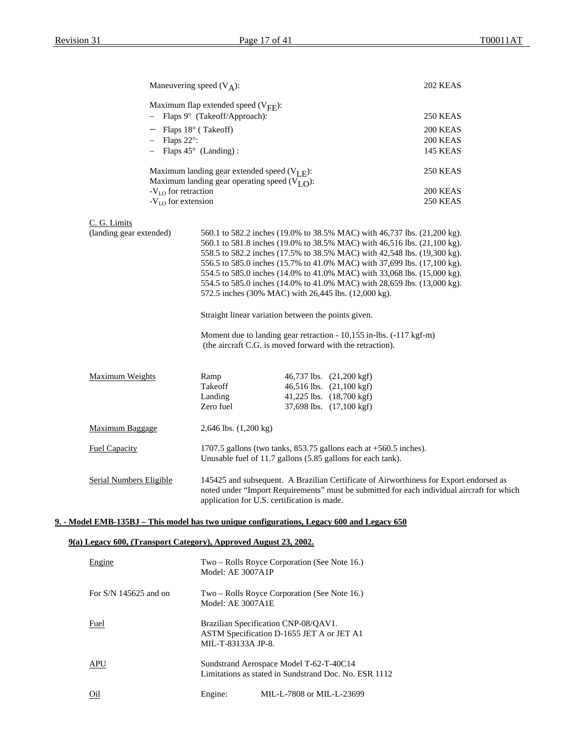|                                                                                            | Maneuvering speed $(V_A)$ :                                                   |                                                                                                                                  | 202 KEAS                                                                                                                                                                             |
|--------------------------------------------------------------------------------------------|-------------------------------------------------------------------------------|----------------------------------------------------------------------------------------------------------------------------------|--------------------------------------------------------------------------------------------------------------------------------------------------------------------------------------|
|                                                                                            | Maximum flap extended speed $(V_{\text{FF}})$ :                               |                                                                                                                                  |                                                                                                                                                                                      |
|                                                                                            | - Flaps 9° (Takeoff/Approach):                                                |                                                                                                                                  | 250 KEAS                                                                                                                                                                             |
|                                                                                            | $-$ Flaps 18 $\degree$ (Takeoff)                                              |                                                                                                                                  | 200 KEAS                                                                                                                                                                             |
|                                                                                            | $-$ Flaps 22 $\degree$ :                                                      |                                                                                                                                  | 200 KEAS                                                                                                                                                                             |
|                                                                                            | $-$ Flaps 45 $\circ$ (Landing):                                               |                                                                                                                                  | 145 KEAS                                                                                                                                                                             |
|                                                                                            | Maximum landing gear extended speed $(V_{I,F})$ :                             |                                                                                                                                  | 250 KEAS                                                                                                                                                                             |
|                                                                                            | Maximum landing gear operating speed $(VI \Omega)$ :<br>$-VLO$ for retraction |                                                                                                                                  | 200 KEAS                                                                                                                                                                             |
|                                                                                            | $-V_{LO}$ for extension                                                       |                                                                                                                                  | 250 KEAS                                                                                                                                                                             |
|                                                                                            |                                                                               |                                                                                                                                  |                                                                                                                                                                                      |
| C. G. Limits                                                                               |                                                                               |                                                                                                                                  |                                                                                                                                                                                      |
| (landing gear extended)                                                                    |                                                                               |                                                                                                                                  | 560.1 to 582.2 inches (19.0% to 38.5% MAC) with 46,737 lbs. (21,200 kg).<br>560.1 to 581.8 inches (19.0% to 38.5% MAC) with 46,516 lbs. (21,100 kg).                                 |
|                                                                                            |                                                                               |                                                                                                                                  | 558.5 to 582.2 inches (17.5% to 38.5% MAC) with 42,548 lbs. (19,300 kg).                                                                                                             |
|                                                                                            |                                                                               |                                                                                                                                  | 556.5 to 585.0 inches (15.7% to 41.0% MAC) with 37,699 lbs. (17,100 kg).                                                                                                             |
|                                                                                            |                                                                               |                                                                                                                                  | 554.5 to 585.0 inches (14.0% to 41.0% MAC) with 33,068 lbs. (15,000 kg).                                                                                                             |
|                                                                                            |                                                                               |                                                                                                                                  | 554.5 to 585.0 inches (14.0% to 41.0% MAC) with 28,659 lbs. (13,000 kg).                                                                                                             |
|                                                                                            |                                                                               | 572.5 inches (30% MAC) with 26,445 lbs. (12,000 kg).                                                                             |                                                                                                                                                                                      |
|                                                                                            |                                                                               | Straight linear variation between the points given.                                                                              |                                                                                                                                                                                      |
|                                                                                            |                                                                               | Moment due to landing gear retraction - 10,155 in-lbs. (-117 kgf-m)<br>(the aircraft C.G. is moved forward with the retraction). |                                                                                                                                                                                      |
|                                                                                            |                                                                               |                                                                                                                                  |                                                                                                                                                                                      |
| Maximum Weights                                                                            | Ramp                                                                          | 46,737 lbs. (21,200 kgf)                                                                                                         |                                                                                                                                                                                      |
|                                                                                            | Takeoff<br>Landing                                                            | 46,516 lbs. (21,100 kgf)<br>41,225 lbs. (18,700 kgf)                                                                             |                                                                                                                                                                                      |
|                                                                                            | Zero fuel                                                                     | 37,698 lbs. (17,100 kgf)                                                                                                         |                                                                                                                                                                                      |
| Maximum Baggage                                                                            | $2,646$ lbs. $(1,200 \text{ kg})$                                             |                                                                                                                                  |                                                                                                                                                                                      |
|                                                                                            |                                                                               |                                                                                                                                  |                                                                                                                                                                                      |
| <b>Fuel Capacity</b>                                                                       |                                                                               | 1707.5 gallons (two tanks, 853.75 gallons each at +560.5 inches).<br>Unusable fuel of 11.7 gallons (5.85 gallons for each tank). |                                                                                                                                                                                      |
| Serial Numbers Eligible                                                                    |                                                                               | application for U.S. certification is made.                                                                                      | 145425 and subsequent. A Brazilian Certificate of Airworthiness for Export endorsed as<br>noted under "Import Requirements" must be submitted for each individual aircraft for which |
| 9. - Model EMB-135BJ – This model has two unique configurations, Legacy 600 and Legacy 650 |                                                                               |                                                                                                                                  |                                                                                                                                                                                      |
| 9(a) Legacy 600, (Transport Category), Approved August 23, 2002.                           |                                                                               |                                                                                                                                  |                                                                                                                                                                                      |
|                                                                                            |                                                                               |                                                                                                                                  |                                                                                                                                                                                      |
| Engine                                                                                     | Model: AE 3007A1P                                                             | Two – Rolls Royce Corporation (See Note 16.)                                                                                     |                                                                                                                                                                                      |
| For $S/N$ 145625 and on                                                                    | Model: AE 3007A1E                                                             | Two – Rolls Royce Corporation (See Note 16.)                                                                                     |                                                                                                                                                                                      |
| <b>Fuel</b>                                                                                |                                                                               | Brazilian Specification CNP-08/QAV1.<br>ASTM Specification D-1655 JET A or JET A1                                                |                                                                                                                                                                                      |

APU Sundstrand Aerospace Model T-62-T-40C14 Limitations as stated in Sundstrand Doc. No. ESR 1112

MIL-T-83133A JP-8.

Oil Engine: MIL-L-7808 or MIL-L-23699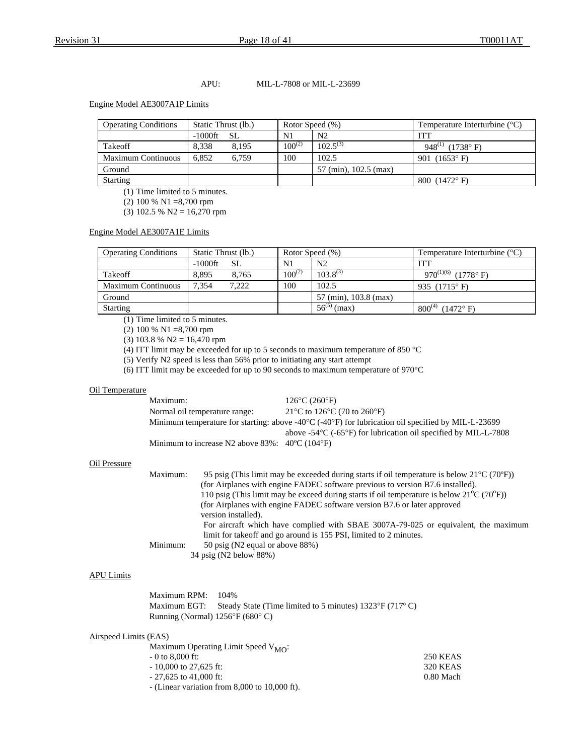#### APU: MIL-L-7808 or MIL-L-23699

#### Engine Model AE3007A1P Limits

| <b>Operating Conditions</b> | Static Thrust (lb.) |             | Rotor Speed (%)       | Temperature Interturbine $(^{\circ}C)$ |
|-----------------------------|---------------------|-------------|-----------------------|----------------------------------------|
|                             | $-1000$ ft<br>SL.   | N1          | N <sub>2</sub>        | ITT                                    |
| Takeoff                     | 8.338<br>8.195      | $100^{(2)}$ | $102.5^{(3)}$         | 948 <sup>(1)</sup> (1738° F)           |
| <b>Maximum Continuous</b>   | 6.852<br>6.759      | 100         | 102.5                 | 901 $(1653^{\circ} \text{ F})$         |
| Ground                      |                     |             | 57 (min), 102.5 (max) |                                        |
| <b>Starting</b>             |                     |             |                       | 800 $(1472^{\circ} \text{ F})$         |

(1) Time limited to 5 minutes.

(2) 100 % N1 =8,700 rpm

(3) 102.5 % N2 = 16,270 rpm

Engine Model AE3007A1E Limits

| <b>Operating Conditions</b> | Static Thrust (lb.) |       | Rotor Speed (%) |                       | Temperature Interturbine $(^{\circ}C)$ |
|-----------------------------|---------------------|-------|-----------------|-----------------------|----------------------------------------|
|                             | $-1000$ ft          | SL.   | N1              | N <sub>2</sub>        | ITT                                    |
| Takeoff                     | 8.895               | 8.765 | $100^{(2)}$     | $103.8^{(3)}$         | 970 <sup>(1)(6)</sup> (1778°F)         |
| <b>Maximum Continuous</b>   | 7.354               | 7,222 | 100             | 102.5                 | 935 $(1715^{\circ} F)$                 |
| Ground                      |                     |       |                 | 57 (min), 103.8 (max) |                                        |
| <b>Starting</b>             |                     |       |                 | $56^{(5)}$ (max)      | $800^{(4)}$<br>$(1472^{\circ} F)$      |

(1) Time limited to 5 minutes.

(2) 100 % N1 =8,700 rpm

(3) 103.8 % N2 = 16,470 rpm

(4) ITT limit may be exceeded for up to 5 seconds to maximum temperature of 850 °C

(5) Verify N2 speed is less than 56% prior to initiating any start attempt

(6) ITT limit may be exceeded for up to 90 seconds to maximum temperature of 970°C

#### Oil Temperature

| Maximum:                                                                | $126^{\circ}$ C (260 $^{\circ}$ F)                                                                                     |
|-------------------------------------------------------------------------|------------------------------------------------------------------------------------------------------------------------|
| Normal oil temperature range:                                           | 21 °C to 126 °C (70 to 260 °F)                                                                                         |
|                                                                         | Minimum temperature for starting: above -40 $\degree$ C (-40 $\degree$ F) for lubrication oil specified by MIL-L-23699 |
|                                                                         | above $-54\degree$ C ( $-65\degree$ F) for lubrication oil specified by MIL-L-7808                                     |
| Minimum to increase N2 above $83\%$ : $40^{\circ}$ C (104 $^{\circ}$ F) |                                                                                                                        |

#### Oil Pressure

| Maximum:                                                                                                  | 95 psig (This limit may be exceeded during starts if oil temperature is below $21^{\circ}C(70^{\circ}F)$ ) |  |  |  |  |
|-----------------------------------------------------------------------------------------------------------|------------------------------------------------------------------------------------------------------------|--|--|--|--|
| (for Airplanes with engine FADEC software previous to version B7.6 installed).                            |                                                                                                            |  |  |  |  |
| 110 psig (This limit may be exceed during starts if oil temperature is below $21^{\circ}C(70^{\circ}F)$ ) |                                                                                                            |  |  |  |  |
|                                                                                                           | (for Airplanes with engine FADEC software version B7.6 or later approved                                   |  |  |  |  |
|                                                                                                           | version installed).                                                                                        |  |  |  |  |
|                                                                                                           | For aircraft which have complied with SBAE 3007A-79-025 or equivalent, the maximum                         |  |  |  |  |
|                                                                                                           | limit for take off and go around is 155 PSI, limited to 2 minutes.                                         |  |  |  |  |
| Minimum:                                                                                                  | 50 psig (N2 equal or above 88%)                                                                            |  |  |  |  |
|                                                                                                           | 34 psig (N2 below 88%)                                                                                     |  |  |  |  |

#### APU Limits

Maximum RPM: 104% Maximum EGT: Steady State (Time limited to 5 minutes) 1323°F (717°C) Running (Normal) 1256°F (680° C)

#### Airspeed Limits (EAS)

| Maximum Operating Limit Speed $V_{MO}$ :          |                 |
|---------------------------------------------------|-----------------|
| $-0$ to 8,000 ft:                                 | <b>250 KEAS</b> |
| $-10,000$ to 27.625 ft:                           | <b>320 KEAS</b> |
| $-27.625$ to 41,000 ft:                           | $0.80$ Mach     |
| - (Linear variation from $8,000$ to $10,000$ ft). |                 |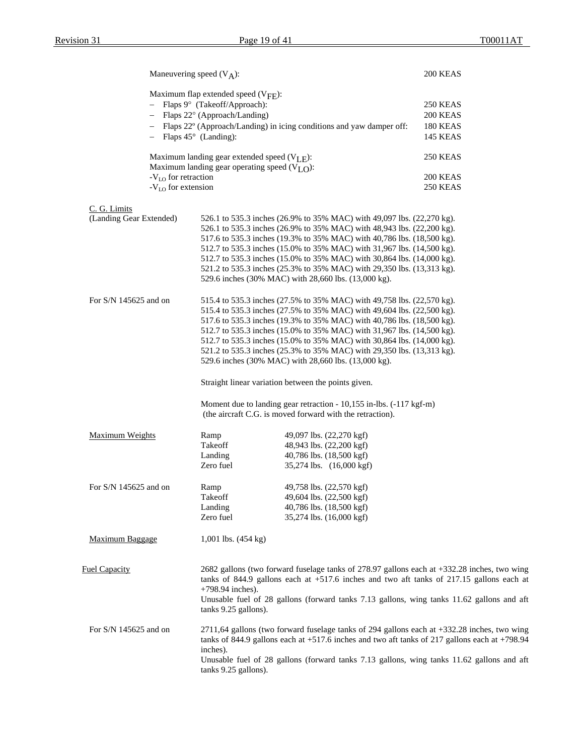|                                                         | Maneuvering speed $(V_A)$ :                                                                                                                                                               |                                                                                                                                                                                                  | 200 KEAS                           |  |  |
|---------------------------------------------------------|-------------------------------------------------------------------------------------------------------------------------------------------------------------------------------------------|--------------------------------------------------------------------------------------------------------------------------------------------------------------------------------------------------|------------------------------------|--|--|
|                                                         | Maximum flap extended speed $(V_{\text{FF}})$ :                                                                                                                                           |                                                                                                                                                                                                  |                                    |  |  |
|                                                         | - Flaps 9° (Takeoff/Approach):                                                                                                                                                            |                                                                                                                                                                                                  | 250 KEAS                           |  |  |
|                                                         | Flaps 22° (Approach/Landing)                                                                                                                                                              |                                                                                                                                                                                                  | 200 KEAS                           |  |  |
|                                                         |                                                                                                                                                                                           | Flaps 22° (Approach/Landing) in icing conditions and yaw damper off:                                                                                                                             | <b>180 KEAS</b>                    |  |  |
|                                                         | $-$ Flaps 45 $\circ$ (Landing):                                                                                                                                                           |                                                                                                                                                                                                  | <b>145 KEAS</b>                    |  |  |
|                                                         | Maximum landing gear extended speed $(V_{I,F})$ :                                                                                                                                         |                                                                                                                                                                                                  | <b>250 KEAS</b>                    |  |  |
|                                                         | Maximum landing gear operating speed $(VLO)$ :                                                                                                                                            |                                                                                                                                                                                                  |                                    |  |  |
| -V <sub>LO</sub> for retraction<br>$-VLO$ for extension |                                                                                                                                                                                           |                                                                                                                                                                                                  | <b>200 KEAS</b><br><b>250 KEAS</b> |  |  |
|                                                         |                                                                                                                                                                                           |                                                                                                                                                                                                  |                                    |  |  |
| C. G. Limits<br>(Landing Gear Extended)                 |                                                                                                                                                                                           | 526.1 to 535.3 inches (26.9% to 35% MAC) with 49,097 lbs. (22,270 kg).                                                                                                                           |                                    |  |  |
|                                                         | 526.1 to 535.3 inches (26.9% to 35% MAC) with 48,943 lbs. (22,200 kg).                                                                                                                    |                                                                                                                                                                                                  |                                    |  |  |
|                                                         |                                                                                                                                                                                           | 517.6 to 535.3 inches (19.3% to 35% MAC) with 40,786 lbs. (18,500 kg).                                                                                                                           |                                    |  |  |
|                                                         |                                                                                                                                                                                           | 512.7 to 535.3 inches (15.0% to 35% MAC) with 31,967 lbs. (14,500 kg).                                                                                                                           |                                    |  |  |
|                                                         |                                                                                                                                                                                           | 512.7 to 535.3 inches (15.0% to 35% MAC) with 30,864 lbs. (14,000 kg).                                                                                                                           |                                    |  |  |
|                                                         |                                                                                                                                                                                           | 521.2 to 535.3 inches (25.3% to 35% MAC) with 29,350 lbs. (13,313 kg).                                                                                                                           |                                    |  |  |
|                                                         |                                                                                                                                                                                           | 529.6 inches (30% MAC) with 28,660 lbs. (13,000 kg).                                                                                                                                             |                                    |  |  |
|                                                         |                                                                                                                                                                                           |                                                                                                                                                                                                  |                                    |  |  |
| For S/N 145625 and on                                   |                                                                                                                                                                                           | 515.4 to 535.3 inches (27.5% to 35% MAC) with 49,758 lbs. (22,570 kg).                                                                                                                           |                                    |  |  |
|                                                         |                                                                                                                                                                                           | 515.4 to 535.3 inches (27.5% to 35% MAC) with 49,604 lbs. (22,500 kg).                                                                                                                           |                                    |  |  |
|                                                         |                                                                                                                                                                                           | 517.6 to 535.3 inches (19.3% to 35% MAC) with 40,786 lbs. (18,500 kg).                                                                                                                           |                                    |  |  |
|                                                         |                                                                                                                                                                                           | 512.7 to 535.3 inches (15.0% to 35% MAC) with 31,967 lbs. (14,500 kg).                                                                                                                           |                                    |  |  |
|                                                         |                                                                                                                                                                                           | 512.7 to 535.3 inches (15.0% to 35% MAC) with 30,864 lbs. (14,000 kg).                                                                                                                           |                                    |  |  |
|                                                         |                                                                                                                                                                                           | 521.2 to 535.3 inches (25.3% to 35% MAC) with 29,350 lbs. (13,313 kg).                                                                                                                           |                                    |  |  |
|                                                         |                                                                                                                                                                                           | 529.6 inches (30% MAC) with 28,660 lbs. (13,000 kg).                                                                                                                                             |                                    |  |  |
|                                                         | Straight linear variation between the points given.                                                                                                                                       |                                                                                                                                                                                                  |                                    |  |  |
|                                                         |                                                                                                                                                                                           | Moment due to landing gear retraction - 10,155 in-lbs. (-117 kgf-m)<br>(the aircraft C.G. is moved forward with the retraction).                                                                 |                                    |  |  |
|                                                         |                                                                                                                                                                                           |                                                                                                                                                                                                  |                                    |  |  |
| <b>Maximum Weights</b>                                  | Ramp                                                                                                                                                                                      | 49,097 lbs. (22,270 kgf)                                                                                                                                                                         |                                    |  |  |
|                                                         | Takeoff                                                                                                                                                                                   | 48,943 lbs. (22,200 kgf)                                                                                                                                                                         |                                    |  |  |
|                                                         | Landing                                                                                                                                                                                   | 40,786 lbs. (18,500 kgf)                                                                                                                                                                         |                                    |  |  |
|                                                         | Zero fuel                                                                                                                                                                                 | 35,274 lbs. (16,000 kgf)                                                                                                                                                                         |                                    |  |  |
| For $S/N$ 145625 and on                                 | Ramp                                                                                                                                                                                      | 49,758 lbs. (22,570 kgf)                                                                                                                                                                         |                                    |  |  |
|                                                         | Takeoff                                                                                                                                                                                   | 49,604 lbs. (22,500 kgf)                                                                                                                                                                         |                                    |  |  |
|                                                         | Landing                                                                                                                                                                                   | 40,786 lbs. (18,500 kgf)                                                                                                                                                                         |                                    |  |  |
|                                                         | Zero fuel                                                                                                                                                                                 | 35,274 lbs. (16,000 kgf)                                                                                                                                                                         |                                    |  |  |
| Maximum Baggage                                         | 1,001 lbs. $(454 \text{ kg})$                                                                                                                                                             |                                                                                                                                                                                                  |                                    |  |  |
|                                                         |                                                                                                                                                                                           |                                                                                                                                                                                                  |                                    |  |  |
| <b>Fuel Capacity</b>                                    | 2682 gallons (two forward fuselage tanks of 278.97 gallons each at +332.28 inches, two wing<br>tanks of 844.9 gallons each at $+517.6$ inches and two aft tanks of 217.15 gallons each at |                                                                                                                                                                                                  |                                    |  |  |
|                                                         | $+798.94$ inches).                                                                                                                                                                        |                                                                                                                                                                                                  |                                    |  |  |
|                                                         | tanks 9.25 gallons).                                                                                                                                                                      | Unusable fuel of 28 gallons (forward tanks 7.13 gallons, wing tanks 11.62 gallons and aft                                                                                                        |                                    |  |  |
|                                                         |                                                                                                                                                                                           |                                                                                                                                                                                                  |                                    |  |  |
| For S/N 145625 and on                                   |                                                                                                                                                                                           | 2711,64 gallons (two forward fuselage tanks of 294 gallons each at +332.28 inches, two wing<br>tanks of 844.9 gallons each at $+517.6$ inches and two aft tanks of 217 gallons each at $+798.94$ |                                    |  |  |
|                                                         | inches).                                                                                                                                                                                  |                                                                                                                                                                                                  |                                    |  |  |
|                                                         | tanks 9.25 gallons).                                                                                                                                                                      | Unusable fuel of 28 gallons (forward tanks 7.13 gallons, wing tanks 11.62 gallons and aft                                                                                                        |                                    |  |  |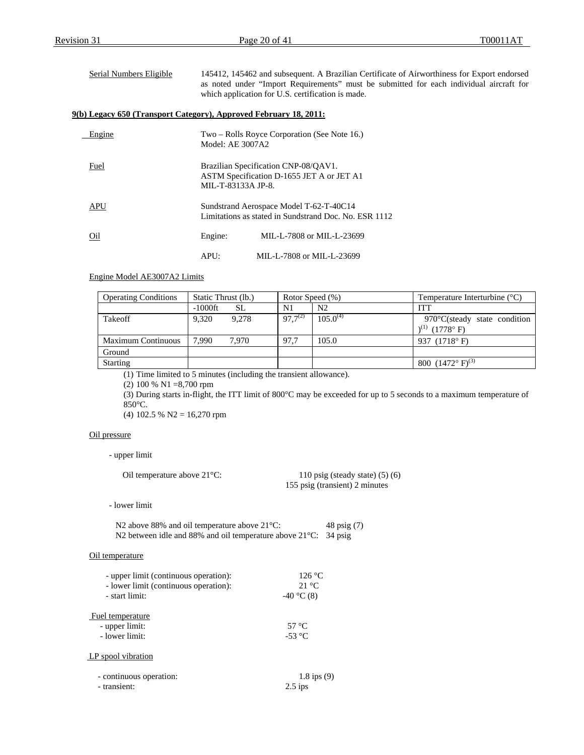| Serial Numbers Eligible | 145412, 145462 and subsequent. A Brazilian Certificate of Airworthiness for Export endorsed<br>as noted under "Import Requirements" must be submitted for each individual aircraft for<br>which application for U.S. certification is made. |
|-------------------------|---------------------------------------------------------------------------------------------------------------------------------------------------------------------------------------------------------------------------------------------|
|                         | 9(b) Legacy 650 (Transport Category), Approved February 18, 2011:                                                                                                                                                                           |
| Engine                  | Two – Rolls Royce Corporation (See Note 16.)<br>Model: AE 3007A2                                                                                                                                                                            |
| Fuel                    | Brazilian Specification CNP-08/OAV1.<br>ASTM Specification D-1655 JET A or JET A1<br>MIL-T-83133A JP-8.                                                                                                                                     |
| APU                     | Sundstrand Aerospace Model T-62-T-40C14<br>Limitations as stated in Sundstrand Doc. No. ESR 1112                                                                                                                                            |

APU: MIL-L-7808 or MIL-L-23699

#### Engine Model AE3007A2 Limits

| <b>Operating Conditions</b> | Static Thrust (lb.) |       | Rotor Speed (%) |                | Temperature Interturbine $(^{\circ}C)$ |
|-----------------------------|---------------------|-------|-----------------|----------------|----------------------------------------|
|                             | $-1000$ ft          | SL    | N1              | N <sub>2</sub> | <b>ITT</b>                             |
| Takeoff                     | 9.320               | 9.278 | $97.7^{(2)}$    | $105.0^{(4)}$  | $970^{\circ}$ C(steady state condition |
|                             |                     |       |                 |                | $1^{(1)}$ (1778° F)                    |
| <b>Maximum Continuous</b>   | 7.990               | 7.970 | 97.7            | 105.0          | 937 (1718°F)                           |
| Ground                      |                     |       |                 |                |                                        |
| <b>Starting</b>             |                     |       |                 |                | 800 $(1472^{\circ} \text{ F})^{(3)}$   |

(1) Time limited to 5 minutes (including the transient allowance).

Oil Engine: MIL-L-7808 or MIL-L-23699

(2) 100 % N1 =8,700 rpm

(3) During starts in-flight, the ITT limit of 800°C may be exceeded for up to 5 seconds to a maximum temperature of 850°C.

(4) 102.5 % N2 = 16,270 rpm

#### Oil pressure

#### - upper limit

| Oil temperature above $21^{\circ}$ C: | 110 psig (steady state) $(5)$ (6) |  |  |
|---------------------------------------|-----------------------------------|--|--|
|                                       | 155 psig (transient) 2 minutes    |  |  |

- lower limit

| N2 above 88% and oil temperature above $21^{\circ}$ C:                    | 48 psig (7) |
|---------------------------------------------------------------------------|-------------|
| N2 between idle and 88% and oil temperature above $21^{\circ}$ C: 34 psig |             |

#### Oil temperature

| - upper limit (continuous operation): | 126 °C          |
|---------------------------------------|-----------------|
| - lower limit (continuous operation): | $21 \text{ °C}$ |
| - start limit:                        | $-40$ °C (8)    |
|                                       |                 |
| Fuel temperature                      |                 |
| - upper limit:                        | 57 °C           |
| - lower limit:                        | $-53$ °C        |
|                                       |                 |
| LP spool vibration                    |                 |
| - continuous operation:               | $1.8$ ips $(9)$ |
| - transient:                          |                 |
|                                       | $2.5$ ips       |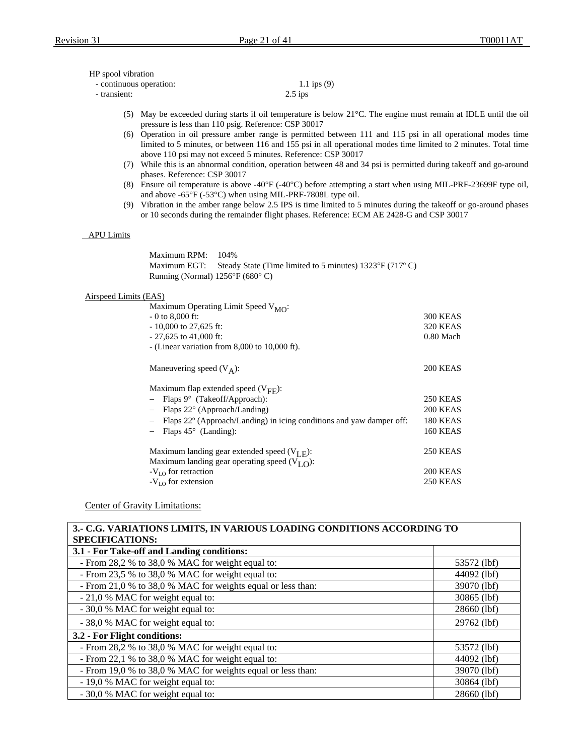#### HP spool vibration

<span id="page-20-1"></span><span id="page-20-0"></span>

| - continuous operation: | 1.1 ips $(9)$ |
|-------------------------|---------------|
| - transient:            | $2.5$ ips     |

- (5) May be exceeded during starts if oil temperature is below 21°C. The engine must remain at IDLE until the oil pressure is less than 110 psig. Reference: CSP 30017
- (6) Operation in oil pressure amber range is permitted between 111 and 115 psi in all operational modes time limited to 5 minutes, or between 116 and 155 psi in all operational modes time limited to 2 minutes. Total time above 110 psi may not exceed 5 minutes. Reference: CSP 30017
- <span id="page-20-2"></span>(7) While this is an abnormal condition, operation between 48 and 34 psi is permitted during takeoff and go-around phases. Reference: CSP 30017
- (8) Ensure oil temperature is above -40°F (-40°C) before attempting a start when using MIL-PRF-23699F type oil, and above -65°F (-53°C) when using MIL-PRF-7808L type oil.
- (9) Vibration in the amber range below 2.5 IPS is time limited to 5 minutes during the takeoff or go-around phases or 10 seconds during the remainder flight phases. Reference: ECM AE 2428-G and CSP 30017

#### <span id="page-20-4"></span><span id="page-20-3"></span>APU Limits

Maximum RPM: 104% Maximum EGT: Steady State (Time limited to 5 minutes) 1323°F (717°C) Running (Normal) 1256°F (680° C)

#### Airspeed Limits (EAS)

| Maximum Operating Limit Speed V <sub>MO</sub> :                      |                 |
|----------------------------------------------------------------------|-----------------|
| $-0$ to 8,000 ft:                                                    | <b>300 KEAS</b> |
| $-10,000$ to 27,625 ft:                                              | <b>320 KEAS</b> |
| $-27,625$ to 41,000 ft:                                              | $0.80$ Mach     |
| - (Linear variation from $8,000$ to $10,000$ ft).                    |                 |
|                                                                      |                 |
| Maneuvering speed $(V_A)$ :                                          | <b>200 KEAS</b> |
|                                                                      |                 |
| Maximum flap extended speed $(V_{\text{FF}})$ :                      |                 |
| Flaps $9^{\circ}$ (Takeoff/Approach):<br>$\qquad \qquad -$           | <b>250 KEAS</b> |
| Flaps $22^{\circ}$ (Approach/Landing)                                | <b>200 KEAS</b> |
| Flaps 22° (Approach/Landing) in icing conditions and yaw damper off: | <b>180 KEAS</b> |
| Flaps $45^{\circ}$ (Landing):                                        | <b>160 KEAS</b> |
|                                                                      |                 |
| Maximum landing gear extended speed $(V_{I,F})$ :                    | <b>250 KEAS</b> |
| Maximum landing gear operating speed $(V_{I,\Omega})$ :              |                 |
| $-V_{\text{LO}}$ for retraction                                      | 200 KEAS        |
| $-V_{\text{LO}}$ for extension                                       | 250 KEAS        |

#### Center of Gravity Limitations:

# **3.- C.G. VARIATIONS LIMITS, IN VARIOUS LOADING CONDITIONS ACCORDING TO SPECIFICATIONS: 3.1 - For Take-off and Landing conditions:** - From 28,2 % to 38,0 % MAC for weight equal to:  $\qquad \qquad \qquad$  53572 (lbf) - From 23,5 % to 38,0 % MAC for weight equal to: 44092 (lbf) - From 21,0 % to 38,0 % MAC for weights equal or less than: 39070 (lbf) - 21,0 % MAC for weight equal to: 30865 (lbf) - 30,0 % MAC for weight equal to: 28660 (lbf) - 38,0 % MAC for weight equal to: 29762 (lbf) **3.2 - For Flight conditions:** - From 28,2 % to 38,0 % MAC for weight equal to: 53572 (lbf) - From 22.1 % to 38.0 % MAC for weight equal to:  $\vert$  44092 (lbf) - From 19,0 % to 38,0 % MAC for weights equal or less than: 39070 (lbf) - 19,0 % MAC for weight equal to: 30864 (lbf) - 30,0 % MAC for weight equal to: 28660 (lbf)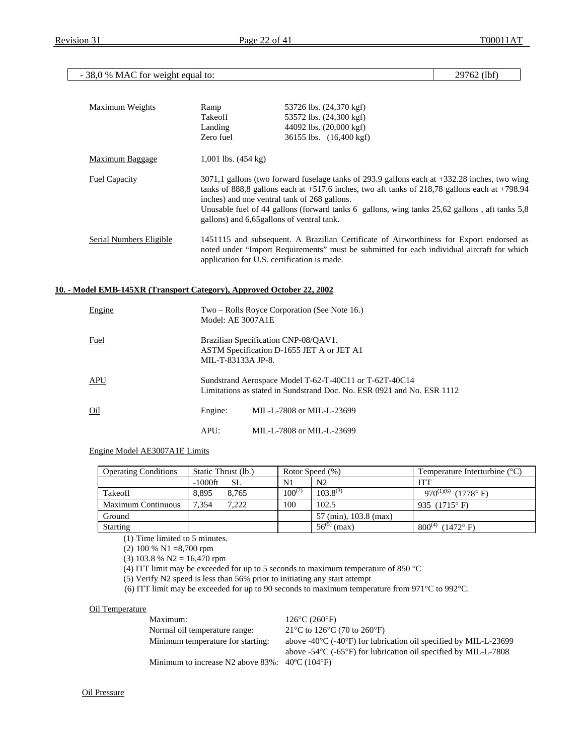## - 38,0 % MAC for weight equal to: 29762 (lbf)

| Maximum Weights         | Ramp<br>Takeoff<br>Landing<br>Zero fuel                                                                                                                                                                                                                                                                                                                                                              | 53726 lbs. (24,370 kgf)<br>53572 lbs. (24,300 kgf)<br>44092 lbs. (20,000 kgf)<br>36155 lbs. (16,400 kgf)                                                                              |  |
|-------------------------|------------------------------------------------------------------------------------------------------------------------------------------------------------------------------------------------------------------------------------------------------------------------------------------------------------------------------------------------------------------------------------------------------|---------------------------------------------------------------------------------------------------------------------------------------------------------------------------------------|--|
| Maximum Baggage         | 1,001 lbs. $(454 \text{ kg})$                                                                                                                                                                                                                                                                                                                                                                        |                                                                                                                                                                                       |  |
| <b>Fuel Capacity</b>    | 3071,1 gallons (two forward fuselage tanks of 293.9 gallons each at +332.28 inches, two wing<br>tanks of 888,8 gallons each at $+517.6$ inches, two aft tanks of 218,78 gallons each at $+798.94$<br>inches) and one ventral tank of 268 gallons.<br>Unusable fuel of 44 gallons (forward tanks 6 gallons, wing tanks $25,62$ gallons, aft tanks $5,8$<br>gallons) and 6,65 gallons of ventral tank. |                                                                                                                                                                                       |  |
| Serial Numbers Eligible | application for U.S. certification is made.                                                                                                                                                                                                                                                                                                                                                          | 1451115 and subsequent. A Brazilian Certificate of Airworthiness for Export endorsed as<br>noted under "Import Requirements" must be submitted for each individual aircraft for which |  |

## **10. - Model EMB-145XR (Transport Category), Approved October 22, 2002**

| Engine | Model: AE 3007A1E                                                                                       | Two – Rolls Royce Corporation (See Note 16.)                                                                                     |  |
|--------|---------------------------------------------------------------------------------------------------------|----------------------------------------------------------------------------------------------------------------------------------|--|
| Fuel   | Brazilian Specification CNP-08/QAV1.<br>ASTM Specification D-1655 JET A or JET A1<br>MIL-T-83133A JP-8. |                                                                                                                                  |  |
| APU    |                                                                                                         | Sundstrand Aerospace Model T-62-T-40C11 or T-62T-40C14<br>Limitations as stated in Sundstrand Doc. No. ESR 0921 and No. ESR 1112 |  |
| Oil    | Engine:                                                                                                 | MIL-L-7808 or MIL-L-23699                                                                                                        |  |
|        | APU:                                                                                                    | MIL-L-7808 or MIL-L-23699                                                                                                        |  |

#### Engine Model AE3007A1E Limits

| <b>Operating Conditions</b> | Static Thrust (lb.) | Rotor Speed (%) |                       | Temperature Interturbine $(^{\circ}C)$ |
|-----------------------------|---------------------|-----------------|-----------------------|----------------------------------------|
|                             | $-1000$ ft<br>SL.   | N1              | N <sub>2</sub>        | ITT                                    |
| Takeoff                     | 8.895<br>8.765      | $100^{(2)}$     | $103.8^{(3)}$         | 970 <sup>(1)(6)</sup> (1778°F)         |
| <b>Maximum Continuous</b>   | 7.354<br>7.222      | 100             | 102.5                 | 935 $(1715^{\circ} F)$                 |
| Ground                      |                     |                 | 57 (min), 103.8 (max) |                                        |
| <b>Starting</b>             |                     |                 | $56^{(5)}$<br>(max)   | $800^{(4)}$<br>$(1472^{\circ} F)$      |

(1) Time limited to 5 minutes.

(2) 100 % N1 =8,700 rpm

(3) 103.8 % N2 = 16,470 rpm

(4) ITT limit may be exceeded for up to 5 seconds to maximum temperature of 850 °C

(5) Verify N2 speed is less than 56% prior to initiating any start attempt

(6) ITT limit may be exceeded for up to 90 seconds to maximum temperature from 971°C to 992°C.

#### Oil Temperature

| Maximum:                                                              | $126^{\circ}$ C (260 $^{\circ}$ F)                                                   |
|-----------------------------------------------------------------------|--------------------------------------------------------------------------------------|
| Normal oil temperature range:                                         | 21 °C to 126 °C (70 to 260 °F)                                                       |
| Minimum temperature for starting:                                     | above -40 $\degree$ C (-40 $\degree$ F) for lubrication oil specified by MIL-L-23699 |
|                                                                       | above $-54\degree$ C ( $-65\degree$ F) for lubrication oil specified by MIL-L-7808   |
| Minimum to increase N2 above $83\%$ : $40\degree$ C (104 $\degree$ F) |                                                                                      |

Oil Pressure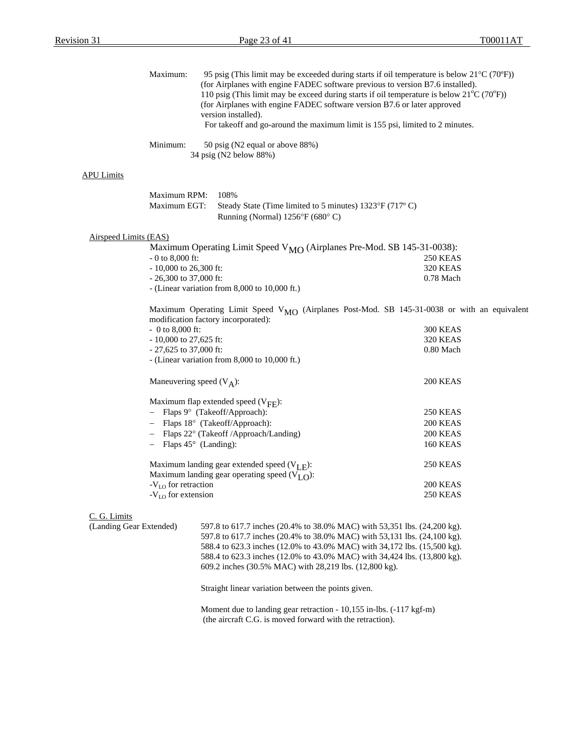| Maximum:                                |                                                                         | (for Airplanes with engine FADEC software previous to version B7.6 installed).<br>(for Airplanes with engine FADEC software version B7.6 or later approved<br>version installed).<br>For takeoff and go-around the maximum limit is 155 psi, limited to 2 minutes.                                           | 95 psig (This limit may be exceeded during starts if oil temperature is below $21^{\circ}C(70^{\circ}F)$ )<br>110 psig (This limit may be exceed during starts if oil temperature is below $21^{\circ}C(70^{\circ}F)$ ) |
|-----------------------------------------|-------------------------------------------------------------------------|--------------------------------------------------------------------------------------------------------------------------------------------------------------------------------------------------------------------------------------------------------------------------------------------------------------|-------------------------------------------------------------------------------------------------------------------------------------------------------------------------------------------------------------------------|
| Minimum:                                |                                                                         | 50 psig (N2 equal or above 88%)<br>34 psig (N2 below 88%)                                                                                                                                                                                                                                                    |                                                                                                                                                                                                                         |
| <b>APU Limits</b>                       |                                                                         |                                                                                                                                                                                                                                                                                                              |                                                                                                                                                                                                                         |
|                                         | Maximum RPM:<br>Maximum EGT:                                            | 108%<br>Steady State (Time limited to 5 minutes) $1323^{\circ}F(717^{\circ}C)$<br>Running (Normal) $1256^{\circ}F(680^{\circ}C)$                                                                                                                                                                             |                                                                                                                                                                                                                         |
| <b>Airspeed Limits (EAS)</b>            |                                                                         |                                                                                                                                                                                                                                                                                                              |                                                                                                                                                                                                                         |
|                                         | $-0$ to 8,000 ft:<br>$-10,000$ to 26,300 ft:<br>$-26,300$ to 37,000 ft: | Maximum Operating Limit Speed V <sub>MO</sub> (Airplanes Pre-Mod. SB 145-31-0038):<br>- (Linear variation from 8,000 to 10,000 ft.)                                                                                                                                                                          | 250 KEAS<br><b>320 KEAS</b><br>0.78 Mach                                                                                                                                                                                |
|                                         | $-0$ to 8,000 ft:<br>- 10,000 to 27,625 ft:<br>$-27,625$ to 37,000 ft:  | modification factory incorporated):<br>- (Linear variation from $8,000$ to $10,000$ ft.)                                                                                                                                                                                                                     | Maximum Operating Limit Speed V <sub>MO</sub> (Airplanes Post-Mod. SB 145-31-0038 or with an equivalent<br><b>300 KEAS</b><br><b>320 KEAS</b><br>0.80 Mach                                                              |
|                                         |                                                                         | Maneuvering speed $(V_A)$ :                                                                                                                                                                                                                                                                                  | 200 KEAS                                                                                                                                                                                                                |
|                                         |                                                                         | Maximum flap extended speed $(V_{\text{FE}})$ :<br>Flaps 9° (Takeoff/Approach):<br>Flaps 18° (Takeoff/Approach):<br>Flaps 22° (Takeoff /Approach/Landing)<br>Flaps $45^{\circ}$ (Landing):                                                                                                                   | 250 KEAS<br>200 KEAS<br><b>200 KEAS</b><br><b>160 KEAS</b>                                                                                                                                                              |
|                                         | $-V_{LO}$ for retraction<br>$-VLO$ for extension                        | Maximum landing gear extended speed $(V_{I,F})$ :<br>Maximum landing gear operating speed $(VLO)$ :                                                                                                                                                                                                          | <b>250 KEAS</b><br>200 KEAS<br>250 KEAS                                                                                                                                                                                 |
| C. G. Limits<br>(Landing Gear Extended) |                                                                         | 597.8 to 617.7 inches (20.4% to 38.0% MAC) with 53,351 lbs. (24,200 kg).<br>597.8 to 617.7 inches (20.4% to 38.0% MAC) with 53,131 lbs. (24,100 kg).<br>588.4 to 623.3 inches (12.0% to 43.0% MAC) with 34,172 lbs. (15,500 kg).<br>588.4 to 623.3 inches (12.0% to 43.0% MAC) with 34,424 lbs. (13,800 kg). |                                                                                                                                                                                                                         |

609.2 inches (30.5% MAC) with 28,219 lbs. (12,800 kg).

Straight linear variation between the points given.

Moment due to landing gear retraction - 10,155 in-lbs. (-117 kgf-m) (the aircraft C.G. is moved forward with the retraction).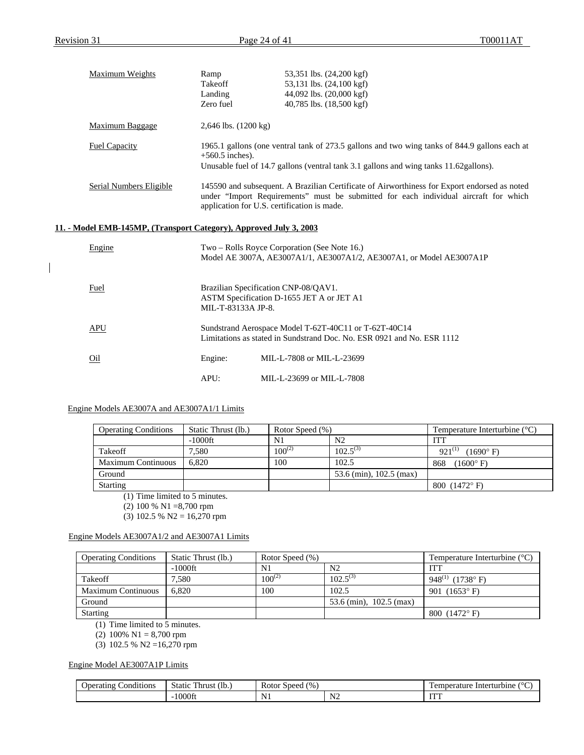| <b>Maximum Weights</b>                                             | Ramp                             | 53,351 lbs. (24,200 kgf)                                                                                                                                                                                                            |
|--------------------------------------------------------------------|----------------------------------|-------------------------------------------------------------------------------------------------------------------------------------------------------------------------------------------------------------------------------------|
|                                                                    | Takeoff                          | 53,131 lbs. (24,100 kgf)                                                                                                                                                                                                            |
|                                                                    | Landing                          | 44,092 lbs. (20,000 kgf)                                                                                                                                                                                                            |
|                                                                    | Zero fuel                        | 40,785 lbs. (18,500 kgf)                                                                                                                                                                                                            |
| Maximum Baggage                                                    | $2,646$ lbs. $(1200 \text{ kg})$ |                                                                                                                                                                                                                                     |
| <b>Fuel Capacity</b>                                               | $+560.5$ inches).                | 1965.1 gallons (one ventral tank of 273.5 gallons and two wing tanks of 844.9 gallons each at<br>Unusable fuel of 14.7 gallons (ventral tank 3.1 gallons and wing tanks 11.62 gallons).                                             |
| <b>Serial Numbers Eligible</b>                                     |                                  | 145590 and subsequent. A Brazilian Certificate of Airworthiness for Export endorsed as noted<br>under "Import Requirements" must be submitted for each individual aircraft for which<br>application for U.S. certification is made. |
| 11. - Model EMB-145MP, (Transport Category), Approved July 3, 2003 |                                  |                                                                                                                                                                                                                                     |
| Engine                                                             |                                  | Two – Rolls Royce Corporation (See Note 16.)<br>Model AE 3007A, AE3007A1/1, AE3007A1/2, AE3007A1, or Model AE3007A1P                                                                                                                |
| Fuel                                                               | MIL-T-83133A JP-8.               | Brazilian Specification CNP-08/QAV1.<br>ASTM Specification D-1655 JET A or JET A1                                                                                                                                                   |
| <b>APU</b>                                                         |                                  | Sundstrand Aerospace Model T-62T-40C11 or T-62T-40C14<br>Limitations as stated in Sundstrand Doc. No. ESR 0921 and No. ESR 1112                                                                                                     |
| O <sub>1</sub>                                                     | Engine:                          | MIL-L-7808 or MIL-L-23699                                                                                                                                                                                                           |
|                                                                    | APU:                             | MIL-L-23699 or MIL-L-7808                                                                                                                                                                                                           |

## Engine Models AE3007A and AE3007A1/1 Limits

| <b>Operating Conditions</b> | Static Thrust (lb.) | Rotor Speed (%) |                         | Temperature Interturbine $(^{\circ}C)$ |
|-----------------------------|---------------------|-----------------|-------------------------|----------------------------------------|
|                             | -1000ft             | N1              | N <sub>2</sub>          | <b>ITT</b>                             |
| <b>Takeoff</b>              | '.580               | $100^{(2)}$     | $102.5^{(3)}$           | $921^{(1)}$<br>$(1690^{\circ} F)$      |
| <b>Maximum Continuous</b>   | 6.820               | 100             | 102.5                   | $(1600^{\circ} \text{ F})$<br>868      |
| Ground                      |                     |                 | 53.6 (min), 102.5 (max) |                                        |
| <b>Starting</b>             |                     |                 |                         | 800 $(1472^{\circ} F)$                 |

(1) Time limited to 5 minutes.

(2) 100 % N1 =8,700 rpm

(3) 102.5 % N2 = 16,270 rpm

## Engine Models AE3007A1/2 and AE3007A1 Limits

| <b>Operating Conditions</b> | Static Thrust (lb.) | Rotor Speed (%) |                         | Temperature Interturbine $(^{\circ}C)$ |
|-----------------------------|---------------------|-----------------|-------------------------|----------------------------------------|
|                             | $-1000$ ft          | N <sub>1</sub>  | N2                      | <b>ITT</b>                             |
| Takeoff                     | 7.580               | $100^{(2)}$     | $102.5^{(3)}$           | $948^{(1)}$<br>$(1738^{\circ} F)$      |
| <b>Maximum Continuous</b>   | 6.820               | 100             | 102.5                   | 901 $(1653^{\circ} \text{ F})$         |
| Ground                      |                     |                 | 53.6 (min), 102.5 (max) |                                        |
| <b>Starting</b>             |                     |                 |                         | 800 $(1472^{\circ} F)$                 |

(1) Time limited to 5 minutes.

(2)  $100\% \text{ N1} = 8,700 \text{ rpm}$ 

(3) 102.5 % N2 =16,270 rpm

## Engine Model AE3007A1P Limits

| $\cdots$<br>onditions_<br><b>Operating</b> | <b>CONTRACTOR</b><br>$\cdot$ (lb.<br>static:<br>l'hrust | $\frac{1}{2}$<br>Rotor<br>Speed    |                               | . emperature<br>Interturbine |
|--------------------------------------------|---------------------------------------------------------|------------------------------------|-------------------------------|------------------------------|
|                                            | !000fi                                                  | N<br>the control of the control of | .<br>.<br>and the contract of | TELET<br>.                   |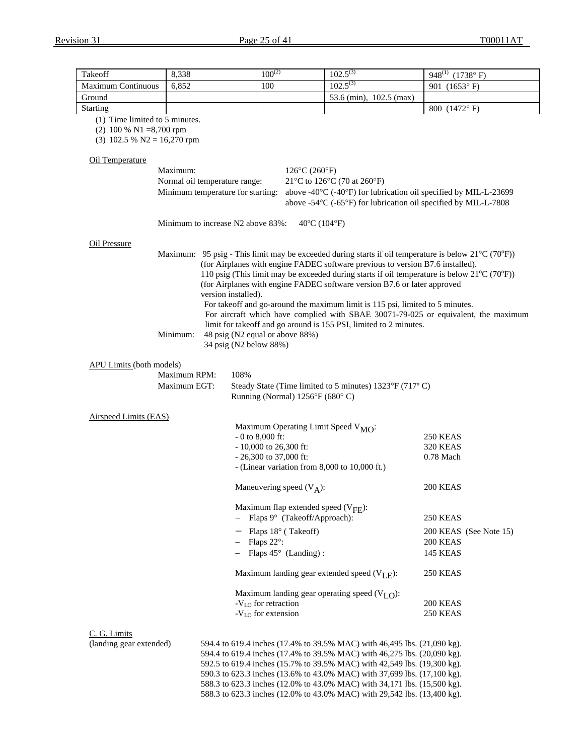| Takeoff                                                                                      | 8,338                                                                                             | $100^{(2)}$                                                                                                                                                                                                    | $102.5^{(3)}$                                                                                                                                                                                                                                                                                                                                                                                                                                                                                                                                                                                                      | 948 <sup>(1)</sup> (1738°F)                                                                                                    |
|----------------------------------------------------------------------------------------------|---------------------------------------------------------------------------------------------------|----------------------------------------------------------------------------------------------------------------------------------------------------------------------------------------------------------------|--------------------------------------------------------------------------------------------------------------------------------------------------------------------------------------------------------------------------------------------------------------------------------------------------------------------------------------------------------------------------------------------------------------------------------------------------------------------------------------------------------------------------------------------------------------------------------------------------------------------|--------------------------------------------------------------------------------------------------------------------------------|
| <b>Maximum Continuous</b>                                                                    | 6,852                                                                                             | 100                                                                                                                                                                                                            | $102.5^{(3)}$                                                                                                                                                                                                                                                                                                                                                                                                                                                                                                                                                                                                      | 901 (1653°F)                                                                                                                   |
| Ground                                                                                       |                                                                                                   |                                                                                                                                                                                                                | 53.6 (min), 102.5 (max)                                                                                                                                                                                                                                                                                                                                                                                                                                                                                                                                                                                            |                                                                                                                                |
| <b>Starting</b>                                                                              |                                                                                                   |                                                                                                                                                                                                                |                                                                                                                                                                                                                                                                                                                                                                                                                                                                                                                                                                                                                    | 800 (1472°F)                                                                                                                   |
| (1) Time limited to 5 minutes.<br>$(2)$ 100 % N1 =8,700 rpm<br>$(3)$ 102.5 % N2 = 16,270 rpm |                                                                                                   |                                                                                                                                                                                                                |                                                                                                                                                                                                                                                                                                                                                                                                                                                                                                                                                                                                                    |                                                                                                                                |
| Oil Temperature                                                                              |                                                                                                   |                                                                                                                                                                                                                |                                                                                                                                                                                                                                                                                                                                                                                                                                                                                                                                                                                                                    |                                                                                                                                |
|                                                                                              | Maximum:                                                                                          | $126^{\circ}C(260^{\circ}F)$                                                                                                                                                                                   |                                                                                                                                                                                                                                                                                                                                                                                                                                                                                                                                                                                                                    |                                                                                                                                |
|                                                                                              | Normal oil temperature range:<br>Minimum temperature for starting:                                |                                                                                                                                                                                                                | 21°C to 126°C (70 at 260°F)<br>above -40°C (-40°F) for lubrication oil specified by MIL-L-23699<br>above -54°C (-65°F) for lubrication oil specified by MIL-L-7808                                                                                                                                                                                                                                                                                                                                                                                                                                                 |                                                                                                                                |
|                                                                                              | Minimum to increase N2 above 83%:                                                                 | $40^{\circ}$ C (104 $^{\circ}$ F)                                                                                                                                                                              |                                                                                                                                                                                                                                                                                                                                                                                                                                                                                                                                                                                                                    |                                                                                                                                |
| Oil Pressure<br><b>APU Limits (both models)</b><br>Airspeed Limits (EAS)                     | version installed).<br>Minimum:<br>34 psig (N2 below 88%)<br>Maximum RPM:<br>108%<br>Maximum EGT: | 48 psig (N2 equal or above 88%)<br>Running (Normal) $1256^{\circ}F(680^{\circ}C)$<br>Maximum Operating Limit Speed V <sub>MO</sub> :<br>$-0$ to 8,000 ft:<br>- 10,000 to 26,300 ft:<br>$-26,300$ to 37,000 ft: | Maximum: 95 psig - This limit may be exceeded during starts if oil temperature is below $21^{\circ}C(70^{\circ}F)$ )<br>(for Airplanes with engine FADEC software previous to version B7.6 installed).<br>110 psig (This limit may be exceeded during starts if oil temperature is below $21^{\circ}C(70^{\circ}F)$ )<br>(for Airplanes with engine FADEC software version B7.6 or later approved<br>For takeoff and go-around the maximum limit is 115 psi, limited to 5 minutes.<br>limit for takeoff and go around is 155 PSI, limited to 2 minutes.<br>Steady State (Time limited to 5 minutes) 1323°F (717°C) | For aircraft which have complied with SBAE 30071-79-025 or equivalent, the maximum<br>250 KEAS<br><b>320 KEAS</b><br>0.78 Mach |
|                                                                                              |                                                                                                   | - (Linear variation from 8,000 to 10,000 ft.)<br>Maneuvering speed $(V_A)$ :                                                                                                                                   |                                                                                                                                                                                                                                                                                                                                                                                                                                                                                                                                                                                                                    | 200 KEAS                                                                                                                       |
|                                                                                              |                                                                                                   |                                                                                                                                                                                                                |                                                                                                                                                                                                                                                                                                                                                                                                                                                                                                                                                                                                                    |                                                                                                                                |
|                                                                                              |                                                                                                   | Maximum flap extended speed $(V_{\text{FF}})$ :<br>Flaps 9° (Takeoff/Approach):                                                                                                                                |                                                                                                                                                                                                                                                                                                                                                                                                                                                                                                                                                                                                                    | <b>250 KEAS</b>                                                                                                                |
|                                                                                              |                                                                                                   | $-$ Flaps 18 $\degree$ (Takeoff)                                                                                                                                                                               |                                                                                                                                                                                                                                                                                                                                                                                                                                                                                                                                                                                                                    | 200 KEAS (See Note 15)                                                                                                         |
|                                                                                              |                                                                                                   | Flaps $22^\circ$ :                                                                                                                                                                                             |                                                                                                                                                                                                                                                                                                                                                                                                                                                                                                                                                                                                                    | 200 KEAS                                                                                                                       |
|                                                                                              |                                                                                                   | $-$ Flaps 45 $\circ$ (Landing):                                                                                                                                                                                |                                                                                                                                                                                                                                                                                                                                                                                                                                                                                                                                                                                                                    | 145 KEAS                                                                                                                       |
|                                                                                              |                                                                                                   |                                                                                                                                                                                                                | Maximum landing gear extended speed $(V_{I,F})$ :                                                                                                                                                                                                                                                                                                                                                                                                                                                                                                                                                                  | 250 KEAS                                                                                                                       |
|                                                                                              |                                                                                                   | $-V_{LO}$ for retraction<br>$-V_{LO}$ for extension                                                                                                                                                            | Maximum landing gear operating speed $(VLO)$ :                                                                                                                                                                                                                                                                                                                                                                                                                                                                                                                                                                     | 200 KEAS<br>250 KEAS                                                                                                           |
| C. G. Limits<br>(landing gear extended)                                                      |                                                                                                   |                                                                                                                                                                                                                | 594.4 to 619.4 inches (17.4% to 39.5% MAC) with 46,495 lbs. (21,090 kg).<br>594.4 to 619.4 inches (17.4% to 39.5% MAC) with 46,275 lbs. (20,090 kg).                                                                                                                                                                                                                                                                                                                                                                                                                                                               |                                                                                                                                |

592.5 to 619.4 inches (15.7% to 39.5% MAC) with 42,549 lbs. (19,300 kg). 590.3 to 623.3 inches (13.6% to 43.0% MAC) with 37,699 lbs. (17,100 kg). 588.3 to 623.3 inches (12.0% to 43.0% MAC) with 34,171 lbs. (15,500 kg). 588.3 to 623.3 inches (12.0% to 43.0% MAC) with 29,542 lbs. (13,400 kg).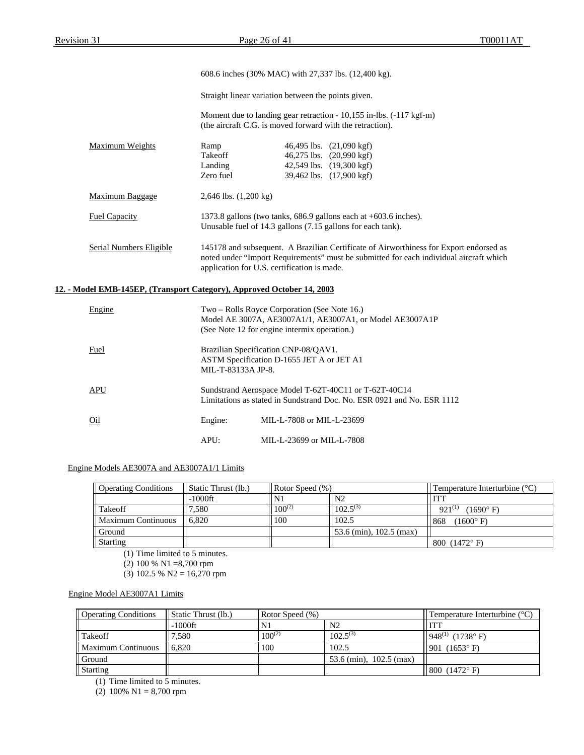|                                                                        |                                                     | 608.6 inches (30% MAC) with 27,337 lbs. (12,400 kg).                                                                                                                                                                            |  |
|------------------------------------------------------------------------|-----------------------------------------------------|---------------------------------------------------------------------------------------------------------------------------------------------------------------------------------------------------------------------------------|--|
|                                                                        | Straight linear variation between the points given. |                                                                                                                                                                                                                                 |  |
|                                                                        |                                                     | Moment due to landing gear retraction - 10,155 in-lbs. (-117 kgf-m)<br>(the aircraft C.G. is moved forward with the retraction).                                                                                                |  |
| Maximum Weights                                                        | Ramp<br>Takeoff<br>Landing<br>Zero fuel             | 46,495 lbs. (21,090 kgf)<br>46,275 lbs. (20,990 kgf)<br>42,549 lbs. (19,300 kgf)<br>39,462 lbs. (17,900 kgf)                                                                                                                    |  |
| Maximum Baggage                                                        | 2,646 lbs. $(1,200 \text{ kg})$                     |                                                                                                                                                                                                                                 |  |
| <b>Fuel Capacity</b>                                                   |                                                     | 1373.8 gallons (two tanks, 686.9 gallons each at +603.6 inches).<br>Unusable fuel of 14.3 gallons (7.15 gallons for each tank).                                                                                                 |  |
| <b>Serial Numbers Eligible</b>                                         |                                                     | 145178 and subsequent. A Brazilian Certificate of Airworthiness for Export endorsed as<br>noted under "Import Requirements" must be submitted for each individual aircraft which<br>application for U.S. certification is made. |  |
| 12. - Model EMB-145EP, (Transport Category), Approved October 14, 2003 |                                                     |                                                                                                                                                                                                                                 |  |
| Engine                                                                 |                                                     | Two - Rolls Royce Corporation (See Note 16.)<br>Model AE 3007A, AE3007A1/1, AE3007A1, or Model AE3007A1P<br>(See Note 12 for engine intermix operation.)                                                                        |  |
| Fuel                                                                   | MIL-T-83133A JP-8.                                  | Brazilian Specification CNP-08/QAV1.<br>ASTM Specification D-1655 JET A or JET A1                                                                                                                                               |  |
| <b>APU</b>                                                             |                                                     | Sundstrand Aerospace Model T-62T-40C11 or T-62T-40C14<br>Limitations as stated in Sundstrand Doc. No. ESR 0921 and No. ESR 1112                                                                                                 |  |
| O <sub>1</sub>                                                         | Engine:                                             | MIL-L-7808 or MIL-L-23699                                                                                                                                                                                                       |  |
|                                                                        | APU:                                                | MIL-L-23699 or MIL-L-7808                                                                                                                                                                                                       |  |

### Engine Models AE3007A and AE3007A1/1 Limits

| <b>Operating Conditions</b> | Static Thrust (lb.) | Rotor Speed $(\%)$ |                                     | Temperature Interturbine $(^{\circ}C)$ |
|-----------------------------|---------------------|--------------------|-------------------------------------|----------------------------------------|
|                             | -1000ft             | IN)                | N <sub>2</sub>                      | <b>ITT</b>                             |
| Takeoff                     | '.580               | $100^{(2)}$        | $102.5^{(3)}$                       | $921^{(1)}$<br>$(1690^{\circ} F)$      |
| ll Maximum Continuous       | 6.820               | 100                | 102.5                               | (1600° F)<br>868                       |
| Ground                      |                     |                    | $\frac{53.6}{2}$ (min), 102.5 (max) |                                        |
| Starting                    |                     |                    |                                     | 800 $(1472^{\circ} F)$                 |

(1) Time limited to 5 minutes.

(2) 100 % N1 =8,700 rpm

(3) 102.5 % N2 = 16,270 rpm

Engine Model AE3007A1 Limits

| <b>Operating Conditions</b> | Static Thrust (lb.) | Rotor Speed $(\%)$ |                                                  | Temperature Interturbine $(^{\circ}C)$ |
|-----------------------------|---------------------|--------------------|--------------------------------------------------|----------------------------------------|
|                             | $-1000$ ft          | $\mathbf{N}$       | N <sub>2</sub>                                   | <b>ITT</b>                             |
| Takeoff                     | 7,580               | $100^{(2)}$        | $102.5^{(3)}$                                    | $1948^{(1)}$ (1738° F)                 |
| Maximum Continuous          | 6.820               | 100                | 102.5                                            | 901 $(1653^{\circ} F)$                 |
| Ground                      |                     |                    | $\frac{53.6 \text{ (min)}}{102.5 \text{ (max)}}$ |                                        |
| <i>Starting</i>             |                     |                    |                                                  | 800 (1472° F)                          |

(1) Time limited to 5 minutes.

(2) 100% N1 = 8,700 rpm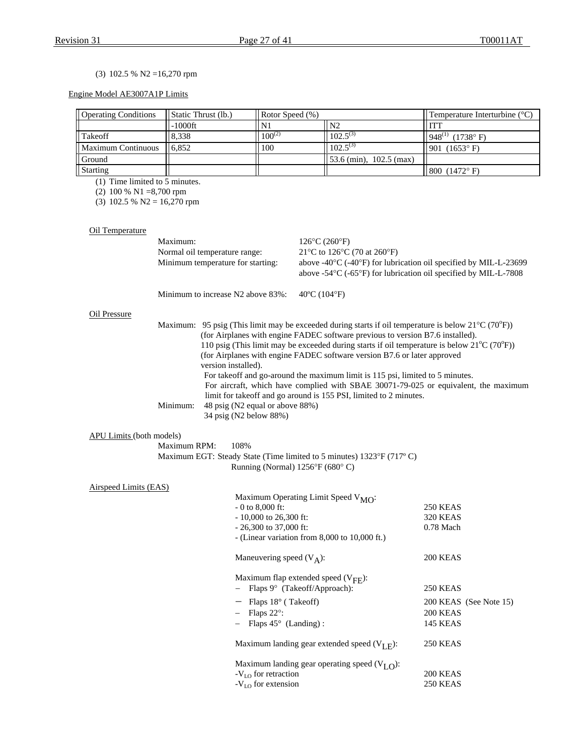## (3) 102.5 % N2 =16,270 rpm

## Engine Model AE3007A1P Limits

| <b>Operating Conditions</b> | Static Thrust (lb.) | Rotor Speed (%) |                              | Temperature Interturbine $(^{\circ}C)$ |
|-----------------------------|---------------------|-----------------|------------------------------|----------------------------------------|
|                             | -1000ft             |                 | N <sub>2</sub>               |                                        |
| <b>Takeoff</b>              | 8.338               | $100^{(2)}$     | $102.5^{(3)}$                | $948^{(1)}$ (1738° F)                  |
| Maximum Continuous          | 16.852              | 100             | $102.5^{(3)}$                | 901 (1653° F)                          |
| Ground                      |                     |                 | $153.6$ (min), $102.5$ (max) |                                        |
| Starting                    |                     |                 |                              | 800 (1472° F)                          |

(1) Time limited to 5 minutes.

(2) 100 % N1 =8,700 rpm

(3) 102.5 % N2 =  $16,270$  rpm

## Oil Temperature

|                                 | Maximum:                      |                                                           | $126^{\circ}$ C $(260^{\circ}F)$                                                                                                                                                                                                                                                                                                                                                                                                                                                                                                                                         |                        |  |
|---------------------------------|-------------------------------|-----------------------------------------------------------|--------------------------------------------------------------------------------------------------------------------------------------------------------------------------------------------------------------------------------------------------------------------------------------------------------------------------------------------------------------------------------------------------------------------------------------------------------------------------------------------------------------------------------------------------------------------------|------------------------|--|
|                                 | Normal oil temperature range: |                                                           | 21°C to 126°C (70 at 260°F)<br>above -40°C (-40°F) for lubrication oil specified by MIL-L-23699                                                                                                                                                                                                                                                                                                                                                                                                                                                                          |                        |  |
|                                 |                               | Minimum temperature for starting:                         |                                                                                                                                                                                                                                                                                                                                                                                                                                                                                                                                                                          |                        |  |
|                                 |                               |                                                           | above -54 $\rm{^{\circ}C}$ (-65 $\rm{^{\circ}F}$ ) for lubrication oil specified by MIL-L-7808                                                                                                                                                                                                                                                                                                                                                                                                                                                                           |                        |  |
|                                 |                               | Minimum to increase N2 above 83%:                         | $40^{\circ}$ C (104 $^{\circ}$ F)                                                                                                                                                                                                                                                                                                                                                                                                                                                                                                                                        |                        |  |
| Oil Pressure                    |                               |                                                           |                                                                                                                                                                                                                                                                                                                                                                                                                                                                                                                                                                          |                        |  |
|                                 |                               | version installed).                                       | Maximum: 95 psig (This limit may be exceeded during starts if oil temperature is below $21^{\circ}C(70^{\circ}F)$ )<br>(for Airplanes with engine FADEC software previous to version B7.6 installed).<br>110 psig (This limit may be exceeded during starts if oil temperature is below $21^{\circ}C(70^{\circ}F)$ )<br>(for Airplanes with engine FADEC software version B7.6 or later approved<br>For takeoff and go-around the maximum limit is 115 psi, limited to 5 minutes.<br>For aircraft, which have complied with SBAE 30071-79-025 or equivalent, the maximum |                        |  |
|                                 | Minimum:                      | 48 psig (N2 equal or above 88%)<br>34 psig (N2 below 88%) | limit for takeoff and go around is 155 PSI, limited to 2 minutes.                                                                                                                                                                                                                                                                                                                                                                                                                                                                                                        |                        |  |
| <b>APU Limits (both models)</b> |                               |                                                           |                                                                                                                                                                                                                                                                                                                                                                                                                                                                                                                                                                          |                        |  |
|                                 | Maximum RPM:                  | 108%                                                      |                                                                                                                                                                                                                                                                                                                                                                                                                                                                                                                                                                          |                        |  |
|                                 |                               | Running (Normal) $1256^{\circ}F(680^{\circ}C)$            | Maximum EGT: Steady State (Time limited to 5 minutes) 1323°F (717°C)                                                                                                                                                                                                                                                                                                                                                                                                                                                                                                     |                        |  |
| Airspeed Limits (EAS)           |                               |                                                           |                                                                                                                                                                                                                                                                                                                                                                                                                                                                                                                                                                          |                        |  |
|                                 |                               |                                                           | Maximum Operating Limit Speed V <sub>MO</sub> :                                                                                                                                                                                                                                                                                                                                                                                                                                                                                                                          |                        |  |
|                                 |                               | $-0$ to 8,000 ft:                                         |                                                                                                                                                                                                                                                                                                                                                                                                                                                                                                                                                                          | 250 KEAS               |  |
|                                 |                               | $-10,000$ to 26,300 ft:                                   |                                                                                                                                                                                                                                                                                                                                                                                                                                                                                                                                                                          | <b>320 KEAS</b>        |  |
|                                 |                               | $-26,300$ to 37,000 ft:                                   |                                                                                                                                                                                                                                                                                                                                                                                                                                                                                                                                                                          | $0.78$ Mach            |  |
|                                 |                               |                                                           | - (Linear variation from 8,000 to 10,000 ft.)                                                                                                                                                                                                                                                                                                                                                                                                                                                                                                                            |                        |  |
|                                 |                               | Maneuvering speed $(V_A)$ :                               |                                                                                                                                                                                                                                                                                                                                                                                                                                                                                                                                                                          | 200 KEAS               |  |
|                                 |                               |                                                           | Maximum flap extended speed $(V_{\text{FF}})$ :<br>Flaps 9° (Takeoff/Approach):                                                                                                                                                                                                                                                                                                                                                                                                                                                                                          | <b>250 KEAS</b>        |  |
|                                 |                               |                                                           |                                                                                                                                                                                                                                                                                                                                                                                                                                                                                                                                                                          |                        |  |
|                                 |                               | $-$ Flaps 18 $\degree$ (Takeoff)                          |                                                                                                                                                                                                                                                                                                                                                                                                                                                                                                                                                                          | 200 KEAS (See Note 15) |  |
|                                 |                               | Flaps $22^\circ$ :                                        |                                                                                                                                                                                                                                                                                                                                                                                                                                                                                                                                                                          | <b>200 KEAS</b>        |  |
|                                 |                               | $-$ Flaps 45 $\circ$ (Landing):                           |                                                                                                                                                                                                                                                                                                                                                                                                                                                                                                                                                                          | <b>145 KEAS</b>        |  |
|                                 |                               |                                                           | Maximum landing gear extended speed $(V_{I,F})$ :                                                                                                                                                                                                                                                                                                                                                                                                                                                                                                                        | 250 KEAS               |  |
|                                 |                               |                                                           | Maximum landing gear operating speed $(VLO)$ :                                                                                                                                                                                                                                                                                                                                                                                                                                                                                                                           |                        |  |
|                                 |                               | $-VLO$ for retraction                                     |                                                                                                                                                                                                                                                                                                                                                                                                                                                                                                                                                                          | <b>200 KEAS</b>        |  |
|                                 |                               | $-V_{LO}$ for extension                                   |                                                                                                                                                                                                                                                                                                                                                                                                                                                                                                                                                                          | <b>250 KEAS</b>        |  |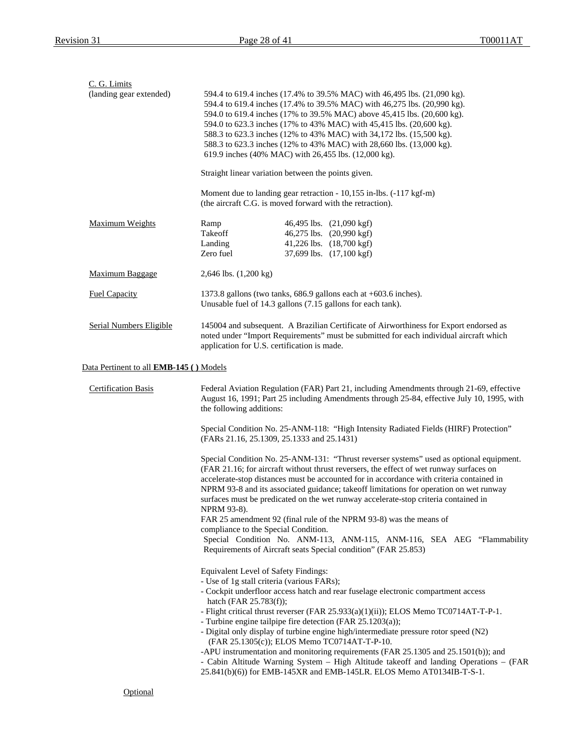| C. G. Limits<br>(landing gear extended)        | 594.4 to 619.4 inches (17.4% to 39.5% MAC) with 46,495 lbs. (21,090 kg).<br>594.4 to 619.4 inches (17.4% to 39.5% MAC) with 46,275 lbs. (20,990 kg).<br>594.0 to 619.4 inches (17% to 39.5% MAC) above 45,415 lbs. (20,600 kg).<br>594.0 to 623.3 inches (17% to 43% MAC) with 45,415 lbs. (20,600 kg).<br>588.3 to 623.3 inches (12% to 43% MAC) with 34,172 lbs. (15,500 kg).<br>588.3 to 623.3 inches (12% to 43% MAC) with 28,660 lbs. (13,000 kg).<br>619.9 inches (40% MAC) with 26,455 lbs. (12,000 kg).                                                                                                                                                                                                                                       |
|------------------------------------------------|-------------------------------------------------------------------------------------------------------------------------------------------------------------------------------------------------------------------------------------------------------------------------------------------------------------------------------------------------------------------------------------------------------------------------------------------------------------------------------------------------------------------------------------------------------------------------------------------------------------------------------------------------------------------------------------------------------------------------------------------------------|
|                                                | Straight linear variation between the points given.                                                                                                                                                                                                                                                                                                                                                                                                                                                                                                                                                                                                                                                                                                   |
|                                                | Moment due to landing gear retraction - 10,155 in-lbs. (-117 kgf-m)<br>(the aircraft C.G. is moved forward with the retraction).                                                                                                                                                                                                                                                                                                                                                                                                                                                                                                                                                                                                                      |
| Maximum Weights                                | 46,495 lbs. (21,090 kgf)<br>Ramp<br>Takeoff<br>46,275 lbs. (20,990 kgf)<br>41,226 lbs. (18,700 kgf)<br>Landing<br>Zero fuel<br>37,699 lbs. (17,100 kgf)                                                                                                                                                                                                                                                                                                                                                                                                                                                                                                                                                                                               |
| <b>Maximum Baggage</b>                         | 2,646 lbs. (1,200 kg)                                                                                                                                                                                                                                                                                                                                                                                                                                                                                                                                                                                                                                                                                                                                 |
| <b>Fuel Capacity</b>                           | 1373.8 gallons (two tanks, 686.9 gallons each at +603.6 inches).<br>Unusable fuel of 14.3 gallons (7.15 gallons for each tank).                                                                                                                                                                                                                                                                                                                                                                                                                                                                                                                                                                                                                       |
| Serial Numbers Eligible                        | 145004 and subsequent. A Brazilian Certificate of Airworthiness for Export endorsed as<br>noted under "Import Requirements" must be submitted for each individual aircraft which<br>application for U.S. certification is made.                                                                                                                                                                                                                                                                                                                                                                                                                                                                                                                       |
| Data Pertinent to all <b>EMB-145</b> () Models |                                                                                                                                                                                                                                                                                                                                                                                                                                                                                                                                                                                                                                                                                                                                                       |
| <b>Certification Basis</b>                     | Federal Aviation Regulation (FAR) Part 21, including Amendments through 21-69, effective<br>August 16, 1991; Part 25 including Amendments through 25-84, effective July 10, 1995, with<br>the following additions:                                                                                                                                                                                                                                                                                                                                                                                                                                                                                                                                    |
|                                                | Special Condition No. 25-ANM-118: "High Intensity Radiated Fields (HIRF) Protection"<br>(FARs 21.16, 25.1309, 25.1333 and 25.1431)                                                                                                                                                                                                                                                                                                                                                                                                                                                                                                                                                                                                                    |
|                                                | Special Condition No. 25-ANM-131: "Thrust reverser systems" used as optional equipment.<br>(FAR 21.16; for aircraft without thrust reversers, the effect of wet runway surfaces on<br>accelerate-stop distances must be accounted for in accordance with criteria contained in<br>NPRM 93-8 and its associated guidance; takeoff limitations for operation on wet runway<br>surfaces must be predicated on the wet runway accelerate-stop criteria contained in<br>NPRM 93-8).<br>FAR 25 amendment 92 (final rule of the NPRM 93-8) was the means of<br>compliance to the Special Condition.<br>Special Condition No. ANM-113, ANM-115, ANM-116, SEA AEG "Flammability<br>Requirements of Aircraft seats Special condition" (FAR 25.853)              |
|                                                | Equivalent Level of Safety Findings:<br>- Use of 1g stall criteria (various FARs);<br>- Cockpit underfloor access hatch and rear fuselage electronic compartment access<br>hatch (FAR 25.783(f));<br>- Flight critical thrust reverser (FAR 25.933(a)(1)(ii)); ELOS Memo TC0714AT-T-P-1.<br>- Turbine engine tailpipe fire detection (FAR 25.1203(a));<br>- Digital only display of turbine engine high/intermediate pressure rotor speed (N2)<br>(FAR 25.1305(c)); ELOS Memo TC0714AT-T-P-10.<br>-APU instrumentation and monitoring requirements (FAR 25.1305 and 25.1501(b)); and<br>- Cabin Altitude Warning System - High Altitude takeoff and landing Operations - (FAR<br>25.841(b)(6)) for EMB-145XR and EMB-145LR. ELOS Memo AT0134IB-T-S-1. |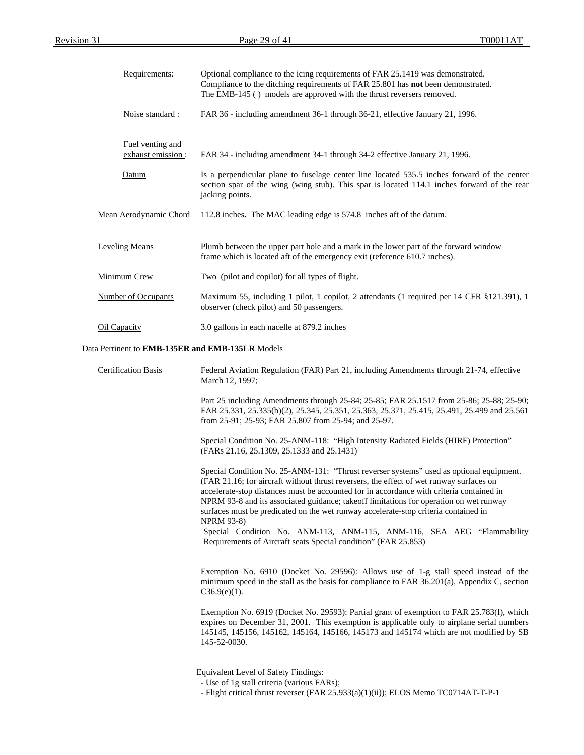| Requirements:                                    | Optional compliance to the icing requirements of FAR 25.1419 was demonstrated.<br>Compliance to the ditching requirements of FAR 25.801 has not been demonstrated.<br>The EMB-145 () models are approved with the thrust reversers removed.                                                                                                                                                                                                                                                                                                                    |
|--------------------------------------------------|----------------------------------------------------------------------------------------------------------------------------------------------------------------------------------------------------------------------------------------------------------------------------------------------------------------------------------------------------------------------------------------------------------------------------------------------------------------------------------------------------------------------------------------------------------------|
| Noise standard:                                  | FAR 36 - including amendment 36-1 through 36-21, effective January 21, 1996.                                                                                                                                                                                                                                                                                                                                                                                                                                                                                   |
| Fuel venting and<br>exhaust emission:            | FAR 34 - including amendment 34-1 through 34-2 effective January 21, 1996.                                                                                                                                                                                                                                                                                                                                                                                                                                                                                     |
| Datum                                            | Is a perpendicular plane to fuselage center line located 535.5 inches forward of the center<br>section spar of the wing (wing stub). This spar is located 114.1 inches forward of the rear<br>jacking points.                                                                                                                                                                                                                                                                                                                                                  |
| Mean Aerodynamic Chord                           | 112.8 inches. The MAC leading edge is 574.8 inches aft of the datum.                                                                                                                                                                                                                                                                                                                                                                                                                                                                                           |
| <b>Leveling Means</b>                            | Plumb between the upper part hole and a mark in the lower part of the forward window<br>frame which is located aft of the emergency exit (reference 610.7 inches).                                                                                                                                                                                                                                                                                                                                                                                             |
| Minimum Crew                                     | Two (pilot and copilot) for all types of flight.                                                                                                                                                                                                                                                                                                                                                                                                                                                                                                               |
| <b>Number of Occupants</b>                       | Maximum 55, including 1 pilot, 1 copilot, 2 attendants (1 required per 14 CFR §121.391), 1<br>observer (check pilot) and 50 passengers.                                                                                                                                                                                                                                                                                                                                                                                                                        |
| <b>Oil Capacity</b>                              | 3.0 gallons in each nacelle at 879.2 inches                                                                                                                                                                                                                                                                                                                                                                                                                                                                                                                    |
| Data Pertinent to EMB-135ER and EMB-135LR Models |                                                                                                                                                                                                                                                                                                                                                                                                                                                                                                                                                                |
| <b>Certification Basis</b>                       | Federal Aviation Regulation (FAR) Part 21, including Amendments through 21-74, effective<br>March 12, 1997;                                                                                                                                                                                                                                                                                                                                                                                                                                                    |
|                                                  | Part 25 including Amendments through 25-84; 25-85; FAR 25.1517 from 25-86; 25-88; 25-90;<br>FAR 25.331, 25.335(b)(2), 25.345, 25.351, 25.363, 25.371, 25.415, 25.491, 25.499 and 25.561<br>from 25-91; 25-93; FAR 25.807 from 25-94; and 25-97.                                                                                                                                                                                                                                                                                                                |
|                                                  | Special Condition No. 25-ANM-118: "High Intensity Radiated Fields (HIRF) Protection"<br>(FARs 21.16, 25.1309, 25.1333 and 25.1431)                                                                                                                                                                                                                                                                                                                                                                                                                             |
|                                                  | Special Condition No. 25-ANM-131: "Thrust reverser systems" used as optional equipment.<br>(FAR 21.16; for aircraft without thrust reversers, the effect of wet runway surfaces on<br>accelerate-stop distances must be accounted for in accordance with criteria contained in<br>NPRM 93-8 and its associated guidance; takeoff limitations for operation on wet runway<br>surfaces must be predicated on the wet runway accelerate-stop criteria contained in<br><b>NPRM 93-8)</b><br>Special Condition No. ANM-113, ANM-115, ANM-116, SEA AEG "Flammability |
|                                                  | Requirements of Aircraft seats Special condition" (FAR 25.853)                                                                                                                                                                                                                                                                                                                                                                                                                                                                                                 |
|                                                  | Exemption No. 6910 (Docket No. 29596): Allows use of 1-g stall speed instead of the<br>minimum speed in the stall as the basis for compliance to FAR 36.201(a), Appendix C, section<br>$C36.9(e)(1)$ .                                                                                                                                                                                                                                                                                                                                                         |
|                                                  | Exemption No. 6919 (Docket No. 29593): Partial grant of exemption to FAR 25.783(f), which<br>expires on December 31, 2001. This exemption is applicable only to airplane serial numbers<br>145145, 145156, 145162, 145164, 145166, 145173 and 145174 which are not modified by SB<br>145-52-0030.                                                                                                                                                                                                                                                              |
|                                                  | Equivalent Level of Safety Findings:<br>- Use of 1g stall criteria (various FARs);<br>- Flight critical thrust reverser (FAR 25.933(a)(1)(ii)); ELOS Memo TC0714AT-T-P-1                                                                                                                                                                                                                                                                                                                                                                                       |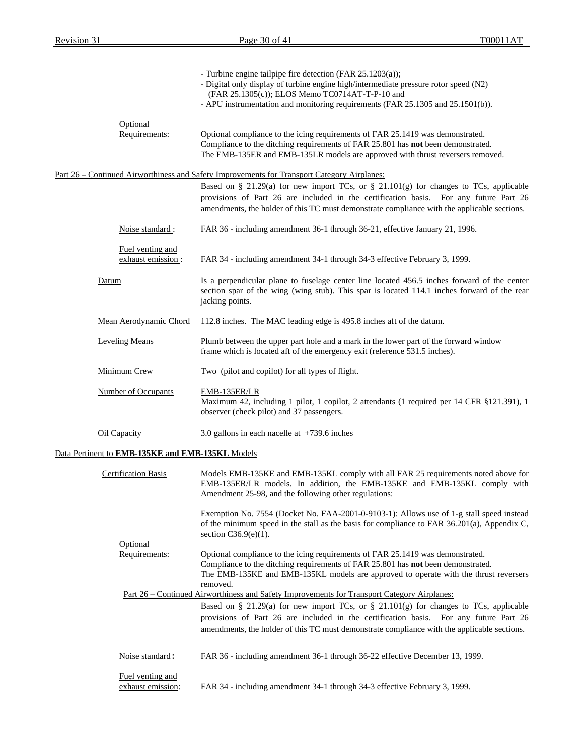|                                                  | - Turbine engine tailpipe fire detection (FAR 25.1203(a));<br>- Digital only display of turbine engine high/intermediate pressure rotor speed (N2)<br>(FAR 25.1305(c)); ELOS Memo TC0714AT-T-P-10 and<br>- APU instrumentation and monitoring requirements (FAR 25.1305 and 25.1501(b)). |
|--------------------------------------------------|------------------------------------------------------------------------------------------------------------------------------------------------------------------------------------------------------------------------------------------------------------------------------------------|
| Optional<br>Requirements:                        | Optional compliance to the icing requirements of FAR 25.1419 was demonstrated.<br>Compliance to the ditching requirements of FAR 25.801 has not been demonstrated.<br>The EMB-135ER and EMB-135LR models are approved with thrust reversers removed.                                     |
|                                                  | Part 26 – Continued Airworthiness and Safety Improvements for Transport Category Airplanes:                                                                                                                                                                                              |
|                                                  | Based on § 21.29(a) for new import TCs, or § 21.101(g) for changes to TCs, applicable<br>provisions of Part 26 are included in the certification basis. For any future Part 26<br>amendments, the holder of this TC must demonstrate compliance with the applicable sections.            |
| Noise standard :                                 | FAR 36 - including amendment 36-1 through 36-21, effective January 21, 1996.                                                                                                                                                                                                             |
| Fuel venting and<br>exhaust emission:            | FAR 34 - including amendment 34-1 through 34-3 effective February 3, 1999.                                                                                                                                                                                                               |
| Datum                                            | Is a perpendicular plane to fuselage center line located 456.5 inches forward of the center<br>section spar of the wing (wing stub). This spar is located 114.1 inches forward of the rear<br>jacking points.                                                                            |
| Mean Aerodynamic Chord                           | 112.8 inches. The MAC leading edge is 495.8 inches aft of the datum.                                                                                                                                                                                                                     |
| <b>Leveling Means</b>                            | Plumb between the upper part hole and a mark in the lower part of the forward window<br>frame which is located aft of the emergency exit (reference 531.5 inches).                                                                                                                       |
| Minimum Crew                                     | Two (pilot and copilot) for all types of flight.                                                                                                                                                                                                                                         |
| <b>Number of Occupants</b>                       | EMB-135ER/LR<br>Maximum 42, including 1 pilot, 1 copilot, 2 attendants (1 required per 14 CFR §121.391), 1<br>observer (check pilot) and 37 passengers.                                                                                                                                  |
| Oil Capacity                                     | 3.0 gallons in each nacelle at $+739.6$ inches                                                                                                                                                                                                                                           |
| Data Pertinent to EMB-135KE and EMB-135KL Models |                                                                                                                                                                                                                                                                                          |
| <b>Certification Basis</b>                       | Models EMB-135KE and EMB-135KL comply with all FAR 25 requirements noted above for<br>EMB-135ER/LR models. In addition, the EMB-135KE and EMB-135KL comply with<br>Amendment 25-98, and the following other regulations:                                                                 |
|                                                  | Exemption No. 7554 (Docket No. FAA-2001-0-9103-1): Allows use of 1-g stall speed instead<br>of the minimum speed in the stall as the basis for compliance to FAR 36.201(a), Appendix C,<br>section $C36.9(e)(1)$ .                                                                       |
| Optional<br>Requirements:                        | Optional compliance to the icing requirements of FAR 25.1419 was demonstrated.<br>Compliance to the ditching requirements of FAR 25.801 has not been demonstrated.<br>The EMB-135KE and EMB-135KL models are approved to operate with the thrust reversers<br>removed.                   |
|                                                  | <u>Part 26 – Continued Airworthiness and Safety Improvements for Transport Category Airplanes:</u>                                                                                                                                                                                       |
|                                                  | Based on § 21.29(a) for new import TCs, or § 21.101(g) for changes to TCs, applicable<br>provisions of Part 26 are included in the certification basis. For any future Part 26<br>amendments, the holder of this TC must demonstrate compliance with the applicable sections.            |
| Noise standard:                                  | FAR 36 - including amendment 36-1 through 36-22 effective December 13, 1999.                                                                                                                                                                                                             |
| Fuel venting and<br>exhaust emission:            | FAR 34 - including amendment 34-1 through 34-3 effective February 3, 1999.                                                                                                                                                                                                               |
|                                                  |                                                                                                                                                                                                                                                                                          |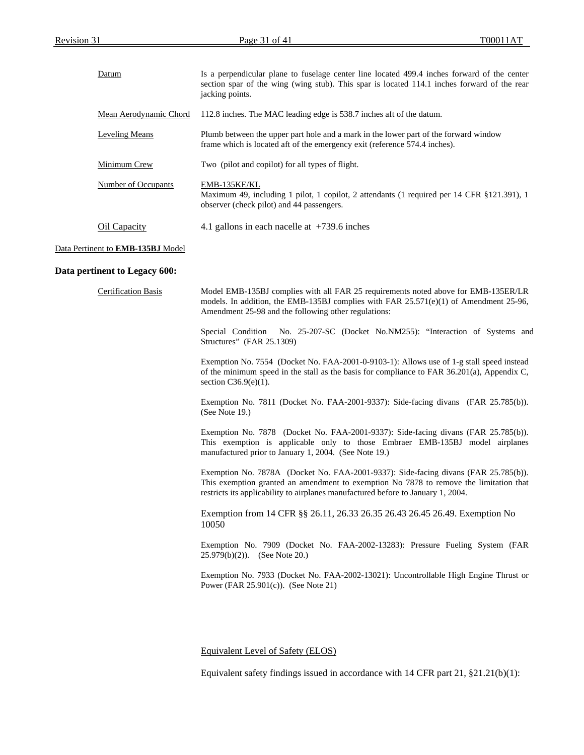| Datum                  | Is a perpendicular plane to fuselage center line located 499.4 inches forward of the center<br>section spar of the wing (wing stub). This spar is located 114.1 inches forward of the rear<br>jacking points. |
|------------------------|---------------------------------------------------------------------------------------------------------------------------------------------------------------------------------------------------------------|
| Mean Aerodynamic Chord | 112.8 inches. The MAC leading edge is 538.7 inches aft of the datum.                                                                                                                                          |
| Leveling Means         | Plumb between the upper part hole and a mark in the lower part of the forward window<br>frame which is located aft of the emergency exit (reference 574.4 inches).                                            |
| Minimum Crew           | Two (pilot and copilot) for all types of flight.                                                                                                                                                              |
| Number of Occupants    | EMB-135KE/KL<br>Maximum 49, including 1 pilot, 1 copilot, 2 attendants (1 required per 14 CFR §121.391), 1<br>observer (check pilot) and 44 passengers.                                                       |
| Oil Capacity           | 4.1 gallons in each nacelle at $+739.6$ inches                                                                                                                                                                |

## Data Pertinent to **EMB-135BJ** Model

## **Data pertinent to Legacy 600:**

| <b>Certification Basis</b> | Model EMB-135BJ complies with all FAR 25 requirements noted above for EMB-135ER/LR<br>models. In addition, the EMB-135BJ complies with FAR $25.571(e)(1)$ of Amendment 25-96,<br>Amendment 25-98 and the following other regulations:                             |
|----------------------------|-------------------------------------------------------------------------------------------------------------------------------------------------------------------------------------------------------------------------------------------------------------------|
|                            | Special Condition<br>No. 25-207-SC (Docket No.NM255): "Interaction of Systems and<br>Structures" (FAR 25.1309)                                                                                                                                                    |
|                            | Exemption No. 7554 (Docket No. FAA-2001-0-9103-1): Allows use of 1-g stall speed instead<br>of the minimum speed in the stall as the basis for compliance to FAR 36.201(a), Appendix C,<br>section $C36.9(e)(1)$ .                                                |
|                            | Exemption No. 7811 (Docket No. FAA-2001-9337): Side-facing divans (FAR 25.785(b)).<br>(See Note 19.)                                                                                                                                                              |
|                            | Exemption No. 7878 (Docket No. FAA-2001-9337): Side-facing divans (FAR 25.785(b)).<br>This exemption is applicable only to those Embraer EMB-135BJ model airplanes<br>manufactured prior to January 1, 2004. (See Note 19.)                                       |
|                            | Exemption No. 7878A (Docket No. FAA-2001-9337): Side-facing divans (FAR 25.785(b)).<br>This exemption granted an amendment to exemption No 7878 to remove the limitation that<br>restricts its applicability to airplanes manufactured before to January 1, 2004. |
|                            | Exemption from 14 CFR § \$26.11, 26.33 26.35 26.43 26.45 26.49. Exemption No<br>10050                                                                                                                                                                             |
|                            | Exemption No. 7909 (Docket No. FAA-2002-13283): Pressure Fueling System (FAR<br>$25.979(b)(2)$ . (See Note 20.)                                                                                                                                                   |
|                            | Exemption No. 7933 (Docket No. FAA-2002-13021): Uncontrollable High Engine Thrust or<br>Power (FAR $25.901(c)$ ). (See Note 21)                                                                                                                                   |
|                            |                                                                                                                                                                                                                                                                   |

# Equivalent Level of Safety (ELOS)

Equivalent safety findings issued in accordance with 14 CFR part 21, §21.21(b)(1):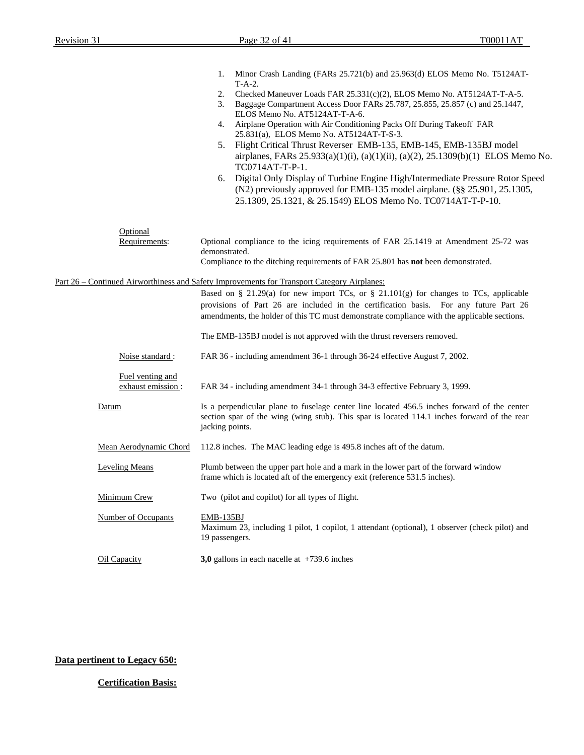|                                        | Minor Crash Landing (FARs 25.721(b) and 25.963(d) ELOS Memo No. T5124AT-<br>1.<br>$T-A-2$ .                                                                                                                                                                                   |
|----------------------------------------|-------------------------------------------------------------------------------------------------------------------------------------------------------------------------------------------------------------------------------------------------------------------------------|
|                                        | 2.<br>Checked Maneuver Loads FAR $25.331(c)(2)$ , ELOS Memo No. AT5124AT-T-A-5.<br>3.<br>Baggage Compartment Access Door FARs 25.787, 25.855, 25.857 (c) and 25.1447,<br>ELOS Memo No. AT5124AT-T-A-6.                                                                        |
|                                        | Airplane Operation with Air Conditioning Packs Off During Takeoff FAR<br>4.<br>25.831(a), ELOS Memo No. AT5124AT-T-S-3.                                                                                                                                                       |
|                                        | Flight Critical Thrust Reverser EMB-135, EMB-145, EMB-135BJ model<br>5.<br>airplanes, FARs 25.933(a)(1)(i), (a)(1)(ii), (a)(2), 25.1309(b)(1) ELOS Memo No.<br>TC0714AT-T-P-1.                                                                                                |
|                                        | Digital Only Display of Turbine Engine High/Intermediate Pressure Rotor Speed<br>6.<br>(N2) previously approved for EMB-135 model airplane. (§§ 25.901, 25.1305,<br>25.1309, 25.1321, & 25.1549) ELOS Memo No. TC0714AT-T-P-10.                                               |
| Optional<br>Requirements:              | Optional compliance to the icing requirements of FAR 25.1419 at Amendment 25-72 was<br>demonstrated.                                                                                                                                                                          |
|                                        | Compliance to the ditching requirements of FAR 25.801 has <b>not</b> been demonstrated.                                                                                                                                                                                       |
|                                        | Part 26 – Continued Airworthiness and Safety Improvements for Transport Category Airplanes:                                                                                                                                                                                   |
|                                        | Based on § 21.29(a) for new import TCs, or § 21.101(g) for changes to TCs, applicable<br>provisions of Part 26 are included in the certification basis. For any future Part 26<br>amendments, the holder of this TC must demonstrate compliance with the applicable sections. |
|                                        | The EMB-135BJ model is not approved with the thrust reversers removed.                                                                                                                                                                                                        |
| Noise standard :                       | FAR 36 - including amendment 36-1 through 36-24 effective August 7, 2002.                                                                                                                                                                                                     |
| Fuel venting and<br>exhaust emission : | FAR 34 - including amendment 34-1 through 34-3 effective February 3, 1999.                                                                                                                                                                                                    |
| Datum                                  | Is a perpendicular plane to fuselage center line located 456.5 inches forward of the center<br>section spar of the wing (wing stub). This spar is located 114.1 inches forward of the rear<br>jacking points.                                                                 |
| Mean Aerodynamic Chord                 | 112.8 inches. The MAC leading edge is 495.8 inches aft of the datum.                                                                                                                                                                                                          |
| <b>Leveling Means</b>                  | Plumb between the upper part hole and a mark in the lower part of the forward window<br>frame which is located aft of the emergency exit (reference 531.5 inches).                                                                                                            |
| Minimum Crew                           | Two (pilot and copilot) for all types of flight.                                                                                                                                                                                                                              |
| <b>Number of Occupants</b>             | EMB-135BJ<br>Maximum 23, including 1 pilot, 1 copilot, 1 attendant (optional), 1 observer (check pilot) and<br>19 passengers.                                                                                                                                                 |
| Oil Capacity                           | 3,0 gallons in each nacelle at $+739.6$ inches                                                                                                                                                                                                                                |

# **Data pertinent to Legacy 650:**

# **Certification Basis:**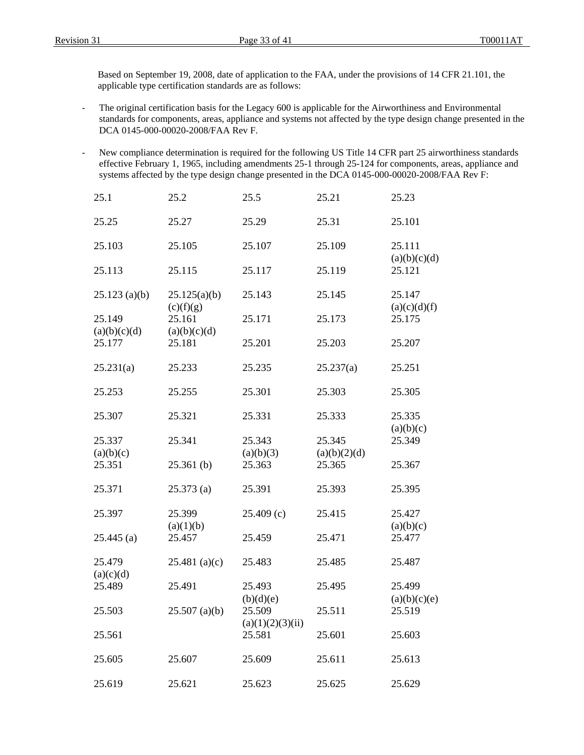Based on September 19, 2008, date of application to the FAA, under the provisions of 14 CFR 21.101, the applicable type certification standards are as follows:

- The original certification basis for the Legacy 600 is applicable for the Airworthiness and Environmental standards for components, areas, appliance and systems not affected by the type design change presented in the DCA 0145-000-00020-2008/FAA Rev F.
- New compliance determination is required for the following US Title 14 CFR part 25 airworthiness standards effective February 1, 1965, including amendments 25-1 through 25-124 for components, areas, appliance and systems affected by the type design change presented in the DCA 0145-000-00020-2008/FAA Rev F:

| 25.1                   | 25.2                   | 25.5                       | 25.21                  | 25.23                  |
|------------------------|------------------------|----------------------------|------------------------|------------------------|
| 25.25                  | 25.27                  | 25.29                      | 25.31                  | 25.101                 |
| 25.103                 | 25.105                 | 25.107                     | 25.109                 | 25.111                 |
| 25.113                 | 25.115                 | 25.117                     | 25.119                 | (a)(b)(c)(d)<br>25.121 |
| $25.123$ (a)(b)        | 25.125(a)(b)           | 25.143                     | 25.145                 | 25.147                 |
| 25.149                 | (c)(f)(g)<br>25.161    | 25.171                     | 25.173                 | (a)(c)(d)(f)<br>25.175 |
| (a)(b)(c)(d)<br>25.177 | (a)(b)(c)(d)<br>25.181 | 25.201                     | 25.203                 | 25.207                 |
| 25.231(a)              | 25.233                 | 25.235                     | 25.237(a)              | 25.251                 |
| 25.253                 | 25.255                 | 25.301                     | 25.303                 | 25.305                 |
| 25.307                 | 25.321                 | 25.331                     | 25.333                 | 25.335<br>(a)(b)(c)    |
| 25.337<br>(a)(b)(c)    | 25.341                 | 25.343<br>(a)(b)(3)        | 25.345<br>(a)(b)(2)(d) | 25.349                 |
| 25.351                 | $25.361$ (b)           | 25.363                     | 25.365                 | 25.367                 |
| 25.371                 | 25.373(a)              | 25.391                     | 25.393                 | 25.395                 |
| 25.397                 | 25.399                 | 25.409(c)                  | 25.415                 | 25.427                 |
| $25.445$ (a)           | (a)(1)(b)<br>25.457    | 25.459                     | 25.471                 | (a)(b)(c)<br>25.477    |
| 25.479                 | $25.481$ (a)(c)        | 25.483                     | 25.485                 | 25.487                 |
| (a)(c)(d)<br>25.489    | 25.491                 | 25.493                     | 25.495                 | 25.499                 |
| 25.503                 | $25.507$ (a)(b)        | (b)(d)(e)<br>25.509        | 25.511                 | (a)(b)(c)(e)<br>25.519 |
| 25.561                 |                        | (a)(1)(2)(3)(ii)<br>25.581 | 25.601                 | 25.603                 |
| 25.605                 | 25.607                 | 25.609                     | 25.611                 | 25.613                 |
| 25.619                 | 25.621                 | 25.623                     | 25.625                 | 25.629                 |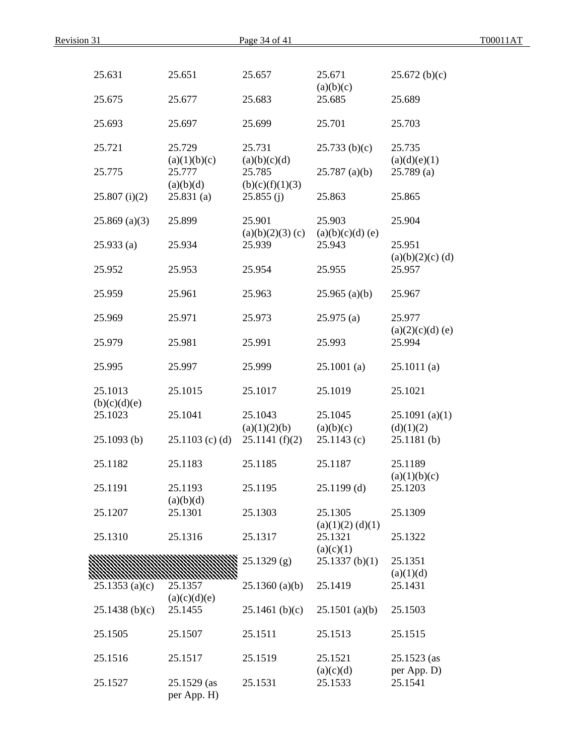| Revision 31             |                            | Page 34 of 41             |                                 |                              | T00011AT |
|-------------------------|----------------------------|---------------------------|---------------------------------|------------------------------|----------|
|                         |                            |                           |                                 |                              |          |
| 25.631                  | 25.651                     | 25.657                    | 25.671<br>(a)(b)(c)             | 25.672(b)(c)                 |          |
| 25.675                  | 25.677                     | 25.683                    | 25.685                          | 25.689                       |          |
| 25.693                  | 25.697                     | 25.699                    | 25.701                          | 25.703                       |          |
| 25.721                  | 25.729<br>(a)(1)(b)(c)     | 25.731<br>(a)(b)(c)(d)    | 25.733(b)(c)                    | 25.735<br>(a)(d)(e)(1)       |          |
| 25.775                  | 25.777<br>(a)(b)(d)        | 25.785<br>(b)(c)(f)(1)(3) | $25.787$ (a)(b)                 | 25.789(a)                    |          |
| 25.807(i)(2)            | 25.831(a)                  | 25.855(j)                 | 25.863                          | 25.865                       |          |
| $25.869$ (a)(3)         | 25.899                     | 25.901<br>(a)(b)(2)(3)(c) | 25.903<br>(a)(b)(c)(d)(e)       | 25.904                       |          |
| 25.933(a)               | 25.934                     | 25.939                    | 25.943                          | 25.951<br>$(a)(b)(2)(c)$ (d) |          |
| 25.952                  | 25.953                     | 25.954                    | 25.955                          | 25.957                       |          |
| 25.959                  | 25.961                     | 25.963                    | $25.965$ (a)(b)                 | 25.967                       |          |
| 25.969                  | 25.971                     | 25.973                    | 25.975(a)                       | 25.977<br>$(a)(2)(c)(d)$ (e) |          |
| 25.979                  | 25.981                     | 25.991                    | 25.993                          | 25.994                       |          |
| 25.995                  | 25.997                     | 25.999                    | $25.1001$ (a)                   | 25.1011(a)                   |          |
| 25.1013<br>(b)(c)(d)(e) | 25.1015                    | 25.1017                   | 25.1019                         | 25.1021                      |          |
| 25.1023                 | 25.1041                    | 25.1043<br>(a)(1)(2)(b)   | 25.1045<br>(a)(b)(c)            | 25.1091(a)(1)<br>(d)(1)(2)   |          |
| $25.1093$ (b)           | $25.1103$ (c) (d)          | 25.1141(f)(2)             | 25.1143(c)                      | $25.1181$ (b)                |          |
| 25.1182                 | 25.1183                    | 25.1185                   | 25.1187                         | 25.1189<br>(a)(1)(b)(c)      |          |
| 25.1191                 | 25.1193<br>(a)(b)(d)       | 25.1195                   | $25.1199$ (d)                   | 25.1203                      |          |
| 25.1207                 | 25.1301                    | 25.1303                   | 25.1305<br>$(a)(1)(2)$ $(d)(1)$ | 25.1309                      |          |
| 25.1310                 | 25.1316                    | 25.1317                   | 25.1321<br>(a)(c)(1)            | 25.1322                      |          |
|                         |                            | $25.1329$ (g)             | 25.1337(b)(1)                   | 25.1351<br>(a)(1)(d)         |          |
| $25.1353$ (a)(c)        | 25.1357<br>(a)(c)(d)(e)    | $25.1360$ (a)(b)          | 25.1419                         | 25.1431                      |          |
| $25.1438$ (b)(c)        | 25.1455                    | $25.1461$ (b)(c)          | $25.1501$ (a)(b)                | 25.1503                      |          |
| 25.1505                 | 25.1507                    | 25.1511                   | 25.1513                         | 25.1515                      |          |
| 25.1516                 | 25.1517                    | 25.1519                   | 25.1521<br>(a)(c)(d)            | $25.1523$ (as<br>per App. D) |          |
| 25.1527                 | 25.1529 (as<br>per App. H) | 25.1531                   | 25.1533                         | 25.1541                      |          |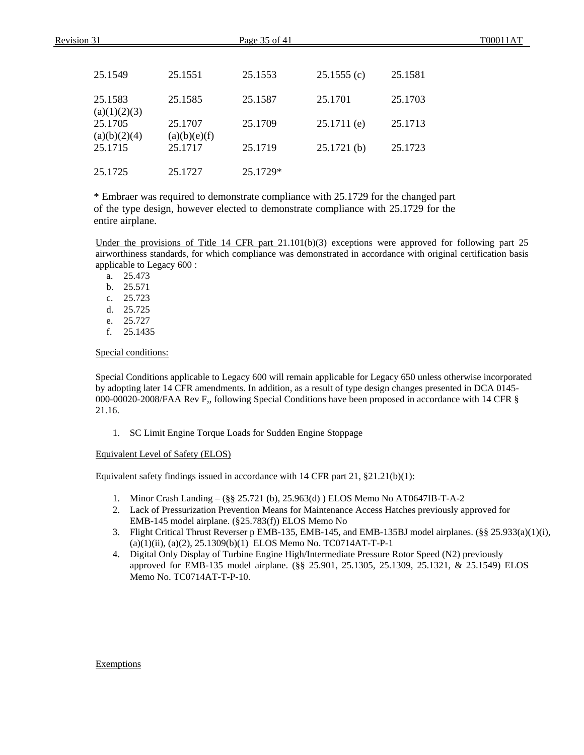| Revision 31 |                         |                         | Page 35 of 41 |               |         | T00011AT |
|-------------|-------------------------|-------------------------|---------------|---------------|---------|----------|
|             |                         |                         |               |               |         |          |
|             | 25.1549                 | 25.1551                 | 25.1553       | 25.1555(c)    | 25.1581 |          |
|             | 25.1583<br>(a)(1)(2)(3) | 25.1585                 | 25.1587       | 25.1701       | 25.1703 |          |
|             | 25.1705<br>(a)(b)(2)(4) | 25.1707<br>(a)(b)(e)(f) | 25.1709       | $25.1711$ (e) | 25.1713 |          |
|             | 25.1715                 | 25.1717                 | 25.1719       | 25.1721(b)    | 25.1723 |          |
|             | 25.1725                 | 25.1727                 | 25.1729*      |               |         |          |

\* Embraer was required to demonstrate compliance with 25.1729 for the changed part of the type design, however elected to demonstrate compliance with 25.1729 for the entire airplane.

Under the provisions of Title 14 CFR part 21.101(b)(3) exceptions were approved for following part 25 airworthiness standards, for which compliance was demonstrated in accordance with original certification basis applicable to Legacy 600 :

a. 25.473

b. 25.571

c. 25.723

d. 25.725

- e. 25.727
- f. 25.1435

Special conditions:

Special Conditions applicable to Legacy 600 will remain applicable for Legacy 650 unless otherwise incorporated by adopting later 14 CFR amendments. In addition, as a result of type design changes presented in DCA 0145- 000-00020-2008/FAA Rev F,, following Special Conditions have been proposed in accordance with 14 CFR § 21.16.

1. SC Limit Engine Torque Loads for Sudden Engine Stoppage

Equivalent Level of Safety (ELOS)

Equivalent safety findings issued in accordance with 14 CFR part 21, §21.21(b)(1):

- 1. Minor Crash Landing (§§ 25.721 (b), 25.963(d) ) ELOS Memo No AT0647IB-T-A-2
- 2. Lack of Pressurization Prevention Means for Maintenance Access Hatches previously approved for EMB-145 model airplane. (§25.783(f)) ELOS Memo No
- 3. Flight Critical Thrust Reverser p EMB-135, EMB-145, and EMB-135BJ model airplanes. (§§ 25.933(a)(1)(i),  $(a)(1)(ii)$ ,  $(a)(2)$ ,  $25.1309(b)(1)$  ELOS Memo No. TC0714AT-T-P-1
- 4. Digital Only Display of Turbine Engine High/Intermediate Pressure Rotor Speed (N2) previously approved for EMB-135 model airplane. (§§ 25.901, 25.1305, 25.1309, 25.1321, & 25.1549) ELOS Memo No. TC0714AT-T-P-10.

Exemptions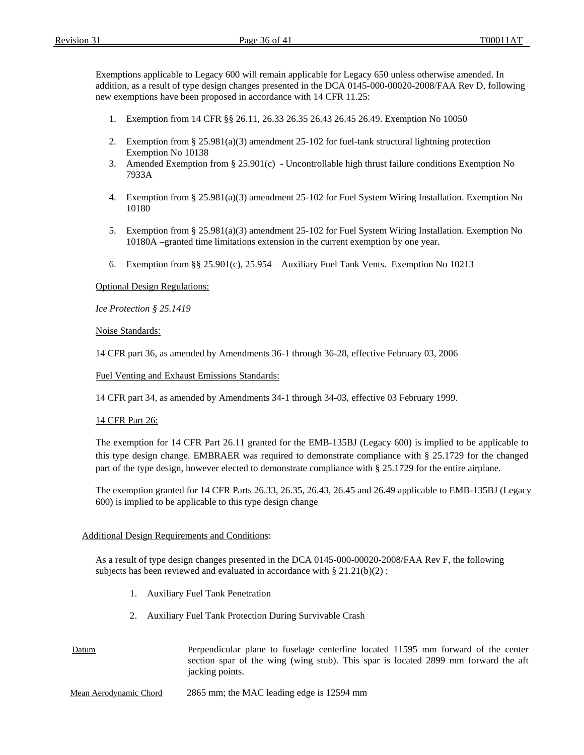Exemptions applicable to Legacy 600 will remain applicable for Legacy 650 unless otherwise amended. In addition, as a result of type design changes presented in the DCA 0145-000-00020-2008/FAA Rev D, following new exemptions have been proposed in accordance with 14 CFR 11.25:

- 1. Exemption from 14 CFR §§ 26.11, 26.33 26.35 26.43 26.45 26.49. Exemption No 10050
- 2. Exemption from § 25.981(a)(3) amendment 25-102 for fuel-tank structural lightning protection Exemption No 10138
- 3. Amended Exemption from § 25.901(c) Uncontrollable high thrust failure conditions Exemption No 7933A
- 4. Exemption from § 25.981(a)(3) amendment 25-102 for Fuel System Wiring Installation. Exemption No 10180
- 5. Exemption from § 25.981(a)(3) amendment 25-102 for Fuel System Wiring Installation. Exemption No 10180A –granted time limitations extension in the current exemption by one year.
- 6. Exemption from §§ 25.901(c), 25.954 Auxiliary Fuel Tank Vents. Exemption No 10213

Optional Design Regulations:

*Ice Protection § 25.1419*

#### Noise Standards:

14 CFR part 36, as amended by Amendments 36-1 through 36-28, effective February 03, 2006

Fuel Venting and Exhaust Emissions Standards:

14 CFR part 34, as amended by Amendments 34-1 through 34-03, effective 03 February 1999.

#### 14 CFR Part 26:

The exemption for 14 CFR Part 26.11 granted for the EMB-135BJ (Legacy 600) is implied to be applicable to this type design change. EMBRAER was required to demonstrate compliance with § 25.1729 for the changed part of the type design, however elected to demonstrate compliance with § 25.1729 for the entire airplane.

The exemption granted for 14 CFR Parts 26.33, 26.35, 26.43, 26.45 and 26.49 applicable to EMB-135BJ (Legacy 600) is implied to be applicable to this type design change

#### Additional Design Requirements and Conditions:

As a result of type design changes presented in the DCA 0145-000-00020-2008/FAA Rev F, the following subjects has been reviewed and evaluated in accordance with  $\S 21.21(b)(2)$ :

- 1. Auxiliary Fuel Tank Penetration
- 2. Auxiliary Fuel Tank Protection During Survivable Crash

Datum Perpendicular plane to fuselage centerline located 11595 mm forward of the center section spar of the wing (wing stub). This spar is located 2899 mm forward the aft jacking points.

Mean Aerodynamic Chord2865 mm; the MAC leading edge is 12594 mm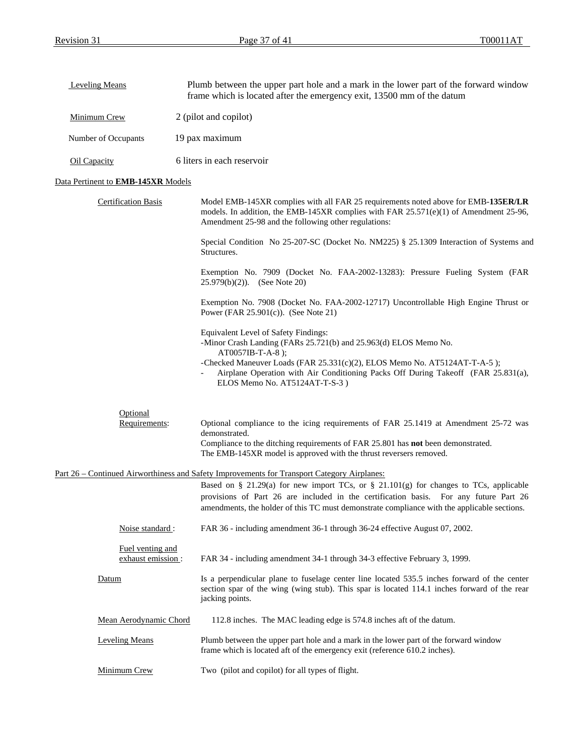| Leveling Means                               | Plumb between the upper part hole and a mark in the lower part of the forward window<br>frame which is located after the emergency exit, 13500 mm of the datum                                                                                                                                                                                                               |  |  |
|----------------------------------------------|------------------------------------------------------------------------------------------------------------------------------------------------------------------------------------------------------------------------------------------------------------------------------------------------------------------------------------------------------------------------------|--|--|
| Minimum Crew                                 | 2 (pilot and copilot)                                                                                                                                                                                                                                                                                                                                                        |  |  |
| Number of Occupants                          | 19 pax maximum                                                                                                                                                                                                                                                                                                                                                               |  |  |
| <b>Oil Capacity</b>                          | 6 liters in each reservoir                                                                                                                                                                                                                                                                                                                                                   |  |  |
| Data Pertinent to <b>EMB-145XR</b> Models    |                                                                                                                                                                                                                                                                                                                                                                              |  |  |
| <b>Certification Basis</b>                   | Model EMB-145XR complies with all FAR 25 requirements noted above for EMB-135ER/LR<br>models. In addition, the EMB-145XR complies with FAR $25.571(e)(1)$ of Amendment 25-96,<br>Amendment 25-98 and the following other regulations:                                                                                                                                        |  |  |
|                                              | Special Condition No 25-207-SC (Docket No. NM225) § 25.1309 Interaction of Systems and<br>Structures.                                                                                                                                                                                                                                                                        |  |  |
|                                              | Exemption No. 7909 (Docket No. FAA-2002-13283): Pressure Fueling System (FAR<br>$25.979(b)(2)$ . (See Note 20)                                                                                                                                                                                                                                                               |  |  |
|                                              | Exemption No. 7908 (Docket No. FAA-2002-12717) Uncontrollable High Engine Thrust or<br>Power (FAR $25.901(c)$ ). (See Note 21)                                                                                                                                                                                                                                               |  |  |
|                                              | Equivalent Level of Safety Findings:<br>-Minor Crash Landing (FARs 25.721(b) and 25.963(d) ELOS Memo No.<br>AT0057IB-T-A-8);<br>-Checked Maneuver Loads (FAR 25.331(c)(2), ELOS Memo No. AT5124AT-T-A-5);<br>Airplane Operation with Air Conditioning Packs Off During Takeoff (FAR 25.831(a),<br>ELOS Memo No. AT5124AT-T-S-3)                                              |  |  |
| Optional<br>Requirements:                    | Optional compliance to the icing requirements of FAR 25.1419 at Amendment 25-72 was<br>demonstrated.<br>Compliance to the ditching requirements of FAR 25.801 has not been demonstrated.<br>The EMB-145XR model is approved with the thrust reversers removed.                                                                                                               |  |  |
|                                              | Part 26 – Continued Airworthiness and Safety Improvements for Transport Category Airplanes:<br>Based on § 21.29(a) for new import TCs, or § 21.101(g) for changes to TCs, applicable<br>provisions of Part 26 are included in the certification basis. For any future Part 26<br>amendments, the holder of this TC must demonstrate compliance with the applicable sections. |  |  |
| Noise standard:                              | FAR 36 - including amendment 36-1 through 36-24 effective August 07, 2002.                                                                                                                                                                                                                                                                                                   |  |  |
| <b>Fuel venting and</b><br>exhaust emission: | FAR 34 - including amendment 34-1 through 34-3 effective February 3, 1999.                                                                                                                                                                                                                                                                                                   |  |  |
| Datum                                        | Is a perpendicular plane to fuselage center line located 535.5 inches forward of the center<br>section spar of the wing (wing stub). This spar is located 114.1 inches forward of the rear<br>jacking points.                                                                                                                                                                |  |  |
| Mean Aerodynamic Chord                       | 112.8 inches. The MAC leading edge is 574.8 inches aft of the datum.                                                                                                                                                                                                                                                                                                         |  |  |
| <b>Leveling Means</b>                        | Plumb between the upper part hole and a mark in the lower part of the forward window<br>frame which is located aft of the emergency exit (reference 610.2 inches).                                                                                                                                                                                                           |  |  |
| Minimum Crew                                 | Two (pilot and copilot) for all types of flight.                                                                                                                                                                                                                                                                                                                             |  |  |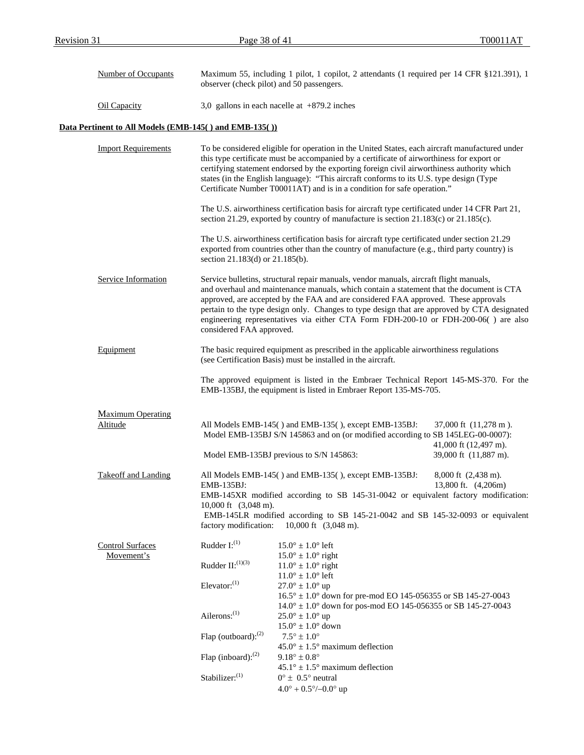| Number of Occupants                                                                                                                                                                                                                                                                                                                                                                                                                                                                           | Maximum 55, including 1 pilot, 1 copilot, 2 attendants (1 required per 14 CFR §121.391), 1<br>observer (check pilot) and 50 passengers. |                                                                                                                                                                                                                                                                                                                                                                                                                                                                |                                                           |  |
|-----------------------------------------------------------------------------------------------------------------------------------------------------------------------------------------------------------------------------------------------------------------------------------------------------------------------------------------------------------------------------------------------------------------------------------------------------------------------------------------------|-----------------------------------------------------------------------------------------------------------------------------------------|----------------------------------------------------------------------------------------------------------------------------------------------------------------------------------------------------------------------------------------------------------------------------------------------------------------------------------------------------------------------------------------------------------------------------------------------------------------|-----------------------------------------------------------|--|
| Oil Capacity                                                                                                                                                                                                                                                                                                                                                                                                                                                                                  | 3,0 gallons in each nacelle at $+879.2$ inches                                                                                          |                                                                                                                                                                                                                                                                                                                                                                                                                                                                |                                                           |  |
| Data Pertinent to All Models (EMB-145() and EMB-135())                                                                                                                                                                                                                                                                                                                                                                                                                                        |                                                                                                                                         |                                                                                                                                                                                                                                                                                                                                                                                                                                                                |                                                           |  |
| <b>Import Requirements</b><br>To be considered eligible for operation in the United States, each aircraft manufactured under<br>this type certificate must be accompanied by a certificate of airworthiness for export or<br>certifying statement endorsed by the exporting foreign civil airworthiness authority which<br>states (in the English language): "This aircraft conforms to its U.S. type design (Type<br>Certificate Number T00011AT) and is in a condition for safe operation." |                                                                                                                                         |                                                                                                                                                                                                                                                                                                                                                                                                                                                                |                                                           |  |
|                                                                                                                                                                                                                                                                                                                                                                                                                                                                                               |                                                                                                                                         | The U.S. airworthiness certification basis for aircraft type certificated under 14 CFR Part 21,<br>section 21.29, exported by country of manufacture is section 21.183(c) or 21.185(c).                                                                                                                                                                                                                                                                        |                                                           |  |
|                                                                                                                                                                                                                                                                                                                                                                                                                                                                                               | section 21.183(d) or 21.185(b).                                                                                                         | The U.S. airworthiness certification basis for aircraft type certificated under section 21.29<br>exported from countries other than the country of manufacture (e.g., third party country) is                                                                                                                                                                                                                                                                  |                                                           |  |
| Service Information                                                                                                                                                                                                                                                                                                                                                                                                                                                                           | considered FAA approved.                                                                                                                | Service bulletins, structural repair manuals, vendor manuals, aircraft flight manuals,<br>and overhaul and maintenance manuals, which contain a statement that the document is CTA<br>approved, are accepted by the FAA and are considered FAA approved. These approvals<br>pertain to the type design only. Changes to type design that are approved by CTA designated<br>engineering representatives via either CTA Form FDH-200-10 or FDH-200-06() are also |                                                           |  |
| Equipment                                                                                                                                                                                                                                                                                                                                                                                                                                                                                     |                                                                                                                                         | The basic required equipment as prescribed in the applicable airworthiness regulations<br>(see Certification Basis) must be installed in the aircraft.                                                                                                                                                                                                                                                                                                         |                                                           |  |
|                                                                                                                                                                                                                                                                                                                                                                                                                                                                                               |                                                                                                                                         | The approved equipment is listed in the Embraer Technical Report 145-MS-370. For the<br>EMB-135BJ, the equipment is listed in Embraer Report 135-MS-705.                                                                                                                                                                                                                                                                                                       |                                                           |  |
| <b>Maximum Operating</b>                                                                                                                                                                                                                                                                                                                                                                                                                                                                      |                                                                                                                                         |                                                                                                                                                                                                                                                                                                                                                                                                                                                                |                                                           |  |
| Altitude                                                                                                                                                                                                                                                                                                                                                                                                                                                                                      |                                                                                                                                         | All Models EMB-145() and EMB-135(), except EMB-135BJ:<br>Model EMB-135BJ S/N 145863 and on (or modified according to SB 145LEG-00-0007):                                                                                                                                                                                                                                                                                                                       | 37,000 ft (11,278 m).<br>41,000 ft $(12,497 \text{ m})$ . |  |
|                                                                                                                                                                                                                                                                                                                                                                                                                                                                                               |                                                                                                                                         | Model EMB-135BJ previous to S/N 145863:                                                                                                                                                                                                                                                                                                                                                                                                                        | 39,000 ft (11,887 m).                                     |  |
| Takeoff and Landing                                                                                                                                                                                                                                                                                                                                                                                                                                                                           | EMB-135BJ:<br>10,000 ft $(3,048 \text{ m})$ .                                                                                           | All Models EMB-145() and EMB-135(), except EMB-135BJ:<br>EMB-145XR modified according to SB 145-31-0042 or equivalent factory modification:                                                                                                                                                                                                                                                                                                                    | 8,000 ft (2,438 m).<br>13,800 ft. (4,206m)                |  |
|                                                                                                                                                                                                                                                                                                                                                                                                                                                                                               | factory modification:                                                                                                                   | EMB-145LR modified according to SB 145-21-0042 and SB 145-32-0093 or equivalent<br>10,000 ft $(3,048 \text{ m})$ .                                                                                                                                                                                                                                                                                                                                             |                                                           |  |
| <b>Control Surfaces</b>                                                                                                                                                                                                                                                                                                                                                                                                                                                                       | Rudder $I:^{(1)}$                                                                                                                       | $15.0^{\circ} \pm 1.0^{\circ}$ left                                                                                                                                                                                                                                                                                                                                                                                                                            |                                                           |  |
| Movement's                                                                                                                                                                                                                                                                                                                                                                                                                                                                                    | Rudder $II:^{(1)(3)}$                                                                                                                   | $15.0^{\circ} \pm 1.0^{\circ}$ right<br>$11.0^{\circ} \pm 1.0^{\circ}$ right<br>$11.0^{\circ} \pm 1.0^{\circ}$ left                                                                                                                                                                                                                                                                                                                                            |                                                           |  |
|                                                                                                                                                                                                                                                                                                                                                                                                                                                                                               | Elevator: $^{(1)}$                                                                                                                      | $27.0^{\circ} \pm 1.0^{\circ}$ up<br>$16.5^{\circ} \pm 1.0^{\circ}$ down for pre-mod EO 145-056355 or SB 145-27-0043                                                                                                                                                                                                                                                                                                                                           |                                                           |  |
|                                                                                                                                                                                                                                                                                                                                                                                                                                                                                               | Ailerons: $^{(1)}$                                                                                                                      | $14.0^{\circ} \pm 1.0^{\circ}$ down for pos-mod EO 145-056355 or SB 145-27-0043<br>$25.0^{\circ} \pm 1.0^{\circ}$ up<br>$15.0^{\circ} \pm 1.0^{\circ}$ down                                                                                                                                                                                                                                                                                                    |                                                           |  |
|                                                                                                                                                                                                                                                                                                                                                                                                                                                                                               | Flap (outboard): $^{(2)}$                                                                                                               | $7.5^{\circ} \pm 1.0^{\circ}$<br>$45.0^{\circ} \pm 1.5^{\circ}$ maximum deflection                                                                                                                                                                                                                                                                                                                                                                             |                                                           |  |
|                                                                                                                                                                                                                                                                                                                                                                                                                                                                                               | Flap (inboard): <sup>(2)</sup>                                                                                                          | $9.18^{\circ} \pm 0.8^{\circ}$                                                                                                                                                                                                                                                                                                                                                                                                                                 |                                                           |  |
|                                                                                                                                                                                                                                                                                                                                                                                                                                                                                               | Stabilizer: <sup>(1)</sup>                                                                                                              | $45.1^{\circ} \pm 1.5^{\circ}$ maximum deflection<br>$0^{\circ} \pm 0.5^{\circ}$ neutral<br>$4.0^{\circ} + 0.5^{\circ}/-0.0^{\circ}$ up                                                                                                                                                                                                                                                                                                                        |                                                           |  |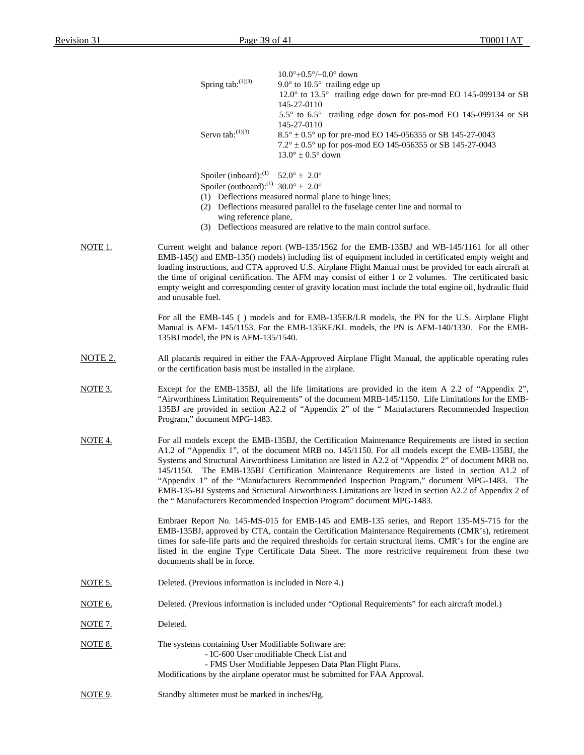|                | Spring tab:(1)(3)                                      | $10.0^{\circ} + 0.5^{\circ} / -0.0^{\circ}$ down<br>9.0 $^{\circ}$ to 10.5 $^{\circ}$ trailing edge up                                                                                                                                                                                                                                                                                                                                                                                                                                                                                                                                                                                      |  |  |
|----------------|--------------------------------------------------------|---------------------------------------------------------------------------------------------------------------------------------------------------------------------------------------------------------------------------------------------------------------------------------------------------------------------------------------------------------------------------------------------------------------------------------------------------------------------------------------------------------------------------------------------------------------------------------------------------------------------------------------------------------------------------------------------|--|--|
|                |                                                        | 12.0° to 13.5° trailing edge down for pre-mod EO 145-099134 or SB<br>145-27-0110                                                                                                                                                                                                                                                                                                                                                                                                                                                                                                                                                                                                            |  |  |
|                |                                                        | 5.5° to 6.5° trailing edge down for pos-mod EO 145-099134 or SB<br>145-27-0110                                                                                                                                                                                                                                                                                                                                                                                                                                                                                                                                                                                                              |  |  |
|                | Servo tab: $^{(1)(3)}$                                 | $8.5^{\circ} \pm 0.5^{\circ}$ up for pre-mod EO 145-056355 or SB 145-27-0043<br>$7.2^{\circ} \pm 0.5^{\circ}$ up for pos-mod EO 145-056355 or SB 145-27-0043<br>$13.0^{\circ} \pm 0.5^{\circ}$ down                                                                                                                                                                                                                                                                                                                                                                                                                                                                                         |  |  |
|                | Spoiler (inboard): <sup>(1)</sup> 52.0° $\pm$ 2.0°     |                                                                                                                                                                                                                                                                                                                                                                                                                                                                                                                                                                                                                                                                                             |  |  |
|                | Spoiler (outboard): <sup>(1)</sup> 30.0° $\pm$ 2.0°    | (1) Deflections measured normal plane to hinge lines;                                                                                                                                                                                                                                                                                                                                                                                                                                                                                                                                                                                                                                       |  |  |
|                |                                                        | (2) Deflections measured parallel to the fuselage center line and normal to                                                                                                                                                                                                                                                                                                                                                                                                                                                                                                                                                                                                                 |  |  |
|                | wing reference plane,                                  | (3) Deflections measured are relative to the main control surface.                                                                                                                                                                                                                                                                                                                                                                                                                                                                                                                                                                                                                          |  |  |
| NOTE 1.        | and unusable fuel.                                     | Current weight and balance report (WB-135/1562 for the EMB-135BJ and WB-145/1161 for all other<br>EMB-145() and EMB-135() models) including list of equipment included in certificated empty weight and<br>loading instructions, and CTA approved U.S. Airplane Flight Manual must be provided for each aircraft at<br>the time of original certification. The AFM may consist of either 1 or 2 volumes. The certificated basic<br>empty weight and corresponding center of gravity location must include the total engine oil, hydraulic fluid                                                                                                                                             |  |  |
|                | 135BJ model, the PN is AFM-135/1540.                   | For all the EMB-145 () models and for EMB-135ER/LR models, the PN for the U.S. Airplane Flight<br>Manual is AFM- 145/1153. For the EMB-135KE/KL models, the PN is AFM-140/1330. For the EMB-                                                                                                                                                                                                                                                                                                                                                                                                                                                                                                |  |  |
| <u>NOTE 2.</u> |                                                        | All placards required in either the FAA-Approved Airplane Flight Manual, the applicable operating rules<br>or the certification basis must be installed in the airplane.                                                                                                                                                                                                                                                                                                                                                                                                                                                                                                                    |  |  |
| NOTE 3.        | Program," document MPG-1483.                           | Except for the EMB-135BJ, all the life limitations are provided in the item A 2.2 of "Appendix 2",<br>"Airworthiness Limitation Requirements" of the document MRB-145/1150. Life Limitations for the EMB-<br>135BJ are provided in section A2.2 of "Appendix 2" of the " Manufacturers Recommended Inspection                                                                                                                                                                                                                                                                                                                                                                               |  |  |
| NOTE 4.        | 145/1150.                                              | For all models except the EMB-135BJ, the Certification Maintenance Requirements are listed in section<br>A1.2 of "Appendix 1", of the document MRB no. 145/1150. For all models except the EMB-135BJ, the<br>Systems and Structural Airworthiness Limitation are listed in A2.2 of "Appendix 2" of document MRB no.<br>The EMB-135BJ Certification Maintenance Requirements are listed in section A1.2 of<br>"Appendix 1" of the "Manufacturers Recommended Inspection Program," document MPG-1483. The<br>EMB-135-BJ Systems and Structural Airworthiness Limitations are listed in section A2.2 of Appendix 2 of<br>the "Manufacturers Recommended Inspection Program" document MPG-1483. |  |  |
|                | documents shall be in force.                           | Embraer Report No. 145-MS-015 for EMB-145 and EMB-135 series, and Report 135-MS-715 for the<br>EMB-135BJ, approved by CTA, contain the Certification Maintenance Requirements (CMR's), retirement<br>times for safe-life parts and the required thresholds for certain structural items. CMR's for the engine are<br>listed in the engine Type Certificate Data Sheet. The more restrictive requirement from these two                                                                                                                                                                                                                                                                      |  |  |
| NOTE 5.        | Deleted. (Previous information is included in Note 4.) |                                                                                                                                                                                                                                                                                                                                                                                                                                                                                                                                                                                                                                                                                             |  |  |
| <u>NOTE 6.</u> |                                                        | Deleted. (Previous information is included under "Optional Requirements" for each aircraft model.)                                                                                                                                                                                                                                                                                                                                                                                                                                                                                                                                                                                          |  |  |
| <u>NOTE 7.</u> | Deleted.                                               |                                                                                                                                                                                                                                                                                                                                                                                                                                                                                                                                                                                                                                                                                             |  |  |
| NOTE 8.        | The systems containing User Modifiable Software are:   | - IC-600 User modifiable Check List and<br>- FMS User Modifiable Jeppesen Data Plan Flight Plans.<br>Modifications by the airplane operator must be submitted for FAA Approval.                                                                                                                                                                                                                                                                                                                                                                                                                                                                                                             |  |  |
| NOTE 9.        | Standby altimeter must be marked in inches/Hg.         |                                                                                                                                                                                                                                                                                                                                                                                                                                                                                                                                                                                                                                                                                             |  |  |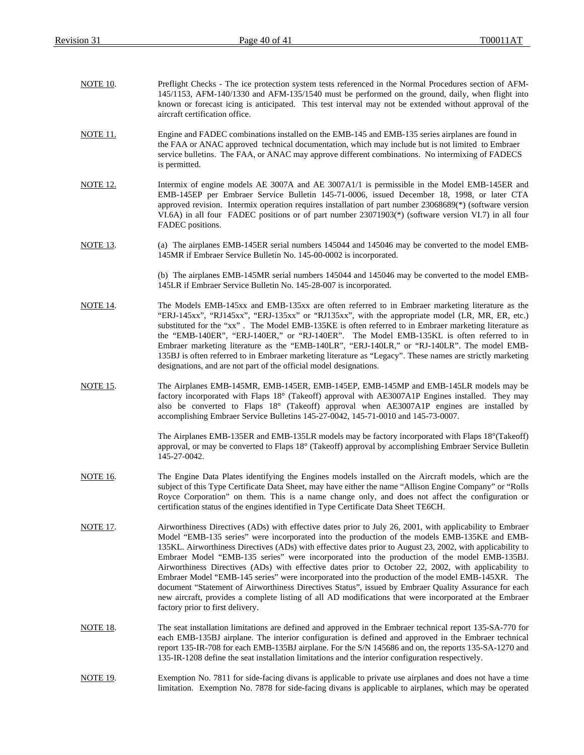| <b>NOTE 10.</b> | Preflight Checks - The ice protection system tests referenced in the Normal Procedures section of AFM-<br>145/1153, AFM-140/1330 and AFM-135/1540 must be performed on the ground, daily, when flight into<br>known or forecast icing is anticipated. This test interval may not be extended without approval of the<br>aircraft certification office.                                                                                                                                                                                                                                                                                                                                                                                                                                                                                                                                       |
|-----------------|----------------------------------------------------------------------------------------------------------------------------------------------------------------------------------------------------------------------------------------------------------------------------------------------------------------------------------------------------------------------------------------------------------------------------------------------------------------------------------------------------------------------------------------------------------------------------------------------------------------------------------------------------------------------------------------------------------------------------------------------------------------------------------------------------------------------------------------------------------------------------------------------|
| NOTE 11.        | Engine and FADEC combinations installed on the EMB-145 and EMB-135 series airplanes are found in<br>the FAA or ANAC approved technical documentation, which may include but is not limited to Embraer<br>service bulletins. The FAA, or ANAC may approve different combinations. No intermixing of FADECS<br>is permitted.                                                                                                                                                                                                                                                                                                                                                                                                                                                                                                                                                                   |
| <b>NOTE</b> 12. | Intermix of engine models AE 3007A and AE 3007A1/1 is permissible in the Model EMB-145ER and<br>EMB-145EP per Embraer Service Bulletin 145-71-0006, issued December 18, 1998, or later CTA<br>approved revision. Intermix operation requires installation of part number 23068689(*) (software version<br>VI.6A) in all four FADEC positions or of part number 23071903(*) (software version VI.7) in all four<br>FADEC positions.                                                                                                                                                                                                                                                                                                                                                                                                                                                           |
| <b>NOTE 13.</b> | (a) The airplanes EMB-145ER serial numbers 145044 and 145046 may be converted to the model EMB-<br>145MR if Embraer Service Bulletin No. 145-00-0002 is incorporated.                                                                                                                                                                                                                                                                                                                                                                                                                                                                                                                                                                                                                                                                                                                        |
|                 | (b) The airplanes EMB-145MR serial numbers 145044 and 145046 may be converted to the model EMB-<br>145LR if Embraer Service Bulletin No. 145-28-007 is incorporated.                                                                                                                                                                                                                                                                                                                                                                                                                                                                                                                                                                                                                                                                                                                         |
| <b>NOTE 14.</b> | The Models EMB-145xx and EMB-135xx are often referred to in Embraer marketing literature as the<br>"ERJ-145xx", "RJ145xx", "ERJ-135xx" or "RJ135xx", with the appropriate model (LR, MR, ER, etc.)<br>substituted for the "xx". The Model EMB-135KE is often referred to in Embraer marketing literature as<br>the "EMB-140ER", "ERJ-140ER," or "RJ-140ER". The Model EMB-135KL is often referred to in<br>Embraer marketing literature as the "EMB-140LR", "ERJ-140LR," or "RJ-140LR". The model EMB-<br>135BJ is often referred to in Embraer marketing literature as "Legacy". These names are strictly marketing<br>designations, and are not part of the official model designations.                                                                                                                                                                                                   |
| NOTE 15.        | The Airplanes EMB-145MR, EMB-145ER, EMB-145EP, EMB-145MP and EMB-145LR models may be<br>factory incorporated with Flaps 18° (Takeoff) approval with AE3007A1P Engines installed. They may<br>also be converted to Flaps 18° (Takeoff) approval when AE3007A1P engines are installed by<br>accomplishing Embraer Service Bulletins 145-27-0042, 145-71-0010 and 145-73-0007.                                                                                                                                                                                                                                                                                                                                                                                                                                                                                                                  |
|                 | The Airplanes EMB-135ER and EMB-135LR models may be factory incorporated with Flaps 18° (Takeoff)<br>approval, or may be converted to Flaps 18° (Takeoff) approval by accomplishing Embraer Service Bulletin<br>145-27-0042.                                                                                                                                                                                                                                                                                                                                                                                                                                                                                                                                                                                                                                                                 |
| <b>NOTE 16.</b> | The Engine Data Plates identifying the Engines models installed on the Aircraft models, which are the<br>subject of this Type Certificate Data Sheet, may have either the name "Allison Engine Company" or "Rolls<br>Royce Corporation" on them. This is a name change only, and does not affect the configuration or<br>certification status of the engines identified in Type Certificate Data Sheet TE6CH.                                                                                                                                                                                                                                                                                                                                                                                                                                                                                |
| <b>NOTE 17.</b> | Airworthiness Directives (ADs) with effective dates prior to July 26, 2001, with applicability to Embraer<br>Model "EMB-135 series" were incorporated into the production of the models EMB-135KE and EMB-<br>135KL. Airworthiness Directives (ADs) with effective dates prior to August 23, 2002, with applicability to<br>Embraer Model "EMB-135 series" were incorporated into the production of the model EMB-135BJ.<br>Airworthiness Directives (ADs) with effective dates prior to October 22, 2002, with applicability to<br>Embraer Model "EMB-145 series" were incorporated into the production of the model EMB-145XR. The<br>document "Statement of Airworthiness Directives Status", issued by Embraer Quality Assurance for each<br>new aircraft, provides a complete listing of all AD modifications that were incorporated at the Embraer<br>factory prior to first delivery. |
| NOTE 18.        | The seat installation limitations are defined and approved in the Embraer technical report 135-SA-770 for<br>each EMB-135BJ airplane. The interior configuration is defined and approved in the Embraer technical<br>report 135-IR-708 for each EMB-135BJ airplane. For the S/N 145686 and on, the reports 135-SA-1270 and<br>135-IR-1208 define the seat installation limitations and the interior configuration respectively.                                                                                                                                                                                                                                                                                                                                                                                                                                                              |
| NOTE 19.        | Exemption No. 7811 for side-facing divans is applicable to private use airplanes and does not have a time<br>limitation. Exemption No. 7878 for side-facing divans is applicable to airplanes, which may be operated                                                                                                                                                                                                                                                                                                                                                                                                                                                                                                                                                                                                                                                                         |